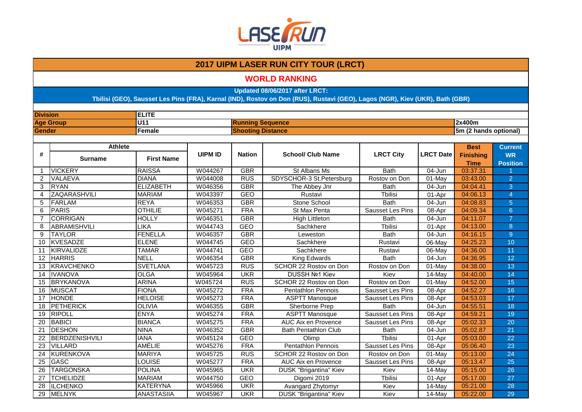

### **WORLD RANKING**

**Updated 08/06/2017 after LRCT:**

| <b>Division</b> |                     | <b>ELITE</b>      |                |                          |                               |                         |                  |                       |                  |  |
|-----------------|---------------------|-------------------|----------------|--------------------------|-------------------------------|-------------------------|------------------|-----------------------|------------------|--|
|                 | <b>Age Group</b>    | U11               |                | <b>Running Sequence</b>  |                               |                         |                  | 2x400m                |                  |  |
| <b>Gender</b>   |                     | Female            |                | <b>Shooting Distance</b> |                               |                         |                  | 5m (2 hands optional) |                  |  |
|                 |                     |                   |                |                          |                               |                         |                  |                       |                  |  |
|                 | <b>Athlete</b>      |                   |                |                          |                               |                         |                  | <b>Best</b>           | <b>Current</b>   |  |
| #               | <b>Surname</b>      | <b>First Name</b> | <b>UIPM ID</b> | <b>Nation</b>            | <b>School/ Club Name</b>      | <b>LRCT City</b>        | <b>LRCT Date</b> | <b>Finishing</b>      | <b>WR</b>        |  |
|                 |                     |                   |                |                          |                               |                         |                  | <b>Time</b>           | <b>Position</b>  |  |
| -1              | <b>VICKERY</b>      | <b>RAISSA</b>     | W044267        | <b>GBR</b>               | St Albans Ms                  | <b>Bath</b>             | $04 - Jun$       | 03:37.31              |                  |  |
| 2               | VALAEVA             | <b>DIANA</b>      | W044008        | <b>RUS</b>               | SDYSCHOR-3 St.Petersburg      | Rostov on Don           | $01$ -May        | 03:43.00              | $\overline{2}$   |  |
| 3               | <b>RYAN</b>         | <b>ELIZABETH</b>  | W046356        | <b>GBR</b>               | The Abbey Jnr                 | <b>Bath</b>             | 04-Jun           | 04:04.41              | 3                |  |
| $\overline{4}$  | ZAQARASHVILI        | <b>MARIAM</b>     | W043397        | <b>GEO</b>               | Rustavi                       | Tbilisi                 | $01-Apr$         | 04:06.13              | $\overline{4}$   |  |
| 5               | FARLAM              | <b>REYA</b>       | W046353        | <b>GBR</b>               | Stone School                  | <b>Bath</b>             | $04 - Jun$       | 04:08.83              | $\overline{5}$   |  |
| 6               | PARIS               | <b>OTHILIE</b>    | W045271        | <b>FRA</b>               | St Max Penta                  | Sausset Les Pins        | 08-Apr           | 04:09.34              | $6 \overline{6}$ |  |
| $\overline{7}$  | <b>CORRIGAN</b>     | <b>HOLLY</b>      | W046351        | <b>GBR</b>               | <b>High Littleton</b>         | <b>Bath</b>             | 04-Jun           | 04:11.07              | $\overline{7}$   |  |
| 8               | <b>ABRAMISHVILI</b> | LIKA              | W044743        | <b>GEO</b>               | Sachkhere                     | Tbilisi                 | 01-Apr           | 04:13.00              | 8                |  |
| 9               | <b>TAYLOR</b>       | <b>FENELLA</b>    | W046357        | <b>GBR</b>               | Leweston                      | <b>Bath</b>             | 04-Jun           | 04:16.15              | $\overline{9}$   |  |
| 10              | KVESADZE            | <b>ELENE</b>      | W044745        | <b>GEO</b>               | Sachkhere                     | Rustavi                 | 06-May           | 04:25.23              | 10               |  |
| 11              | <b>KIRVALIDZE</b>   | <b>TAMAR</b>      | W044741        | <b>GEO</b>               | Sachkhere                     | Rustavi                 | 06-May           | 04:36.00              | 11               |  |
| 12              | <b>HARRIS</b>       | <b>NELL</b>       | W046354        | <b>GBR</b>               | King Edwards                  | <b>Bath</b>             | 04-Jun           | 04:36.95              | 12               |  |
| 13              | KRAVCHENKO          | <b>SVETLANA</b>   | W045723        | <b>RUS</b>               | SCHOR 22 Rostov on Don        | Rostov on Don           | 01-May           | 04:38.00              | 13               |  |
| 14              | <b>IVANOVA</b>      | <b>OLGA</b>       | W045964        | <b>UKR</b>               | DUSSH Nº1 Kiev                | Kiev                    | 14-May           | 04:40.00              | 14               |  |
| 15              | <b>BRYKANOVA</b>    | <b>ARINA</b>      | W045724        | <b>RUS</b>               | SCHOR 22 Rostov on Don        | Rostov on Don           | 01-May           | 04:52.00              | 15               |  |
| 16              | <b>MUSCAT</b>       | <b>FIONA</b>      | W045272        | <b>FRA</b>               | Pentathlon Pennois            | Sausset Les Pins        | 08-Apr           | 04:52.27              | 16               |  |
| 17              | <b>HONDE</b>        | <b>HELOISE</b>    | W045273        | <b>FRA</b>               | <b>ASPTT Manosque</b>         | Sausset Les Pins        | 08-Apr           | 04:53.03              | 17               |  |
| 18              | <b>PETHERICK</b>    | <b>OLIVIA</b>     | W046355        | <b>GBR</b>               | Sherborne Prep                | <b>Bath</b>             | 04-Jun           | 04:55.51              | 18               |  |
| 19              | <b>RIPOLL</b>       | <b>ENYA</b>       | W045274        | <b>FRA</b>               | <b>ASPTT Manosque</b>         | Sausset Les Pins        | 08-Apr           | 04:59.21              | 19               |  |
| 20              | <b>BABICI</b>       | <b>BIANCA</b>     | W045275        | <b>FRA</b>               | <b>AUC Aix en Provence</b>    | Sausset Les Pins        | 08-Apr           | 05:02.33              | 20               |  |
| 21              | <b>DESHON</b>       | <b>NINA</b>       | W046352        | <b>GBR</b>               | <b>Bath Pentathlon Club</b>   | <b>Bath</b>             | 04-Jun           | 05:02.87              | 21               |  |
| 22              | BERDZENISHVILI      | <b>IANA</b>       | W045124        | GEO                      | Olimp                         | <b>Tbilisi</b>          | 01-Apr           | 05:03.00              | 22               |  |
| 23              | <b>VILLARD</b>      | AMÉLIE            | W045276        | <b>FRA</b>               | <b>Pentathlon Pennois</b>     | Sausset Les Pins        | 08-Apr           | 05:06.40              | 23               |  |
| $\overline{24}$ | <b>KURENKOVA</b>    | <b>MARIYA</b>     | W045725        | <b>RUS</b>               | SCHOR 22 Rostov on Don        | Rostov on Don           | 01-May           | 05:13.00              | 24               |  |
| 25              | <b>GASC</b>         | LOUISE            | W045277        | <b>FRA</b>               | AUC Aix en Provence           | <b>Sausset Les Pins</b> | 08-Apr           | 05:13.47              | 25               |  |
| 26              | <b>TARGONSKA</b>    | <b>POLINA</b>     | W045965        | <b>UKR</b>               | DUSK "Brigantina" Kiev        | Kiev                    | 14-May           | 05:15.00              | 26               |  |
| 27              | <b>TCHELIDZE</b>    | <b>MARIAM</b>     | W044750        | <b>GEO</b>               | Digomi 2019                   | <b>T</b> bilisi         | 01-Apr           | 05:17.00              | 27               |  |
| 28              | <b>ILCHENKO</b>     | <b>KATERYNA</b>   | W045966        | <b>UKR</b>               | Avangard Zhytomyr             | Kiev                    | 14-May           | 05:21.00              | 28               |  |
| 29              | <b>MELNYK</b>       | <b>ANASTASIIA</b> | W045967        | <b>UKR</b>               | <b>DUSK "Brigantina" Kiev</b> | Kiev                    | 14-May           | 05:22.00              | 29               |  |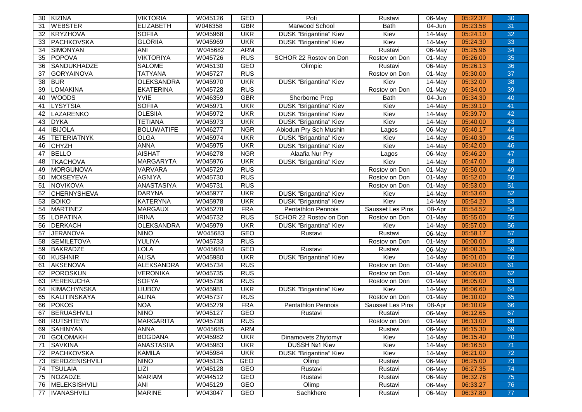| 30              | KIZINA              | <b>VIKTORIA</b>   | W045126 | <b>GEO</b> | Poti                          | Rustavi          | 06-May    | 05:22.37 | 30 |
|-----------------|---------------------|-------------------|---------|------------|-------------------------------|------------------|-----------|----------|----|
| 31              | <b>WEBSTER</b>      | <b>ELIZABETH</b>  | W046358 | <b>GBR</b> | Marwood School                | <b>Bath</b>      | 04-Jun    | 05:23.58 | 31 |
| 32              | KRYZHOVA            | <b>SOFIIA</b>     | W045968 | <b>UKR</b> | <b>DUSK "Brigantina" Kiev</b> | Kiev             | 14-May    | 05:24.10 | 32 |
| 33              | <b>PACHKOVSKA</b>   | <b>GLORIIA</b>    | W045969 | <b>UKR</b> | <b>DUSK "Brigantina" Kiev</b> | Kiev             | 14-May    | 05:24.30 | 33 |
| 34              | <b>SIMONYAN</b>     | ANI               | W045682 | <b>ARM</b> |                               | Rustavi          | 06-May    | 05:25.96 | 34 |
| 35              | <b>POPOVA</b>       | <b>VIKTORIYA</b>  | W045726 | <b>RUS</b> | SCHOR 22 Rostov on Don        | Rostov on Don    | 01-May    | 05:26.00 | 35 |
| 36              | SANDUKHADZE         | <b>SALOME</b>     | W045130 | GEO        | Olimpic                       | Rustavi          | 06-May    | 05:26.13 | 36 |
| 37              | <b>GORYAINOVA</b>   | <b>TATYANA</b>    | W045727 | <b>RUS</b> |                               | Rostov on Don    | 01-May    | 05:30.00 | 37 |
| 38              | <b>BUR</b>          | <b>OLEKSANDRA</b> | W045970 | <b>UKR</b> | <b>DUSK "Brigantina" Kiev</b> | Kiev             | 14-May    | 05:32.00 | 38 |
| 39              | <b>LOMAKINA</b>     | <b>EKATERINA</b>  | W045728 | <b>RUS</b> |                               | Rostov on Don    | 01-May    | 05:34.00 | 39 |
| 40              | <b>WOODS</b>        | <b>YVIE</b>       | W046359 | <b>GBR</b> | Sherborne Prep                | <b>Bath</b>      | 04-Jun    | 05:34.30 | 40 |
| 41              | <b>LYSYTSIA</b>     | <b>SOFIIA</b>     | W045971 | <b>UKR</b> | <b>DUSK "Brigantina" Kiev</b> | Kiev             | 14-May    | 05:39.10 | 41 |
| 42              | LAZARENKO           | <b>OLESIIA</b>    | W045972 | <b>UKR</b> | <b>DUSK "Brigantina" Kiev</b> | Kiev             | 14-May    | 05:39.70 | 42 |
| 43              | <b>DYKA</b>         | <b>TETIANA</b>    | W045973 | <b>UKR</b> | <b>DUSK "Brigantina" Kiev</b> | Kiev             | 14-May    | 05:40.00 | 43 |
| 44              | <b>IBIJOLA</b>      | <b>BOLUWATIFE</b> | W046277 | <b>NGR</b> | Abiodun Pry Sch Mushin        | Lagos            | 06-May    | 05:40.17 | 44 |
| 45              | <b>TETERIATNYK</b>  | <b>OLGA</b>       | W045974 | <b>UKR</b> | <b>DUSK "Brigantina" Kiev</b> | Kiev             | 14-May    | 05:40.30 | 45 |
| 46              | <b>CHYZH</b>        | <b>ANNA</b>       | W045975 | <b>UKR</b> | <b>DUSK "Brigantina" Kiev</b> | Kiev             | 14-May    | 05:42.00 | 46 |
| 47              | <b>BELLO</b>        | <b>AISHAT</b>     | W046278 | <b>NGR</b> | Alaafia Nur Pry               | Lagos            | 06-May    | 05:46.20 | 47 |
| 48              | <b>TKACHOVA</b>     | <b>MARGARYTA</b>  | W045976 | <b>UKR</b> | <b>DUSK "Brigantina" Kiev</b> | Kiev             | $14$ -May | 05:47.00 | 48 |
| 49              | <b>MORGUNOVA</b>    | <b>VARVARA</b>    | W045729 | <b>RUS</b> |                               | Rostov on Don    | 01-May    | 05:50.00 | 49 |
| 50              | <b>MOISEYEVA</b>    | <b>AGNIYA</b>     | W045730 | <b>RUS</b> |                               | Rostov on Don    | 01-May    | 05:52.00 | 50 |
| $\overline{51}$ | <b>NOVIKOVA</b>     | <b>ANASTASIYA</b> | W045731 | <b>RUS</b> |                               | Rostov on Don    | 01-May    | 05:53.00 | 51 |
| 52              | <b>CHERNYSHEVA</b>  | <b>DARYNA</b>     | W045977 | <b>UKR</b> | <b>DUSK "Brigantina" Kiev</b> | Kiev             | 14-May    | 05:53.60 | 52 |
| 53              | <b>BOIKO</b>        | <b>KATERYNA</b>   | W045978 | <b>UKR</b> | <b>DUSK "Brigantina" Kiev</b> | Kiev             | 14-May    | 05:54.20 | 53 |
| 54              | <b>MARTINEZ</b>     | <b>MARGAUX</b>    | W045278 | <b>FRA</b> | <b>Pentathlon Pennois</b>     | Sausset Les Pins | 08-Apr    | 05:54.52 | 54 |
| 55              | <b>LOPATINA</b>     | <b>IRINA</b>      | W045732 | <b>RUS</b> | SCHOR 22 Rostov on Don        | Rostov on Don    | 01-May    | 05:55.00 | 55 |
| 56              | <b>DERKACH</b>      | <b>OLEKSANDRA</b> | W045979 | <b>UKR</b> | <b>DUSK "Brigantina" Kiev</b> | Kiev             | 14-May    | 05:57.00 | 56 |
| 57              | <b>JERANOVA</b>     | <b>NINO</b>       | W045683 | <b>GEO</b> | Rustavi                       | Rustavi          | 06-May    | 05:58.17 | 57 |
| 58              | <b>SEMILETOVA</b>   | YULIYA            | W045733 | <b>RUS</b> |                               | Rostov on Don    | 01-May    | 06:00.00 | 58 |
| 59              | <b>BAKRADZE</b>     | LOLA              | W045684 | <b>GEO</b> | Rustavi                       | Rustavi          | 06-May    | 06:00.35 | 59 |
| 60              | <b>KUSHNIR</b>      | <b>ALISA</b>      | W045980 | <b>UKR</b> | <b>DUSK "Brigantina" Kiev</b> | Kiev             | 14-May    | 06:01.00 | 60 |
| 61              | <b>AKSENOVA</b>     | <b>ALEKSANDRA</b> | W045734 | <b>RUS</b> |                               | Rostov on Don    | $01$ -May | 06:04.00 | 61 |
| 62              | <b>POROSKUN</b>     | <b>VERONIKA</b>   | W045735 | <b>RUS</b> |                               | Rostov on Don    | 01-May    | 06:05.00 | 62 |
| 63              | PEREKUCHA           | <b>SOFYA</b>      | W045736 | <b>RUS</b> |                               | Rostov on Don    | 01-May    | 06:05.00 | 63 |
| 64              | <b>KIMACHYNSKA</b>  | <b>LIUBOV</b>     | W045981 | <b>UKR</b> | <b>DUSK "Brigantina" Kiev</b> | Kiev             | 14-May    | 06:06.60 | 64 |
| 65              | <b>KALITINSKAYA</b> | <b>ALINA</b>      | W045737 | <b>RUS</b> |                               | Rostov on Don    | 01-May    | 06:10.00 | 65 |
| 66              | <b>POKOS</b>        | <b>NOA</b>        | W045279 | <b>FRA</b> | <b>Pentathlon Pennois</b>     | Sausset Les Pins | 08-Apr    | 06:10.09 | 66 |
| 67              | <b>BERUASHVILI</b>  | <b>NINO</b>       | W045127 | <b>GEO</b> | Rustavi                       | Rustavi          | 06-May    | 06:12.65 | 67 |
| 68              | <b>RUTSHTEYN</b>    | <b>MARGARITA</b>  | W045738 | <b>RUS</b> |                               | Rostov on Don    | 01-May    | 06:13.00 | 68 |
| 69              | <b>SAHINYAN</b>     | <b>ANNA</b>       | W045685 | ARM        |                               | Rustavi          | 06-May    | 06:15.30 | 69 |
| 70              | <b>GOLOMAKH</b>     | <b>BOGDANA</b>    | W045982 | <b>UKR</b> | Dinamovets Zhytomyr           | Kiev             | 14-May    | 06:15.40 | 70 |
| 71              | <b>SAVKINA</b>      | <b>ANASTASIIA</b> | W045983 | <b>UKR</b> | <b>DUSSH Nº1 Kiev</b>         | Kiev             | 14-May    | 06:16.50 | 71 |
| 72              | PACHKOVSKA          | <b>KAMILA</b>     | W045984 | <b>UKR</b> | <b>DUSK "Brigantina" Kiev</b> | Kiev             | $14$ -May | 06:21.00 | 72 |
| 73              | BERDZENISHVILI      | <b>NINO</b>       | W045125 | GEO        | Olimp                         | Rustavi          | 06-May    | 06:25.00 | 73 |
| 74              | <b>TSULAIA</b>      | LIZI              | W045128 | GEO        | Rustavi                       | Rustavi          | 06-May    | 06:27.35 | 74 |
| 75              | NOZADZE             | <b>MARIAM</b>     | W044512 | GEO        | Rustavi                       | Rustavi          | 06-May    | 06:32.78 | 75 |
| 76              | MELEKSISHVILI       | <b>ANI</b>        | W045129 | GEO        | Olimp                         | Rustavi          | 06-May    | 06:33.27 | 76 |
| 77              | <b>IVANASHVILI</b>  | <b>MARINE</b>     | W043047 | GEO        | Sachkhere                     | Rustavi          | 06-May    | 06:37.80 | 77 |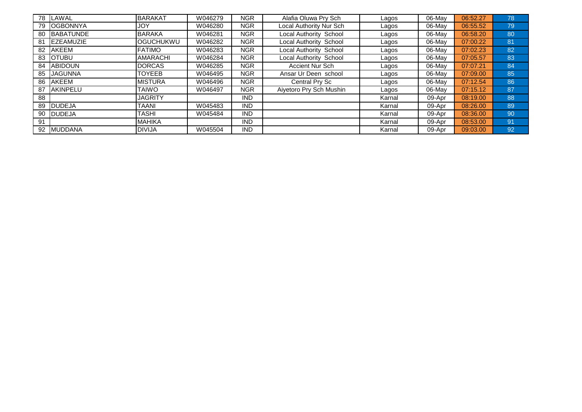| 78 | <b>LAWAL</b>      | <b>BARAKAT</b>   | W046279 | NGR        | Alafia Oluwa Pry Sch    | Lagos  | 06-May | 06:52.27 | 78 |
|----|-------------------|------------------|---------|------------|-------------------------|--------|--------|----------|----|
| 79 | <b>IOGBONNYA</b>  | <b>JOY</b>       | W046280 | NGR        | Local Authority Nur Sch | Lagos  | 06-May | 06:55.52 | 79 |
| 80 | <b>BABATUNDE</b>  | <b>BARAKA</b>    | W046281 | NGR        | Local Authority School  | Lagos  | 06-May | 06:58.20 | 80 |
| 81 | <b>IEZEAMUZIE</b> | <b>OGUCHUKWU</b> | W046282 | NGR        | Local Authority School  | Lagos  | 06-May | 07:00.22 | 81 |
| 82 | <b>AKEEM</b>      | <b>FATIMO</b>    | W046283 | NGR        | Local Authority School  | Lagos  | 06-May | 07:02.23 | 82 |
| 83 | <b>IOTUBU</b>     | <b>AMARACHI</b>  | W046284 | NGR        | Local Authority School  | Lagos  | 06-May | 07:05.57 | 83 |
|    | 84 ABIDOUN        | <b>DORCAS</b>    | W046285 | <b>NGR</b> | Accient Nur Sch         | Lagos  | 06-May | 07:07.21 | 84 |
| 85 | <b>JAGUNNA</b>    | <b>TOYEEB</b>    | W046495 | NGR        | Ansar Ur Deen school    | Lagos  | 06-May | 07:09.00 | 85 |
| 86 | <b>AKEEM</b>      | <b>MISTURA</b>   | W046496 | NGR        | Central Pry Sc          | Lagos  | 06-May | 07:12.54 | 86 |
| 87 | <b>AKINPELU</b>   | TAIWO            | W046497 | <b>NGR</b> | Aiyetoro Pry Sch Mushin | Lagos  | 06-May | 07:15.12 | 87 |
| 88 |                   | <b>JAGRITY</b>   |         | <b>IND</b> |                         | Karnal | 09-Apr | 08:19.00 | 88 |
| 89 | <b>IDUDEJA</b>    | TAANI            | W045483 | <b>IND</b> |                         | Karnal | 09-Apr | 08:26.00 | 89 |
| 90 | <b>DUDEJA</b>     | TASHI            | W045484 | <b>IND</b> |                         | Karnal | 09-Apr | 08:36.00 | 90 |
| 91 |                   | <b>MAHIKA</b>    |         | <b>IND</b> |                         | Karnal | 09-Apr | 08:53.00 | 91 |
|    | 92 MUDDANA        | <b>DIVIJA</b>    | W045504 | <b>IND</b> |                         | Karnal | 09-Apr | 09:03.00 | 92 |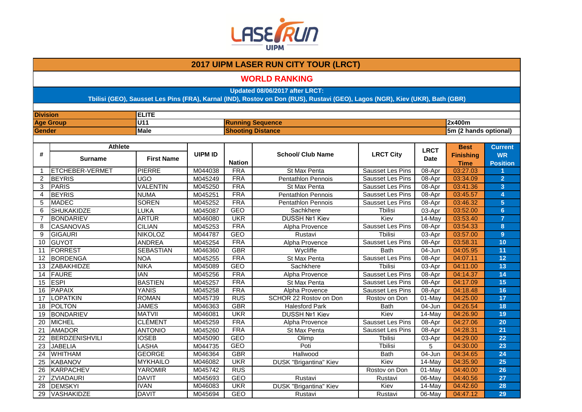

### **WORLD RANKING**

**Updated 08/06/2017 after LRCT:**

| U11<br>2x400m<br><b>Age Group</b><br><b>Running Sequence</b><br><b>Male</b><br>5m (2 hands optional)<br><b>Gender</b><br><b>Shooting Distance</b><br><b>Athlete</b><br><b>Best</b><br><b>LRCT</b><br><b>UIPM ID</b><br><b>LRCT City</b><br>#<br><b>School/ Club Name</b><br><b>WR</b><br><b>Finishing</b><br><b>First Name</b><br><b>Date</b><br><b>Surname</b><br><b>Nation</b><br><b>Position</b><br><b>Time</b><br>03:27.03<br><b>FRA</b><br>PIERRE<br>M044038<br>Sausset Les Pins<br>08-Apr<br><b>ETCHEBER-VERMET</b><br>St Max Penta<br>$\mathbf{1}$<br><b>FRA</b><br>$\overline{2}$<br>03:34.09<br>$\overline{2}$<br><b>BEYRIS</b><br><b>UGO</b><br>M045249<br>Sausset Les Pins<br>08-Apr<br><b>Pentathlon Pennois</b><br><b>FRA</b><br>3<br><b>PARIS</b><br><b>VALENTIN</b><br>M045250<br>08-Apr<br>03:41.36<br>3<br><b>Sausset Les Pins</b><br>St Max Penta<br><b>BEYRIS</b><br><b>NUMA</b><br>M045251<br><b>FRA</b><br>03:45.57<br>$\overline{\mathbf{4}}$<br>4<br><b>Pentathlon Pennois</b><br>Sausset Les Pins<br>08-Apr<br><b>FRA</b><br>$\overline{5}$<br><b>MADEC</b><br><b>SOREN</b><br>M045252<br><b>Sausset Les Pins</b><br>03:46.32<br>5<br><b>Pentathlon Pennois</b><br>08-Apr<br><b>GEO</b><br>03:52.00<br>6 <sup>5</sup><br><b>SHUKAKIDZE</b><br><b>LUKA</b><br>Sachkhere<br><b>T</b> bilisi<br>6<br>M045087<br>03-Apr<br><b>ARTUR</b><br><b>UKR</b><br>DUSSH Nº1 Kiev<br>03:53.40<br>$\overline{7}$<br><b>BONDARIEV</b><br>Kiev<br>14-May<br>$\overline{7}$<br>M046080<br><b>FRA</b><br>8<br>CASANOVAS<br><b>CILIAN</b><br>8<br>M045253<br><b>Sausset Les Pins</b><br>03:54.33<br>Alpha Provence<br>08-Apr<br>$\overline{9}$<br><b>GEO</b><br><b>Tbilisi</b><br>03:57.00<br><b>NIKOLOZ</b><br>9<br><b>GIGAURI</b><br>M044787<br>Rustavi<br>03-Apr<br><b>FRA</b><br>10<br>10<br>03:58.31<br><b>GUYOT</b><br><b>ANDREA</b><br>M045254<br><b>Sausset Les Pins</b><br>08-Apr<br>Alpha Provence<br><b>FORREST</b><br><b>SEBASTIAN</b><br><b>GBR</b><br><b>Bath</b><br>04:05.95<br>11<br>11<br>M046360<br>Wycliffe<br>04-Jun<br><b>FRA</b><br><b>BORDENGA</b><br><b>NOA</b><br>M045255<br>Sausset Les Pins<br>04:07.11<br>12<br>12<br>St Max Penta<br>08-Apr<br>13<br><b>NIKA</b><br><b>GEO</b><br>Sachkhere<br>Tbilisi<br>04:11.00<br>ZABAKHIDZE<br>M045089<br>03-Apr<br>13<br><b>FRA</b><br>14<br><b>IAN</b><br>Sausset Les Pins<br>04:14.37<br>14<br><b>FAURE</b><br>M045256<br>08-Apr<br>Alpha Provence<br><b>BASTIEN</b><br><b>FRA</b><br>15<br><b>ESPI</b><br>M045257<br>Sausset Les Pins<br>08-Apr<br>04:17.09<br>15<br>St Max Penta<br>YANIS<br><b>PAPAIX</b><br>M045258<br><b>FRA</b><br>16<br>08-Apr<br>04:18.48<br>16<br>Alpha Provence<br>Sausset Les Pins<br>17<br>RUS<br><b>LOPATKIN</b><br><b>ROMAN</b><br>M045739<br>SCHOR 22 Rostov on Don<br>04:25.00<br>01-May<br>Rostov on Don<br>17<br><b>JAMES</b><br>M046363<br><b>GBR</b><br>04:26.54<br>18<br><b>POLTON</b><br><b>Halesford Park</b><br>04-Jun<br>18<br><b>Bath</b><br><b>MATVII</b><br><b>UKR</b><br>DUSSH Nº1 Kiev<br>19<br><b>BONDARIEV</b><br>M046081<br>Kiev<br>14-May<br>04:26.90<br>19<br><b>CLÉMENT</b><br><b>FRA</b><br>20<br><b>MICHEL</b><br>Sausset Les Pins<br>04:27.06<br>20<br>M045259<br>08-Apr<br>Alpha Provence<br><b>FRA</b><br>04:28.31<br>21<br><b>AMADOR</b><br><b>ANTONIO</b><br>21<br>M045260<br>St Max Penta<br>Sausset Les Pins<br>08-Apr<br><b>GEO</b><br>Tbilisi<br>04:29.00<br>22<br>22<br><b>BERDZENISHVILI</b><br><b>IOSEB</b><br>M045090<br>Olimp<br>03-Apr<br>LASHA<br><b>GEO</b><br><b>JABELIA</b><br>M044735<br>Poti<br>04:30.00<br>23<br>23<br><b>T</b> bilisi<br>5<br><b>GBR</b><br>24<br><b>WHITHAM</b><br><b>GEORGE</b><br>24<br>M046364<br><b>Bath</b><br>04-Jun<br>04:34.65<br>Hallwood<br><b>UKR</b><br>25<br>Kiev<br>04:35.90<br><b>MYKHAILO</b><br>M046082<br>14-May<br>25<br><b>KABANOV</b><br>DUSK "Brigantina" Kiev<br><b>RUS</b><br>04:40.00<br>26<br><b>KARPACHEV</b><br><b>YAROMIR</b><br>M045742<br>Rostov on Don<br>01-May<br>26<br><b>DAVIT</b><br>M045693<br>GEO<br>06-May<br>04:40.56<br>27<br>27<br><b>ZVIADAURI</b><br>Rustavi<br>Rustavi |    | <b>ELITE</b><br><b>Division</b> |             |         |            |                               |      |        |          |                |
|---------------------------------------------------------------------------------------------------------------------------------------------------------------------------------------------------------------------------------------------------------------------------------------------------------------------------------------------------------------------------------------------------------------------------------------------------------------------------------------------------------------------------------------------------------------------------------------------------------------------------------------------------------------------------------------------------------------------------------------------------------------------------------------------------------------------------------------------------------------------------------------------------------------------------------------------------------------------------------------------------------------------------------------------------------------------------------------------------------------------------------------------------------------------------------------------------------------------------------------------------------------------------------------------------------------------------------------------------------------------------------------------------------------------------------------------------------------------------------------------------------------------------------------------------------------------------------------------------------------------------------------------------------------------------------------------------------------------------------------------------------------------------------------------------------------------------------------------------------------------------------------------------------------------------------------------------------------------------------------------------------------------------------------------------------------------------------------------------------------------------------------------------------------------------------------------------------------------------------------------------------------------------------------------------------------------------------------------------------------------------------------------------------------------------------------------------------------------------------------------------------------------------------------------------------------------------------------------------------------------------------------------------------------------------------------------------------------------------------------------------------------------------------------------------------------------------------------------------------------------------------------------------------------------------------------------------------------------------------------------------------------------------------------------------------------------------------------------------------------------------------------------------------------------------------------------------------------------------------------------------------------------------------------------------------------------------------------------------------------------------------------------------------------------------------------------------------------------------------------------------------------------------------------------------------------------------------------------------------------------------------------------------------------------------------------------------------------------------------------------------------------------------------------------------------------------------------------------------------------------------------------------------------------------------------------------------------------------------------------------------------------------------------------------------------------------------------------------|----|---------------------------------|-------------|---------|------------|-------------------------------|------|--------|----------|----------------|
|                                                                                                                                                                                                                                                                                                                                                                                                                                                                                                                                                                                                                                                                                                                                                                                                                                                                                                                                                                                                                                                                                                                                                                                                                                                                                                                                                                                                                                                                                                                                                                                                                                                                                                                                                                                                                                                                                                                                                                                                                                                                                                                                                                                                                                                                                                                                                                                                                                                                                                                                                                                                                                                                                                                                                                                                                                                                                                                                                                                                                                                                                                                                                                                                                                                                                                                                                                                                                                                                                                                                                                                                                                                                                                                                                                                                                                                                                                                                                                                                                                                                                             |    |                                 |             |         |            |                               |      |        |          |                |
|                                                                                                                                                                                                                                                                                                                                                                                                                                                                                                                                                                                                                                                                                                                                                                                                                                                                                                                                                                                                                                                                                                                                                                                                                                                                                                                                                                                                                                                                                                                                                                                                                                                                                                                                                                                                                                                                                                                                                                                                                                                                                                                                                                                                                                                                                                                                                                                                                                                                                                                                                                                                                                                                                                                                                                                                                                                                                                                                                                                                                                                                                                                                                                                                                                                                                                                                                                                                                                                                                                                                                                                                                                                                                                                                                                                                                                                                                                                                                                                                                                                                                             |    |                                 |             |         |            |                               |      |        |          |                |
|                                                                                                                                                                                                                                                                                                                                                                                                                                                                                                                                                                                                                                                                                                                                                                                                                                                                                                                                                                                                                                                                                                                                                                                                                                                                                                                                                                                                                                                                                                                                                                                                                                                                                                                                                                                                                                                                                                                                                                                                                                                                                                                                                                                                                                                                                                                                                                                                                                                                                                                                                                                                                                                                                                                                                                                                                                                                                                                                                                                                                                                                                                                                                                                                                                                                                                                                                                                                                                                                                                                                                                                                                                                                                                                                                                                                                                                                                                                                                                                                                                                                                             |    |                                 |             |         |            |                               |      |        |          |                |
|                                                                                                                                                                                                                                                                                                                                                                                                                                                                                                                                                                                                                                                                                                                                                                                                                                                                                                                                                                                                                                                                                                                                                                                                                                                                                                                                                                                                                                                                                                                                                                                                                                                                                                                                                                                                                                                                                                                                                                                                                                                                                                                                                                                                                                                                                                                                                                                                                                                                                                                                                                                                                                                                                                                                                                                                                                                                                                                                                                                                                                                                                                                                                                                                                                                                                                                                                                                                                                                                                                                                                                                                                                                                                                                                                                                                                                                                                                                                                                                                                                                                                             |    |                                 |             |         |            |                               |      |        |          | <b>Current</b> |
|                                                                                                                                                                                                                                                                                                                                                                                                                                                                                                                                                                                                                                                                                                                                                                                                                                                                                                                                                                                                                                                                                                                                                                                                                                                                                                                                                                                                                                                                                                                                                                                                                                                                                                                                                                                                                                                                                                                                                                                                                                                                                                                                                                                                                                                                                                                                                                                                                                                                                                                                                                                                                                                                                                                                                                                                                                                                                                                                                                                                                                                                                                                                                                                                                                                                                                                                                                                                                                                                                                                                                                                                                                                                                                                                                                                                                                                                                                                                                                                                                                                                                             |    |                                 |             |         |            |                               |      |        |          |                |
|                                                                                                                                                                                                                                                                                                                                                                                                                                                                                                                                                                                                                                                                                                                                                                                                                                                                                                                                                                                                                                                                                                                                                                                                                                                                                                                                                                                                                                                                                                                                                                                                                                                                                                                                                                                                                                                                                                                                                                                                                                                                                                                                                                                                                                                                                                                                                                                                                                                                                                                                                                                                                                                                                                                                                                                                                                                                                                                                                                                                                                                                                                                                                                                                                                                                                                                                                                                                                                                                                                                                                                                                                                                                                                                                                                                                                                                                                                                                                                                                                                                                                             |    |                                 |             |         |            |                               |      |        |          |                |
|                                                                                                                                                                                                                                                                                                                                                                                                                                                                                                                                                                                                                                                                                                                                                                                                                                                                                                                                                                                                                                                                                                                                                                                                                                                                                                                                                                                                                                                                                                                                                                                                                                                                                                                                                                                                                                                                                                                                                                                                                                                                                                                                                                                                                                                                                                                                                                                                                                                                                                                                                                                                                                                                                                                                                                                                                                                                                                                                                                                                                                                                                                                                                                                                                                                                                                                                                                                                                                                                                                                                                                                                                                                                                                                                                                                                                                                                                                                                                                                                                                                                                             |    |                                 |             |         |            |                               |      |        |          |                |
|                                                                                                                                                                                                                                                                                                                                                                                                                                                                                                                                                                                                                                                                                                                                                                                                                                                                                                                                                                                                                                                                                                                                                                                                                                                                                                                                                                                                                                                                                                                                                                                                                                                                                                                                                                                                                                                                                                                                                                                                                                                                                                                                                                                                                                                                                                                                                                                                                                                                                                                                                                                                                                                                                                                                                                                                                                                                                                                                                                                                                                                                                                                                                                                                                                                                                                                                                                                                                                                                                                                                                                                                                                                                                                                                                                                                                                                                                                                                                                                                                                                                                             |    |                                 |             |         |            |                               |      |        |          |                |
|                                                                                                                                                                                                                                                                                                                                                                                                                                                                                                                                                                                                                                                                                                                                                                                                                                                                                                                                                                                                                                                                                                                                                                                                                                                                                                                                                                                                                                                                                                                                                                                                                                                                                                                                                                                                                                                                                                                                                                                                                                                                                                                                                                                                                                                                                                                                                                                                                                                                                                                                                                                                                                                                                                                                                                                                                                                                                                                                                                                                                                                                                                                                                                                                                                                                                                                                                                                                                                                                                                                                                                                                                                                                                                                                                                                                                                                                                                                                                                                                                                                                                             |    |                                 |             |         |            |                               |      |        |          |                |
|                                                                                                                                                                                                                                                                                                                                                                                                                                                                                                                                                                                                                                                                                                                                                                                                                                                                                                                                                                                                                                                                                                                                                                                                                                                                                                                                                                                                                                                                                                                                                                                                                                                                                                                                                                                                                                                                                                                                                                                                                                                                                                                                                                                                                                                                                                                                                                                                                                                                                                                                                                                                                                                                                                                                                                                                                                                                                                                                                                                                                                                                                                                                                                                                                                                                                                                                                                                                                                                                                                                                                                                                                                                                                                                                                                                                                                                                                                                                                                                                                                                                                             |    |                                 |             |         |            |                               |      |        |          |                |
|                                                                                                                                                                                                                                                                                                                                                                                                                                                                                                                                                                                                                                                                                                                                                                                                                                                                                                                                                                                                                                                                                                                                                                                                                                                                                                                                                                                                                                                                                                                                                                                                                                                                                                                                                                                                                                                                                                                                                                                                                                                                                                                                                                                                                                                                                                                                                                                                                                                                                                                                                                                                                                                                                                                                                                                                                                                                                                                                                                                                                                                                                                                                                                                                                                                                                                                                                                                                                                                                                                                                                                                                                                                                                                                                                                                                                                                                                                                                                                                                                                                                                             |    |                                 |             |         |            |                               |      |        |          |                |
|                                                                                                                                                                                                                                                                                                                                                                                                                                                                                                                                                                                                                                                                                                                                                                                                                                                                                                                                                                                                                                                                                                                                                                                                                                                                                                                                                                                                                                                                                                                                                                                                                                                                                                                                                                                                                                                                                                                                                                                                                                                                                                                                                                                                                                                                                                                                                                                                                                                                                                                                                                                                                                                                                                                                                                                                                                                                                                                                                                                                                                                                                                                                                                                                                                                                                                                                                                                                                                                                                                                                                                                                                                                                                                                                                                                                                                                                                                                                                                                                                                                                                             |    |                                 |             |         |            |                               |      |        |          |                |
|                                                                                                                                                                                                                                                                                                                                                                                                                                                                                                                                                                                                                                                                                                                                                                                                                                                                                                                                                                                                                                                                                                                                                                                                                                                                                                                                                                                                                                                                                                                                                                                                                                                                                                                                                                                                                                                                                                                                                                                                                                                                                                                                                                                                                                                                                                                                                                                                                                                                                                                                                                                                                                                                                                                                                                                                                                                                                                                                                                                                                                                                                                                                                                                                                                                                                                                                                                                                                                                                                                                                                                                                                                                                                                                                                                                                                                                                                                                                                                                                                                                                                             |    |                                 |             |         |            |                               |      |        |          |                |
|                                                                                                                                                                                                                                                                                                                                                                                                                                                                                                                                                                                                                                                                                                                                                                                                                                                                                                                                                                                                                                                                                                                                                                                                                                                                                                                                                                                                                                                                                                                                                                                                                                                                                                                                                                                                                                                                                                                                                                                                                                                                                                                                                                                                                                                                                                                                                                                                                                                                                                                                                                                                                                                                                                                                                                                                                                                                                                                                                                                                                                                                                                                                                                                                                                                                                                                                                                                                                                                                                                                                                                                                                                                                                                                                                                                                                                                                                                                                                                                                                                                                                             |    |                                 |             |         |            |                               |      |        |          |                |
|                                                                                                                                                                                                                                                                                                                                                                                                                                                                                                                                                                                                                                                                                                                                                                                                                                                                                                                                                                                                                                                                                                                                                                                                                                                                                                                                                                                                                                                                                                                                                                                                                                                                                                                                                                                                                                                                                                                                                                                                                                                                                                                                                                                                                                                                                                                                                                                                                                                                                                                                                                                                                                                                                                                                                                                                                                                                                                                                                                                                                                                                                                                                                                                                                                                                                                                                                                                                                                                                                                                                                                                                                                                                                                                                                                                                                                                                                                                                                                                                                                                                                             |    |                                 |             |         |            |                               |      |        |          |                |
|                                                                                                                                                                                                                                                                                                                                                                                                                                                                                                                                                                                                                                                                                                                                                                                                                                                                                                                                                                                                                                                                                                                                                                                                                                                                                                                                                                                                                                                                                                                                                                                                                                                                                                                                                                                                                                                                                                                                                                                                                                                                                                                                                                                                                                                                                                                                                                                                                                                                                                                                                                                                                                                                                                                                                                                                                                                                                                                                                                                                                                                                                                                                                                                                                                                                                                                                                                                                                                                                                                                                                                                                                                                                                                                                                                                                                                                                                                                                                                                                                                                                                             |    |                                 |             |         |            |                               |      |        |          |                |
|                                                                                                                                                                                                                                                                                                                                                                                                                                                                                                                                                                                                                                                                                                                                                                                                                                                                                                                                                                                                                                                                                                                                                                                                                                                                                                                                                                                                                                                                                                                                                                                                                                                                                                                                                                                                                                                                                                                                                                                                                                                                                                                                                                                                                                                                                                                                                                                                                                                                                                                                                                                                                                                                                                                                                                                                                                                                                                                                                                                                                                                                                                                                                                                                                                                                                                                                                                                                                                                                                                                                                                                                                                                                                                                                                                                                                                                                                                                                                                                                                                                                                             |    |                                 |             |         |            |                               |      |        |          |                |
|                                                                                                                                                                                                                                                                                                                                                                                                                                                                                                                                                                                                                                                                                                                                                                                                                                                                                                                                                                                                                                                                                                                                                                                                                                                                                                                                                                                                                                                                                                                                                                                                                                                                                                                                                                                                                                                                                                                                                                                                                                                                                                                                                                                                                                                                                                                                                                                                                                                                                                                                                                                                                                                                                                                                                                                                                                                                                                                                                                                                                                                                                                                                                                                                                                                                                                                                                                                                                                                                                                                                                                                                                                                                                                                                                                                                                                                                                                                                                                                                                                                                                             |    |                                 |             |         |            |                               |      |        |          |                |
|                                                                                                                                                                                                                                                                                                                                                                                                                                                                                                                                                                                                                                                                                                                                                                                                                                                                                                                                                                                                                                                                                                                                                                                                                                                                                                                                                                                                                                                                                                                                                                                                                                                                                                                                                                                                                                                                                                                                                                                                                                                                                                                                                                                                                                                                                                                                                                                                                                                                                                                                                                                                                                                                                                                                                                                                                                                                                                                                                                                                                                                                                                                                                                                                                                                                                                                                                                                                                                                                                                                                                                                                                                                                                                                                                                                                                                                                                                                                                                                                                                                                                             |    |                                 |             |         |            |                               |      |        |          |                |
|                                                                                                                                                                                                                                                                                                                                                                                                                                                                                                                                                                                                                                                                                                                                                                                                                                                                                                                                                                                                                                                                                                                                                                                                                                                                                                                                                                                                                                                                                                                                                                                                                                                                                                                                                                                                                                                                                                                                                                                                                                                                                                                                                                                                                                                                                                                                                                                                                                                                                                                                                                                                                                                                                                                                                                                                                                                                                                                                                                                                                                                                                                                                                                                                                                                                                                                                                                                                                                                                                                                                                                                                                                                                                                                                                                                                                                                                                                                                                                                                                                                                                             |    |                                 |             |         |            |                               |      |        |          |                |
|                                                                                                                                                                                                                                                                                                                                                                                                                                                                                                                                                                                                                                                                                                                                                                                                                                                                                                                                                                                                                                                                                                                                                                                                                                                                                                                                                                                                                                                                                                                                                                                                                                                                                                                                                                                                                                                                                                                                                                                                                                                                                                                                                                                                                                                                                                                                                                                                                                                                                                                                                                                                                                                                                                                                                                                                                                                                                                                                                                                                                                                                                                                                                                                                                                                                                                                                                                                                                                                                                                                                                                                                                                                                                                                                                                                                                                                                                                                                                                                                                                                                                             |    |                                 |             |         |            |                               |      |        |          |                |
|                                                                                                                                                                                                                                                                                                                                                                                                                                                                                                                                                                                                                                                                                                                                                                                                                                                                                                                                                                                                                                                                                                                                                                                                                                                                                                                                                                                                                                                                                                                                                                                                                                                                                                                                                                                                                                                                                                                                                                                                                                                                                                                                                                                                                                                                                                                                                                                                                                                                                                                                                                                                                                                                                                                                                                                                                                                                                                                                                                                                                                                                                                                                                                                                                                                                                                                                                                                                                                                                                                                                                                                                                                                                                                                                                                                                                                                                                                                                                                                                                                                                                             |    |                                 |             |         |            |                               |      |        |          |                |
|                                                                                                                                                                                                                                                                                                                                                                                                                                                                                                                                                                                                                                                                                                                                                                                                                                                                                                                                                                                                                                                                                                                                                                                                                                                                                                                                                                                                                                                                                                                                                                                                                                                                                                                                                                                                                                                                                                                                                                                                                                                                                                                                                                                                                                                                                                                                                                                                                                                                                                                                                                                                                                                                                                                                                                                                                                                                                                                                                                                                                                                                                                                                                                                                                                                                                                                                                                                                                                                                                                                                                                                                                                                                                                                                                                                                                                                                                                                                                                                                                                                                                             |    |                                 |             |         |            |                               |      |        |          |                |
|                                                                                                                                                                                                                                                                                                                                                                                                                                                                                                                                                                                                                                                                                                                                                                                                                                                                                                                                                                                                                                                                                                                                                                                                                                                                                                                                                                                                                                                                                                                                                                                                                                                                                                                                                                                                                                                                                                                                                                                                                                                                                                                                                                                                                                                                                                                                                                                                                                                                                                                                                                                                                                                                                                                                                                                                                                                                                                                                                                                                                                                                                                                                                                                                                                                                                                                                                                                                                                                                                                                                                                                                                                                                                                                                                                                                                                                                                                                                                                                                                                                                                             |    |                                 |             |         |            |                               |      |        |          |                |
|                                                                                                                                                                                                                                                                                                                                                                                                                                                                                                                                                                                                                                                                                                                                                                                                                                                                                                                                                                                                                                                                                                                                                                                                                                                                                                                                                                                                                                                                                                                                                                                                                                                                                                                                                                                                                                                                                                                                                                                                                                                                                                                                                                                                                                                                                                                                                                                                                                                                                                                                                                                                                                                                                                                                                                                                                                                                                                                                                                                                                                                                                                                                                                                                                                                                                                                                                                                                                                                                                                                                                                                                                                                                                                                                                                                                                                                                                                                                                                                                                                                                                             |    |                                 |             |         |            |                               |      |        |          |                |
|                                                                                                                                                                                                                                                                                                                                                                                                                                                                                                                                                                                                                                                                                                                                                                                                                                                                                                                                                                                                                                                                                                                                                                                                                                                                                                                                                                                                                                                                                                                                                                                                                                                                                                                                                                                                                                                                                                                                                                                                                                                                                                                                                                                                                                                                                                                                                                                                                                                                                                                                                                                                                                                                                                                                                                                                                                                                                                                                                                                                                                                                                                                                                                                                                                                                                                                                                                                                                                                                                                                                                                                                                                                                                                                                                                                                                                                                                                                                                                                                                                                                                             |    |                                 |             |         |            |                               |      |        |          |                |
|                                                                                                                                                                                                                                                                                                                                                                                                                                                                                                                                                                                                                                                                                                                                                                                                                                                                                                                                                                                                                                                                                                                                                                                                                                                                                                                                                                                                                                                                                                                                                                                                                                                                                                                                                                                                                                                                                                                                                                                                                                                                                                                                                                                                                                                                                                                                                                                                                                                                                                                                                                                                                                                                                                                                                                                                                                                                                                                                                                                                                                                                                                                                                                                                                                                                                                                                                                                                                                                                                                                                                                                                                                                                                                                                                                                                                                                                                                                                                                                                                                                                                             |    |                                 |             |         |            |                               |      |        |          |                |
|                                                                                                                                                                                                                                                                                                                                                                                                                                                                                                                                                                                                                                                                                                                                                                                                                                                                                                                                                                                                                                                                                                                                                                                                                                                                                                                                                                                                                                                                                                                                                                                                                                                                                                                                                                                                                                                                                                                                                                                                                                                                                                                                                                                                                                                                                                                                                                                                                                                                                                                                                                                                                                                                                                                                                                                                                                                                                                                                                                                                                                                                                                                                                                                                                                                                                                                                                                                                                                                                                                                                                                                                                                                                                                                                                                                                                                                                                                                                                                                                                                                                                             |    |                                 |             |         |            |                               |      |        |          |                |
|                                                                                                                                                                                                                                                                                                                                                                                                                                                                                                                                                                                                                                                                                                                                                                                                                                                                                                                                                                                                                                                                                                                                                                                                                                                                                                                                                                                                                                                                                                                                                                                                                                                                                                                                                                                                                                                                                                                                                                                                                                                                                                                                                                                                                                                                                                                                                                                                                                                                                                                                                                                                                                                                                                                                                                                                                                                                                                                                                                                                                                                                                                                                                                                                                                                                                                                                                                                                                                                                                                                                                                                                                                                                                                                                                                                                                                                                                                                                                                                                                                                                                             |    |                                 |             |         |            |                               |      |        |          |                |
|                                                                                                                                                                                                                                                                                                                                                                                                                                                                                                                                                                                                                                                                                                                                                                                                                                                                                                                                                                                                                                                                                                                                                                                                                                                                                                                                                                                                                                                                                                                                                                                                                                                                                                                                                                                                                                                                                                                                                                                                                                                                                                                                                                                                                                                                                                                                                                                                                                                                                                                                                                                                                                                                                                                                                                                                                                                                                                                                                                                                                                                                                                                                                                                                                                                                                                                                                                                                                                                                                                                                                                                                                                                                                                                                                                                                                                                                                                                                                                                                                                                                                             |    |                                 |             |         |            |                               |      |        |          |                |
|                                                                                                                                                                                                                                                                                                                                                                                                                                                                                                                                                                                                                                                                                                                                                                                                                                                                                                                                                                                                                                                                                                                                                                                                                                                                                                                                                                                                                                                                                                                                                                                                                                                                                                                                                                                                                                                                                                                                                                                                                                                                                                                                                                                                                                                                                                                                                                                                                                                                                                                                                                                                                                                                                                                                                                                                                                                                                                                                                                                                                                                                                                                                                                                                                                                                                                                                                                                                                                                                                                                                                                                                                                                                                                                                                                                                                                                                                                                                                                                                                                                                                             |    |                                 |             |         |            |                               |      |        |          |                |
|                                                                                                                                                                                                                                                                                                                                                                                                                                                                                                                                                                                                                                                                                                                                                                                                                                                                                                                                                                                                                                                                                                                                                                                                                                                                                                                                                                                                                                                                                                                                                                                                                                                                                                                                                                                                                                                                                                                                                                                                                                                                                                                                                                                                                                                                                                                                                                                                                                                                                                                                                                                                                                                                                                                                                                                                                                                                                                                                                                                                                                                                                                                                                                                                                                                                                                                                                                                                                                                                                                                                                                                                                                                                                                                                                                                                                                                                                                                                                                                                                                                                                             |    |                                 |             |         |            |                               |      |        |          |                |
|                                                                                                                                                                                                                                                                                                                                                                                                                                                                                                                                                                                                                                                                                                                                                                                                                                                                                                                                                                                                                                                                                                                                                                                                                                                                                                                                                                                                                                                                                                                                                                                                                                                                                                                                                                                                                                                                                                                                                                                                                                                                                                                                                                                                                                                                                                                                                                                                                                                                                                                                                                                                                                                                                                                                                                                                                                                                                                                                                                                                                                                                                                                                                                                                                                                                                                                                                                                                                                                                                                                                                                                                                                                                                                                                                                                                                                                                                                                                                                                                                                                                                             |    |                                 |             |         |            |                               |      |        |          |                |
|                                                                                                                                                                                                                                                                                                                                                                                                                                                                                                                                                                                                                                                                                                                                                                                                                                                                                                                                                                                                                                                                                                                                                                                                                                                                                                                                                                                                                                                                                                                                                                                                                                                                                                                                                                                                                                                                                                                                                                                                                                                                                                                                                                                                                                                                                                                                                                                                                                                                                                                                                                                                                                                                                                                                                                                                                                                                                                                                                                                                                                                                                                                                                                                                                                                                                                                                                                                                                                                                                                                                                                                                                                                                                                                                                                                                                                                                                                                                                                                                                                                                                             | 28 | <b>DEMSKYI</b>                  | <b>IVAN</b> | M046083 | <b>UKR</b> | <b>DUSK "Brigantina" Kiev</b> | Kiev | 14-May | 04:42.60 | 28             |
| VASHAKIDZE<br><b>DAVIT</b><br><b>GEO</b><br>04:47.12<br>29<br>M045694<br>Rustavi<br>06-May<br>29<br>Rustavi                                                                                                                                                                                                                                                                                                                                                                                                                                                                                                                                                                                                                                                                                                                                                                                                                                                                                                                                                                                                                                                                                                                                                                                                                                                                                                                                                                                                                                                                                                                                                                                                                                                                                                                                                                                                                                                                                                                                                                                                                                                                                                                                                                                                                                                                                                                                                                                                                                                                                                                                                                                                                                                                                                                                                                                                                                                                                                                                                                                                                                                                                                                                                                                                                                                                                                                                                                                                                                                                                                                                                                                                                                                                                                                                                                                                                                                                                                                                                                                 |    |                                 |             |         |            |                               |      |        |          |                |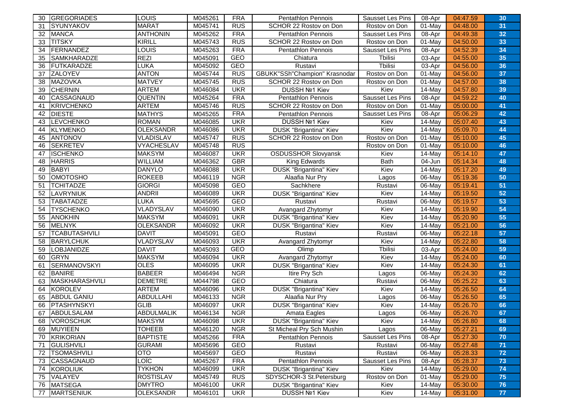| <b>MARAT</b><br>M045741<br><b>RUS</b><br>31<br><b>SYUNYAKOV</b><br>SCHOR 22 Rostov on Don<br>01-May<br>04:48.00<br>31<br>Rostov on Don<br><b>FRA</b><br><b>MANCA</b><br><b>ANTHONIN</b><br>M045262<br>Pentathlon Pennois<br>$\overline{0}$ 8-Apr<br>04:49.38<br>32<br>32<br>Sausset Les Pins<br><b>RUS</b><br><b>TITSKY</b><br>KIRILL<br>SCHOR 22 Rostov on Don<br>04:50.00<br>M045743<br>Rostov on Don<br>01-May<br>33<br>33<br><b>FRA</b><br>04:52.39<br>34<br>FERNANDEZ<br>LOUIS<br>08-Apr<br>34<br>M045263<br>Pentathlon Pennois<br><b>Sausset Les Pins</b><br><b>REZI</b><br><b>SAMKHARADZE</b><br><b>GEO</b><br>M045091<br>04:55.00<br>35<br>35<br>Chiatura<br>Tbilisi<br>03-Apr<br>FUTKARADZE<br><b>LUKA</b><br>GEO<br>Tbilisi<br>36<br>M045092<br>Rustavi<br>03-Apr<br>04:56.00<br>36<br><b>ANTON</b><br>GBUKK"SSh"Champion" Krasnodar<br><b>ZALOYEV</b><br><b>RUS</b><br>04:56.00<br>37<br>M045744<br>Rostov on Don<br>01-May<br>37<br>38<br><b>MATVEY</b><br>M045745<br><b>RUS</b><br>SCHOR 22 Rostov on Don<br>38<br>MAZOVKA<br>Rostov on Don<br>01-May<br>04:57.00<br>ARTEM<br><b>UKR</b><br>DUSSH Nº1 Kiev<br>39<br><b>CHERNIN</b><br>M046084<br>Kiev<br>14-May<br>04:57.80<br>39<br><b>FRA</b><br>40<br><b>CASSAGNAUD</b><br><b>QUENTIN</b><br>M045264<br>Pentathlon Pennois<br>Sausset Les Pins<br>04:59.22<br>40<br>08-Apr<br>41<br><b>ARTEM</b><br><b>RUS</b><br><b>KRIVCHENKO</b><br>M045746<br>SCHOR 22 Rostov on Don<br>01-May<br>05:00.00<br>Rostov on Don<br>41<br>42<br><b>DIESTE</b><br><b>FRA</b><br>05:06.29<br>42<br><b>MATHYS</b><br>M045265<br>Sausset Les Pins<br>08-Apr<br><b>Pentathlon Pennois</b><br><b>LEVCHENKO</b><br><b>UKR</b><br>43<br><b>ROMAN</b><br>M046085<br>DUSSH Nº1 Kiev<br>Kiev<br>14-May<br>05:07.40<br>43<br>44<br><b>OLEKSANDR</b><br><b>UKR</b><br>KLYMENKO<br>M046086<br>DUSK "Brigantina" Kiev<br>Kiev<br>14-May<br>05:09.70<br>44<br><b>RUS</b><br>SCHOR 22 Rostov on Don<br>45<br><b>ANTONOV</b><br><b>VLADISLAV</b><br>M045747<br>Rostov on Don<br>01-May<br>05:10.00<br>45<br><b>RUS</b><br><b>SEKRETEV</b><br><b>VYACHESLAV</b><br>M045748<br>01-May<br>05:10.00<br>46<br>Rostov on Don<br>46<br><b>UKR</b><br>47<br><b>ISCHENKO</b><br><b>MAKSYM</b><br>M046087<br><b>OSDUSSHOR Slovyansk</b><br>47<br>Kiev<br>14-May<br>05:14.10<br><b>WILLIAM</b><br><b>GBR</b><br><b>King Edwards</b><br><b>Bath</b><br>48<br>48<br><b>HARRIS</b><br>M046362<br>04-Jun<br>05:14.34<br><b>UKR</b><br>05:17.20<br>49<br><b>BABYI</b><br><b>DANYLO</b><br>M046088<br><b>DUSK "Brigantina" Kiev</b><br>Kiev<br>14-May<br>49<br><b>OMOTOSHO</b><br>50<br><b>ROKEEB</b><br>M046119<br><b>NGR</b><br>50<br>Alaafia Nur Pry<br>06-May<br>05:19.36<br>Lagos<br><b>GEO</b><br>51<br>51<br><b>TCHITADZE</b><br><b>GIORGI</b><br>M045098<br>Sachkhere<br>06-May<br>Rustavi<br>05:19.41<br>52<br><b>ANDRII</b><br><b>UKR</b><br>LAVRYNIUK<br>M046089<br>DUSK "Brigantina" Kiev<br>Kiev<br>14-May<br>05:19.50<br>52<br>53<br><b>GEO</b><br><b>TABATADZE</b><br><b>LUKA</b><br>M045695<br>Rustavi<br>Rustavi<br>06-May<br>05:19.57<br>53<br>54<br>VLADYSLAV<br><b>UKR</b><br>Kiev<br><b>TYSCHENKO</b><br>M046090<br>Avangard Zhytomyr<br>14-May<br>05:19.90<br>54<br>55<br><b>MAKSYM</b><br>55<br><b>ANOKHIN</b><br>M046091<br><b>UKR</b><br>DUSK "Brigantina" Kiev<br>Kiev<br>14-May<br>05:20.90<br>56<br><b>OLEKSANDR</b><br><b>UKR</b><br>Kiev<br>56<br>M046092<br>14-May<br>05:21.00<br>MELNYK<br>DUSK "Brigantina" Kiev<br>57<br><b>TCABUTASHVILI</b><br><b>DAVIT</b><br>M045091<br><b>GEO</b><br>05:22.18<br>Rustavi<br>Rustavi<br>06-May<br>57<br>VLADYSLAV<br>M046093<br><b>UKR</b><br>05:22.80<br>58<br><b>BARYLCHUK</b><br>Avangard Zhytomyr<br>Kiev<br>14-May<br>58<br><b>DAVIT</b><br><b>GEO</b><br>M045093<br>Tbilisi<br>05:24.00<br><b>LOBJANIDZE</b><br>Olimp<br>03-Apr<br>59<br>59<br>GRYN<br><b>MAKSYM</b><br><b>UKR</b><br>Avangard Zhytomyr<br>05:24.00<br>60<br>M046094<br>Kiev<br>14-May<br>60 |
|------------------------------------------------------------------------------------------------------------------------------------------------------------------------------------------------------------------------------------------------------------------------------------------------------------------------------------------------------------------------------------------------------------------------------------------------------------------------------------------------------------------------------------------------------------------------------------------------------------------------------------------------------------------------------------------------------------------------------------------------------------------------------------------------------------------------------------------------------------------------------------------------------------------------------------------------------------------------------------------------------------------------------------------------------------------------------------------------------------------------------------------------------------------------------------------------------------------------------------------------------------------------------------------------------------------------------------------------------------------------------------------------------------------------------------------------------------------------------------------------------------------------------------------------------------------------------------------------------------------------------------------------------------------------------------------------------------------------------------------------------------------------------------------------------------------------------------------------------------------------------------------------------------------------------------------------------------------------------------------------------------------------------------------------------------------------------------------------------------------------------------------------------------------------------------------------------------------------------------------------------------------------------------------------------------------------------------------------------------------------------------------------------------------------------------------------------------------------------------------------------------------------------------------------------------------------------------------------------------------------------------------------------------------------------------------------------------------------------------------------------------------------------------------------------------------------------------------------------------------------------------------------------------------------------------------------------------------------------------------------------------------------------------------------------------------------------------------------------------------------------------------------------------------------------------------------------------------------------------------------------------------------------------------------------------------------------------------------------------------------------------------------------------------------------------------------------------------------------------------------------------------------------------------------------------------------------------------------------------------------------------------------------------------------------------------------------------------------------------------------------------------------------------------------------------------------------------------------------------------------------------------------------------------------------------------------------|
|                                                                                                                                                                                                                                                                                                                                                                                                                                                                                                                                                                                                                                                                                                                                                                                                                                                                                                                                                                                                                                                                                                                                                                                                                                                                                                                                                                                                                                                                                                                                                                                                                                                                                                                                                                                                                                                                                                                                                                                                                                                                                                                                                                                                                                                                                                                                                                                                                                                                                                                                                                                                                                                                                                                                                                                                                                                                                                                                                                                                                                                                                                                                                                                                                                                                                                                                                                                                                                                                                                                                                                                                                                                                                                                                                                                                                                                                                                                                                      |
|                                                                                                                                                                                                                                                                                                                                                                                                                                                                                                                                                                                                                                                                                                                                                                                                                                                                                                                                                                                                                                                                                                                                                                                                                                                                                                                                                                                                                                                                                                                                                                                                                                                                                                                                                                                                                                                                                                                                                                                                                                                                                                                                                                                                                                                                                                                                                                                                                                                                                                                                                                                                                                                                                                                                                                                                                                                                                                                                                                                                                                                                                                                                                                                                                                                                                                                                                                                                                                                                                                                                                                                                                                                                                                                                                                                                                                                                                                                                                      |
|                                                                                                                                                                                                                                                                                                                                                                                                                                                                                                                                                                                                                                                                                                                                                                                                                                                                                                                                                                                                                                                                                                                                                                                                                                                                                                                                                                                                                                                                                                                                                                                                                                                                                                                                                                                                                                                                                                                                                                                                                                                                                                                                                                                                                                                                                                                                                                                                                                                                                                                                                                                                                                                                                                                                                                                                                                                                                                                                                                                                                                                                                                                                                                                                                                                                                                                                                                                                                                                                                                                                                                                                                                                                                                                                                                                                                                                                                                                                                      |
|                                                                                                                                                                                                                                                                                                                                                                                                                                                                                                                                                                                                                                                                                                                                                                                                                                                                                                                                                                                                                                                                                                                                                                                                                                                                                                                                                                                                                                                                                                                                                                                                                                                                                                                                                                                                                                                                                                                                                                                                                                                                                                                                                                                                                                                                                                                                                                                                                                                                                                                                                                                                                                                                                                                                                                                                                                                                                                                                                                                                                                                                                                                                                                                                                                                                                                                                                                                                                                                                                                                                                                                                                                                                                                                                                                                                                                                                                                                                                      |
|                                                                                                                                                                                                                                                                                                                                                                                                                                                                                                                                                                                                                                                                                                                                                                                                                                                                                                                                                                                                                                                                                                                                                                                                                                                                                                                                                                                                                                                                                                                                                                                                                                                                                                                                                                                                                                                                                                                                                                                                                                                                                                                                                                                                                                                                                                                                                                                                                                                                                                                                                                                                                                                                                                                                                                                                                                                                                                                                                                                                                                                                                                                                                                                                                                                                                                                                                                                                                                                                                                                                                                                                                                                                                                                                                                                                                                                                                                                                                      |
|                                                                                                                                                                                                                                                                                                                                                                                                                                                                                                                                                                                                                                                                                                                                                                                                                                                                                                                                                                                                                                                                                                                                                                                                                                                                                                                                                                                                                                                                                                                                                                                                                                                                                                                                                                                                                                                                                                                                                                                                                                                                                                                                                                                                                                                                                                                                                                                                                                                                                                                                                                                                                                                                                                                                                                                                                                                                                                                                                                                                                                                                                                                                                                                                                                                                                                                                                                                                                                                                                                                                                                                                                                                                                                                                                                                                                                                                                                                                                      |
|                                                                                                                                                                                                                                                                                                                                                                                                                                                                                                                                                                                                                                                                                                                                                                                                                                                                                                                                                                                                                                                                                                                                                                                                                                                                                                                                                                                                                                                                                                                                                                                                                                                                                                                                                                                                                                                                                                                                                                                                                                                                                                                                                                                                                                                                                                                                                                                                                                                                                                                                                                                                                                                                                                                                                                                                                                                                                                                                                                                                                                                                                                                                                                                                                                                                                                                                                                                                                                                                                                                                                                                                                                                                                                                                                                                                                                                                                                                                                      |
|                                                                                                                                                                                                                                                                                                                                                                                                                                                                                                                                                                                                                                                                                                                                                                                                                                                                                                                                                                                                                                                                                                                                                                                                                                                                                                                                                                                                                                                                                                                                                                                                                                                                                                                                                                                                                                                                                                                                                                                                                                                                                                                                                                                                                                                                                                                                                                                                                                                                                                                                                                                                                                                                                                                                                                                                                                                                                                                                                                                                                                                                                                                                                                                                                                                                                                                                                                                                                                                                                                                                                                                                                                                                                                                                                                                                                                                                                                                                                      |
|                                                                                                                                                                                                                                                                                                                                                                                                                                                                                                                                                                                                                                                                                                                                                                                                                                                                                                                                                                                                                                                                                                                                                                                                                                                                                                                                                                                                                                                                                                                                                                                                                                                                                                                                                                                                                                                                                                                                                                                                                                                                                                                                                                                                                                                                                                                                                                                                                                                                                                                                                                                                                                                                                                                                                                                                                                                                                                                                                                                                                                                                                                                                                                                                                                                                                                                                                                                                                                                                                                                                                                                                                                                                                                                                                                                                                                                                                                                                                      |
|                                                                                                                                                                                                                                                                                                                                                                                                                                                                                                                                                                                                                                                                                                                                                                                                                                                                                                                                                                                                                                                                                                                                                                                                                                                                                                                                                                                                                                                                                                                                                                                                                                                                                                                                                                                                                                                                                                                                                                                                                                                                                                                                                                                                                                                                                                                                                                                                                                                                                                                                                                                                                                                                                                                                                                                                                                                                                                                                                                                                                                                                                                                                                                                                                                                                                                                                                                                                                                                                                                                                                                                                                                                                                                                                                                                                                                                                                                                                                      |
|                                                                                                                                                                                                                                                                                                                                                                                                                                                                                                                                                                                                                                                                                                                                                                                                                                                                                                                                                                                                                                                                                                                                                                                                                                                                                                                                                                                                                                                                                                                                                                                                                                                                                                                                                                                                                                                                                                                                                                                                                                                                                                                                                                                                                                                                                                                                                                                                                                                                                                                                                                                                                                                                                                                                                                                                                                                                                                                                                                                                                                                                                                                                                                                                                                                                                                                                                                                                                                                                                                                                                                                                                                                                                                                                                                                                                                                                                                                                                      |
|                                                                                                                                                                                                                                                                                                                                                                                                                                                                                                                                                                                                                                                                                                                                                                                                                                                                                                                                                                                                                                                                                                                                                                                                                                                                                                                                                                                                                                                                                                                                                                                                                                                                                                                                                                                                                                                                                                                                                                                                                                                                                                                                                                                                                                                                                                                                                                                                                                                                                                                                                                                                                                                                                                                                                                                                                                                                                                                                                                                                                                                                                                                                                                                                                                                                                                                                                                                                                                                                                                                                                                                                                                                                                                                                                                                                                                                                                                                                                      |
|                                                                                                                                                                                                                                                                                                                                                                                                                                                                                                                                                                                                                                                                                                                                                                                                                                                                                                                                                                                                                                                                                                                                                                                                                                                                                                                                                                                                                                                                                                                                                                                                                                                                                                                                                                                                                                                                                                                                                                                                                                                                                                                                                                                                                                                                                                                                                                                                                                                                                                                                                                                                                                                                                                                                                                                                                                                                                                                                                                                                                                                                                                                                                                                                                                                                                                                                                                                                                                                                                                                                                                                                                                                                                                                                                                                                                                                                                                                                                      |
|                                                                                                                                                                                                                                                                                                                                                                                                                                                                                                                                                                                                                                                                                                                                                                                                                                                                                                                                                                                                                                                                                                                                                                                                                                                                                                                                                                                                                                                                                                                                                                                                                                                                                                                                                                                                                                                                                                                                                                                                                                                                                                                                                                                                                                                                                                                                                                                                                                                                                                                                                                                                                                                                                                                                                                                                                                                                                                                                                                                                                                                                                                                                                                                                                                                                                                                                                                                                                                                                                                                                                                                                                                                                                                                                                                                                                                                                                                                                                      |
|                                                                                                                                                                                                                                                                                                                                                                                                                                                                                                                                                                                                                                                                                                                                                                                                                                                                                                                                                                                                                                                                                                                                                                                                                                                                                                                                                                                                                                                                                                                                                                                                                                                                                                                                                                                                                                                                                                                                                                                                                                                                                                                                                                                                                                                                                                                                                                                                                                                                                                                                                                                                                                                                                                                                                                                                                                                                                                                                                                                                                                                                                                                                                                                                                                                                                                                                                                                                                                                                                                                                                                                                                                                                                                                                                                                                                                                                                                                                                      |
|                                                                                                                                                                                                                                                                                                                                                                                                                                                                                                                                                                                                                                                                                                                                                                                                                                                                                                                                                                                                                                                                                                                                                                                                                                                                                                                                                                                                                                                                                                                                                                                                                                                                                                                                                                                                                                                                                                                                                                                                                                                                                                                                                                                                                                                                                                                                                                                                                                                                                                                                                                                                                                                                                                                                                                                                                                                                                                                                                                                                                                                                                                                                                                                                                                                                                                                                                                                                                                                                                                                                                                                                                                                                                                                                                                                                                                                                                                                                                      |
|                                                                                                                                                                                                                                                                                                                                                                                                                                                                                                                                                                                                                                                                                                                                                                                                                                                                                                                                                                                                                                                                                                                                                                                                                                                                                                                                                                                                                                                                                                                                                                                                                                                                                                                                                                                                                                                                                                                                                                                                                                                                                                                                                                                                                                                                                                                                                                                                                                                                                                                                                                                                                                                                                                                                                                                                                                                                                                                                                                                                                                                                                                                                                                                                                                                                                                                                                                                                                                                                                                                                                                                                                                                                                                                                                                                                                                                                                                                                                      |
|                                                                                                                                                                                                                                                                                                                                                                                                                                                                                                                                                                                                                                                                                                                                                                                                                                                                                                                                                                                                                                                                                                                                                                                                                                                                                                                                                                                                                                                                                                                                                                                                                                                                                                                                                                                                                                                                                                                                                                                                                                                                                                                                                                                                                                                                                                                                                                                                                                                                                                                                                                                                                                                                                                                                                                                                                                                                                                                                                                                                                                                                                                                                                                                                                                                                                                                                                                                                                                                                                                                                                                                                                                                                                                                                                                                                                                                                                                                                                      |
|                                                                                                                                                                                                                                                                                                                                                                                                                                                                                                                                                                                                                                                                                                                                                                                                                                                                                                                                                                                                                                                                                                                                                                                                                                                                                                                                                                                                                                                                                                                                                                                                                                                                                                                                                                                                                                                                                                                                                                                                                                                                                                                                                                                                                                                                                                                                                                                                                                                                                                                                                                                                                                                                                                                                                                                                                                                                                                                                                                                                                                                                                                                                                                                                                                                                                                                                                                                                                                                                                                                                                                                                                                                                                                                                                                                                                                                                                                                                                      |
|                                                                                                                                                                                                                                                                                                                                                                                                                                                                                                                                                                                                                                                                                                                                                                                                                                                                                                                                                                                                                                                                                                                                                                                                                                                                                                                                                                                                                                                                                                                                                                                                                                                                                                                                                                                                                                                                                                                                                                                                                                                                                                                                                                                                                                                                                                                                                                                                                                                                                                                                                                                                                                                                                                                                                                                                                                                                                                                                                                                                                                                                                                                                                                                                                                                                                                                                                                                                                                                                                                                                                                                                                                                                                                                                                                                                                                                                                                                                                      |
|                                                                                                                                                                                                                                                                                                                                                                                                                                                                                                                                                                                                                                                                                                                                                                                                                                                                                                                                                                                                                                                                                                                                                                                                                                                                                                                                                                                                                                                                                                                                                                                                                                                                                                                                                                                                                                                                                                                                                                                                                                                                                                                                                                                                                                                                                                                                                                                                                                                                                                                                                                                                                                                                                                                                                                                                                                                                                                                                                                                                                                                                                                                                                                                                                                                                                                                                                                                                                                                                                                                                                                                                                                                                                                                                                                                                                                                                                                                                                      |
|                                                                                                                                                                                                                                                                                                                                                                                                                                                                                                                                                                                                                                                                                                                                                                                                                                                                                                                                                                                                                                                                                                                                                                                                                                                                                                                                                                                                                                                                                                                                                                                                                                                                                                                                                                                                                                                                                                                                                                                                                                                                                                                                                                                                                                                                                                                                                                                                                                                                                                                                                                                                                                                                                                                                                                                                                                                                                                                                                                                                                                                                                                                                                                                                                                                                                                                                                                                                                                                                                                                                                                                                                                                                                                                                                                                                                                                                                                                                                      |
|                                                                                                                                                                                                                                                                                                                                                                                                                                                                                                                                                                                                                                                                                                                                                                                                                                                                                                                                                                                                                                                                                                                                                                                                                                                                                                                                                                                                                                                                                                                                                                                                                                                                                                                                                                                                                                                                                                                                                                                                                                                                                                                                                                                                                                                                                                                                                                                                                                                                                                                                                                                                                                                                                                                                                                                                                                                                                                                                                                                                                                                                                                                                                                                                                                                                                                                                                                                                                                                                                                                                                                                                                                                                                                                                                                                                                                                                                                                                                      |
|                                                                                                                                                                                                                                                                                                                                                                                                                                                                                                                                                                                                                                                                                                                                                                                                                                                                                                                                                                                                                                                                                                                                                                                                                                                                                                                                                                                                                                                                                                                                                                                                                                                                                                                                                                                                                                                                                                                                                                                                                                                                                                                                                                                                                                                                                                                                                                                                                                                                                                                                                                                                                                                                                                                                                                                                                                                                                                                                                                                                                                                                                                                                                                                                                                                                                                                                                                                                                                                                                                                                                                                                                                                                                                                                                                                                                                                                                                                                                      |
|                                                                                                                                                                                                                                                                                                                                                                                                                                                                                                                                                                                                                                                                                                                                                                                                                                                                                                                                                                                                                                                                                                                                                                                                                                                                                                                                                                                                                                                                                                                                                                                                                                                                                                                                                                                                                                                                                                                                                                                                                                                                                                                                                                                                                                                                                                                                                                                                                                                                                                                                                                                                                                                                                                                                                                                                                                                                                                                                                                                                                                                                                                                                                                                                                                                                                                                                                                                                                                                                                                                                                                                                                                                                                                                                                                                                                                                                                                                                                      |
|                                                                                                                                                                                                                                                                                                                                                                                                                                                                                                                                                                                                                                                                                                                                                                                                                                                                                                                                                                                                                                                                                                                                                                                                                                                                                                                                                                                                                                                                                                                                                                                                                                                                                                                                                                                                                                                                                                                                                                                                                                                                                                                                                                                                                                                                                                                                                                                                                                                                                                                                                                                                                                                                                                                                                                                                                                                                                                                                                                                                                                                                                                                                                                                                                                                                                                                                                                                                                                                                                                                                                                                                                                                                                                                                                                                                                                                                                                                                                      |
|                                                                                                                                                                                                                                                                                                                                                                                                                                                                                                                                                                                                                                                                                                                                                                                                                                                                                                                                                                                                                                                                                                                                                                                                                                                                                                                                                                                                                                                                                                                                                                                                                                                                                                                                                                                                                                                                                                                                                                                                                                                                                                                                                                                                                                                                                                                                                                                                                                                                                                                                                                                                                                                                                                                                                                                                                                                                                                                                                                                                                                                                                                                                                                                                                                                                                                                                                                                                                                                                                                                                                                                                                                                                                                                                                                                                                                                                                                                                                      |
|                                                                                                                                                                                                                                                                                                                                                                                                                                                                                                                                                                                                                                                                                                                                                                                                                                                                                                                                                                                                                                                                                                                                                                                                                                                                                                                                                                                                                                                                                                                                                                                                                                                                                                                                                                                                                                                                                                                                                                                                                                                                                                                                                                                                                                                                                                                                                                                                                                                                                                                                                                                                                                                                                                                                                                                                                                                                                                                                                                                                                                                                                                                                                                                                                                                                                                                                                                                                                                                                                                                                                                                                                                                                                                                                                                                                                                                                                                                                                      |
|                                                                                                                                                                                                                                                                                                                                                                                                                                                                                                                                                                                                                                                                                                                                                                                                                                                                                                                                                                                                                                                                                                                                                                                                                                                                                                                                                                                                                                                                                                                                                                                                                                                                                                                                                                                                                                                                                                                                                                                                                                                                                                                                                                                                                                                                                                                                                                                                                                                                                                                                                                                                                                                                                                                                                                                                                                                                                                                                                                                                                                                                                                                                                                                                                                                                                                                                                                                                                                                                                                                                                                                                                                                                                                                                                                                                                                                                                                                                                      |
|                                                                                                                                                                                                                                                                                                                                                                                                                                                                                                                                                                                                                                                                                                                                                                                                                                                                                                                                                                                                                                                                                                                                                                                                                                                                                                                                                                                                                                                                                                                                                                                                                                                                                                                                                                                                                                                                                                                                                                                                                                                                                                                                                                                                                                                                                                                                                                                                                                                                                                                                                                                                                                                                                                                                                                                                                                                                                                                                                                                                                                                                                                                                                                                                                                                                                                                                                                                                                                                                                                                                                                                                                                                                                                                                                                                                                                                                                                                                                      |
| <b>OLES</b><br><b>SERMANOVSKYI</b><br><b>UKR</b><br><b>DUSK "Brigantina" Kiev</b><br>Kiev<br>61<br>M046095<br>14-May<br>05:24.30<br>61                                                                                                                                                                                                                                                                                                                                                                                                                                                                                                                                                                                                                                                                                                                                                                                                                                                                                                                                                                                                                                                                                                                                                                                                                                                                                                                                                                                                                                                                                                                                                                                                                                                                                                                                                                                                                                                                                                                                                                                                                                                                                                                                                                                                                                                                                                                                                                                                                                                                                                                                                                                                                                                                                                                                                                                                                                                                                                                                                                                                                                                                                                                                                                                                                                                                                                                                                                                                                                                                                                                                                                                                                                                                                                                                                                                                               |
| BANIRE<br><b>BABEER</b><br>M046494<br><b>NGR</b><br>05:24.30<br>62<br>62<br>Itire Pry Sch<br>06-May<br>Lagos                                                                                                                                                                                                                                                                                                                                                                                                                                                                                                                                                                                                                                                                                                                                                                                                                                                                                                                                                                                                                                                                                                                                                                                                                                                                                                                                                                                                                                                                                                                                                                                                                                                                                                                                                                                                                                                                                                                                                                                                                                                                                                                                                                                                                                                                                                                                                                                                                                                                                                                                                                                                                                                                                                                                                                                                                                                                                                                                                                                                                                                                                                                                                                                                                                                                                                                                                                                                                                                                                                                                                                                                                                                                                                                                                                                                                                         |
| 63<br>MASKHARASHVILI<br><b>DEMETRE</b><br>M044798<br>GEO<br>Chiatura<br>05:25.22<br>Rustavi<br>06-May<br>63                                                                                                                                                                                                                                                                                                                                                                                                                                                                                                                                                                                                                                                                                                                                                                                                                                                                                                                                                                                                                                                                                                                                                                                                                                                                                                                                                                                                                                                                                                                                                                                                                                                                                                                                                                                                                                                                                                                                                                                                                                                                                                                                                                                                                                                                                                                                                                                                                                                                                                                                                                                                                                                                                                                                                                                                                                                                                                                                                                                                                                                                                                                                                                                                                                                                                                                                                                                                                                                                                                                                                                                                                                                                                                                                                                                                                                          |
| <b>ARTEM</b><br><b>UKR</b><br>Kiev<br>05:26.50<br>64<br>KOROLEV<br>M046096<br><b>DUSK "Brigantina" Kiev</b><br>14-May<br>64                                                                                                                                                                                                                                                                                                                                                                                                                                                                                                                                                                                                                                                                                                                                                                                                                                                                                                                                                                                                                                                                                                                                                                                                                                                                                                                                                                                                                                                                                                                                                                                                                                                                                                                                                                                                                                                                                                                                                                                                                                                                                                                                                                                                                                                                                                                                                                                                                                                                                                                                                                                                                                                                                                                                                                                                                                                                                                                                                                                                                                                                                                                                                                                                                                                                                                                                                                                                                                                                                                                                                                                                                                                                                                                                                                                                                          |
| <b>NGR</b><br>65<br><b>ABDUL GANIU</b><br><b>ABDULLAHI</b><br>M046133<br>Alaafia Nur Pry<br>06-May<br>05:26.50<br>65<br>Lagos                                                                                                                                                                                                                                                                                                                                                                                                                                                                                                                                                                                                                                                                                                                                                                                                                                                                                                                                                                                                                                                                                                                                                                                                                                                                                                                                                                                                                                                                                                                                                                                                                                                                                                                                                                                                                                                                                                                                                                                                                                                                                                                                                                                                                                                                                                                                                                                                                                                                                                                                                                                                                                                                                                                                                                                                                                                                                                                                                                                                                                                                                                                                                                                                                                                                                                                                                                                                                                                                                                                                                                                                                                                                                                                                                                                                                        |
| 66<br><b>GLIB</b><br><b>UKR</b><br>Kiev<br>M046097<br>05:26.70<br>66<br>PTASHYNSKYI<br>DUSK "Brigantina" Kiev<br>$14$ -May                                                                                                                                                                                                                                                                                                                                                                                                                                                                                                                                                                                                                                                                                                                                                                                                                                                                                                                                                                                                                                                                                                                                                                                                                                                                                                                                                                                                                                                                                                                                                                                                                                                                                                                                                                                                                                                                                                                                                                                                                                                                                                                                                                                                                                                                                                                                                                                                                                                                                                                                                                                                                                                                                                                                                                                                                                                                                                                                                                                                                                                                                                                                                                                                                                                                                                                                                                                                                                                                                                                                                                                                                                                                                                                                                                                                                           |
| 67<br>ABDULMALIK<br><b>NGR</b><br>67<br>ABDULSALAM<br>M046134<br>Amata Eagles<br>06-May<br>05:26.70<br>Lagos                                                                                                                                                                                                                                                                                                                                                                                                                                                                                                                                                                                                                                                                                                                                                                                                                                                                                                                                                                                                                                                                                                                                                                                                                                                                                                                                                                                                                                                                                                                                                                                                                                                                                                                                                                                                                                                                                                                                                                                                                                                                                                                                                                                                                                                                                                                                                                                                                                                                                                                                                                                                                                                                                                                                                                                                                                                                                                                                                                                                                                                                                                                                                                                                                                                                                                                                                                                                                                                                                                                                                                                                                                                                                                                                                                                                                                         |
| <b>MAKSYM</b><br>Kiev<br>68<br><b>UKR</b><br>05:26.80<br>68<br><b>VOROSCHUK</b><br>M046098<br><b>DUSK "Brigantina" Kiev</b><br>14-Mav                                                                                                                                                                                                                                                                                                                                                                                                                                                                                                                                                                                                                                                                                                                                                                                                                                                                                                                                                                                                                                                                                                                                                                                                                                                                                                                                                                                                                                                                                                                                                                                                                                                                                                                                                                                                                                                                                                                                                                                                                                                                                                                                                                                                                                                                                                                                                                                                                                                                                                                                                                                                                                                                                                                                                                                                                                                                                                                                                                                                                                                                                                                                                                                                                                                                                                                                                                                                                                                                                                                                                                                                                                                                                                                                                                                                                |
| 69 MUYIEEN<br><b>TOHEEB</b><br>St Micheal Pry Sch Mushin<br>69<br>M046120<br><b>NGR</b><br>06-May<br>05:27.21<br>Lagos                                                                                                                                                                                                                                                                                                                                                                                                                                                                                                                                                                                                                                                                                                                                                                                                                                                                                                                                                                                                                                                                                                                                                                                                                                                                                                                                                                                                                                                                                                                                                                                                                                                                                                                                                                                                                                                                                                                                                                                                                                                                                                                                                                                                                                                                                                                                                                                                                                                                                                                                                                                                                                                                                                                                                                                                                                                                                                                                                                                                                                                                                                                                                                                                                                                                                                                                                                                                                                                                                                                                                                                                                                                                                                                                                                                                                               |
| <b>BAPTISTE</b><br>KRIKORIAN<br>M045266<br><b>FRA</b><br>Sausset Les Pins<br>08-Apr<br>70<br><b>Pentathlon Pennois</b><br>05:27.30<br>70                                                                                                                                                                                                                                                                                                                                                                                                                                                                                                                                                                                                                                                                                                                                                                                                                                                                                                                                                                                                                                                                                                                                                                                                                                                                                                                                                                                                                                                                                                                                                                                                                                                                                                                                                                                                                                                                                                                                                                                                                                                                                                                                                                                                                                                                                                                                                                                                                                                                                                                                                                                                                                                                                                                                                                                                                                                                                                                                                                                                                                                                                                                                                                                                                                                                                                                                                                                                                                                                                                                                                                                                                                                                                                                                                                                                             |
| GULISHVILI<br><b>GURAMI</b><br>M045696<br>GEO<br>Rustavi<br>06-May<br>05:27.48<br>71<br>Rustavi<br>-71                                                                                                                                                                                                                                                                                                                                                                                                                                                                                                                                                                                                                                                                                                                                                                                                                                                                                                                                                                                                                                                                                                                                                                                                                                                                                                                                                                                                                                                                                                                                                                                                                                                                                                                                                                                                                                                                                                                                                                                                                                                                                                                                                                                                                                                                                                                                                                                                                                                                                                                                                                                                                                                                                                                                                                                                                                                                                                                                                                                                                                                                                                                                                                                                                                                                                                                                                                                                                                                                                                                                                                                                                                                                                                                                                                                                                                               |
| <b>TSOMASHVILI</b><br>OTO<br>M045697<br><b>GEO</b><br>72<br>Rustavi<br>Rustavi<br>06-May<br>05:28.33<br>72                                                                                                                                                                                                                                                                                                                                                                                                                                                                                                                                                                                                                                                                                                                                                                                                                                                                                                                                                                                                                                                                                                                                                                                                                                                                                                                                                                                                                                                                                                                                                                                                                                                                                                                                                                                                                                                                                                                                                                                                                                                                                                                                                                                                                                                                                                                                                                                                                                                                                                                                                                                                                                                                                                                                                                                                                                                                                                                                                                                                                                                                                                                                                                                                                                                                                                                                                                                                                                                                                                                                                                                                                                                                                                                                                                                                                                           |
| LOÏC<br><b>FRA</b><br>73<br>CASSAGNAUD<br>M045267<br>Sausset Les Pins<br>08-Apr<br>05:28.37<br>Pentathlon Pennois<br>73                                                                                                                                                                                                                                                                                                                                                                                                                                                                                                                                                                                                                                                                                                                                                                                                                                                                                                                                                                                                                                                                                                                                                                                                                                                                                                                                                                                                                                                                                                                                                                                                                                                                                                                                                                                                                                                                                                                                                                                                                                                                                                                                                                                                                                                                                                                                                                                                                                                                                                                                                                                                                                                                                                                                                                                                                                                                                                                                                                                                                                                                                                                                                                                                                                                                                                                                                                                                                                                                                                                                                                                                                                                                                                                                                                                                                              |
| <b>TYKHON</b><br>KOROLIUK<br>M046099<br><b>UKR</b><br><b>DUSK "Brigantina" Kiev</b><br>Kiev<br>14-May<br>05:29.00<br>74<br>74                                                                                                                                                                                                                                                                                                                                                                                                                                                                                                                                                                                                                                                                                                                                                                                                                                                                                                                                                                                                                                                                                                                                                                                                                                                                                                                                                                                                                                                                                                                                                                                                                                                                                                                                                                                                                                                                                                                                                                                                                                                                                                                                                                                                                                                                                                                                                                                                                                                                                                                                                                                                                                                                                                                                                                                                                                                                                                                                                                                                                                                                                                                                                                                                                                                                                                                                                                                                                                                                                                                                                                                                                                                                                                                                                                                                                        |
| <b>ROSTISLAV</b><br>Rostov on Don<br>VALAYEV<br>M045749<br><b>RUS</b><br>SDYSCHOR-3 St.Petersburg<br>01-May<br>05:29.00<br>75<br>75                                                                                                                                                                                                                                                                                                                                                                                                                                                                                                                                                                                                                                                                                                                                                                                                                                                                                                                                                                                                                                                                                                                                                                                                                                                                                                                                                                                                                                                                                                                                                                                                                                                                                                                                                                                                                                                                                                                                                                                                                                                                                                                                                                                                                                                                                                                                                                                                                                                                                                                                                                                                                                                                                                                                                                                                                                                                                                                                                                                                                                                                                                                                                                                                                                                                                                                                                                                                                                                                                                                                                                                                                                                                                                                                                                                                                  |
| <b>DMYTRO</b><br>M046100<br><b>UKR</b><br><b>DUSK "Brigantina" Kiev</b><br>14-May<br>05:30.00<br>76<br>76<br>MATSEGA<br>Kiev                                                                                                                                                                                                                                                                                                                                                                                                                                                                                                                                                                                                                                                                                                                                                                                                                                                                                                                                                                                                                                                                                                                                                                                                                                                                                                                                                                                                                                                                                                                                                                                                                                                                                                                                                                                                                                                                                                                                                                                                                                                                                                                                                                                                                                                                                                                                                                                                                                                                                                                                                                                                                                                                                                                                                                                                                                                                                                                                                                                                                                                                                                                                                                                                                                                                                                                                                                                                                                                                                                                                                                                                                                                                                                                                                                                                                         |
| MARTSENIUK<br><b>OLEKSANDR</b><br>M046101<br><b>UKR</b><br>DUSSH Nº1 Kiev<br>05:31.00<br>77<br>Kiev<br>14-May<br>77                                                                                                                                                                                                                                                                                                                                                                                                                                                                                                                                                                                                                                                                                                                                                                                                                                                                                                                                                                                                                                                                                                                                                                                                                                                                                                                                                                                                                                                                                                                                                                                                                                                                                                                                                                                                                                                                                                                                                                                                                                                                                                                                                                                                                                                                                                                                                                                                                                                                                                                                                                                                                                                                                                                                                                                                                                                                                                                                                                                                                                                                                                                                                                                                                                                                                                                                                                                                                                                                                                                                                                                                                                                                                                                                                                                                                                  |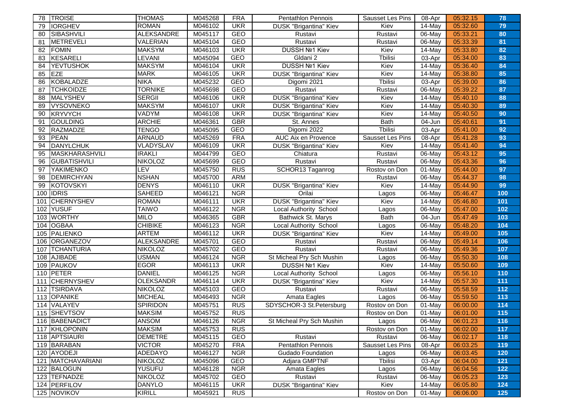| 78  | <b>TROISE</b>       | <b>THOMAS</b>     | M045268 | <b>FRA</b> | <b>Pentathlon Pennois</b>     | Sausset Les Pins | 08-Apr               | 05:32.15 | 78    |
|-----|---------------------|-------------------|---------|------------|-------------------------------|------------------|----------------------|----------|-------|
| 79  | <b>IORGHEV</b>      | <b>ROMAN</b>      | M046102 | <b>UKR</b> | DUSK "Brigantina" Kiev        | Kiev             | 14-May               | 05:32.60 | 79    |
| 80  | SIBASHVILI          | <b>ALEKSANDRE</b> | M045117 | <b>GEO</b> | Rustavi                       | Rustavi          | 06-May               | 05:33.21 | 80    |
| 81  | <b>METREVELI</b>    | <b>VALERIAN</b>   | M045104 | <b>GEO</b> | Rustavi                       | Rustavi          | 06-May               | 05:33.39 | 81    |
| 82  | <b>FOMIN</b>        | <b>MAKSYM</b>     | M046103 | <b>UKR</b> | DUSSH Nº1 Kiev                | Kiev             | 14-May               | 05:33.80 | 82    |
| 83  | KESARELI            | <b>LEVANI</b>     | M045094 | <b>GEO</b> | Gldani 2                      | Tbilisi          | 03-Apr               | 05:34.00 | 83    |
| 84  | <b>YEVTUSHOK</b>    | <b>MAKSYM</b>     | M046104 | <b>UKR</b> | <b>DUSSH Nº1 Kiev</b>         | Kiev             | 14-May               | 05:36.40 | 84    |
| 85  | <b>IEZE</b>         | <b>MARK</b>       | M046105 | <b>UKR</b> | <b>DUSK "Brigantina" Kiev</b> | Kiev             | 14-May               | 05:38.80 | 85    |
| 86  | KOBALADZE           | <b>NIKA</b>       | M045232 | <b>GEO</b> | Digomi 2021                   | Tbilisi          | 03-Apr               | 05:39.00 | 86    |
| 87  | <b>TCHKOIDZE</b>    | <b>TORNIKE</b>    | M045698 | GEO        | Rustavi                       | Rustavi          | 06-May               | 05:39.22 | 87    |
| 88  | MALYSHEV            | <b>SERGII</b>     | M046106 | <b>UKR</b> | DUSK "Brigantina" Kiev        | Kiev             | 14-May               | 05:40.10 | 88    |
| 89  | <b>VYSOVNEKO</b>    | <b>MAKSYM</b>     | M046107 | <b>UKR</b> | DUSK "Brigantina" Kiev        | Kiev             | $\overline{14}$ -May | 05:40.30 | 89    |
| 90  | KRYVYCH             | VADYM             | M046108 | <b>UKR</b> | DUSK "Brigantina" Kiev        | Kiev             | 14-May               | 05:40.50 | 90    |
| 91  | <b>GOULDING</b>     | <b>ARCHIE</b>     | M046361 | <b>GBR</b> | St. Annes                     | <b>Bath</b>      | 04-Jun               | 05:40.61 | 91    |
| 92  | RAZMADZE            | <b>TENGO</b>      | M045095 | <b>GEO</b> | Digomi 2022                   | <b>T</b> bilisi  | 03-Apr               | 05:41.00 | 92    |
| 93  | PEAN                | <b>ARNAUD</b>     | M045269 | <b>FRA</b> | AUC Aix en Provence           | Sausset Les Pins | 08-Apr               | 05:41.28 | 93    |
| 94  | <b>DANYLCHUK</b>    | VLADYSLAV         | M046109 | <b>UKR</b> | DUSK "Brigantina" Kiev        | Kiev             | 14-May               | 05:41.40 | 94    |
| 95  | MASKHARASHVILI      | <b>IRAKLI</b>     | M044799 | GEO        | Chiatura                      | Rustavi          | 06-May               | 05:43.12 | 95    |
| 96  | <b>GUBATISHVILI</b> | <b>NIKOLOZ</b>    | M045699 | <b>GEO</b> | Rustavi                       | Rustavi          | 06-May               | 05:43.36 | 96    |
| 97  | <b>YAKIMENKO</b>    | LEV               | M045750 | RUS        | SCHOR13 Taganrog              | Rostov on Don    | 01-May               | 05:44.00 | 97    |
| 98  | DEMIRCHYAN          | <b>NSHAN</b>      | M045700 | <b>ARM</b> |                               | Rustavi          | 06-May               | 05:44.37 | 98    |
| 99  | KOTOVSKYI           | <b>DENYS</b>      | M046110 | <b>UKR</b> | DUSK "Brigantina" Kiev        | Kiev             | 14-May               | 05:44.90 | 99    |
|     | 100 <b>IDRIS</b>    | <b>SAHEED</b>     | M046121 | <b>NGR</b> | Orilai                        | Lagos            | 06-May               | 05:46.47 | 100   |
| 101 | <b>CHERNYSHEV</b>   | <b>ROMAN</b>      | M046111 | <b>UKR</b> | <b>DUSK</b> "Brigantina" Kiev | Kiev             | 14-May               | 05:46.80 | 101   |
| 102 | <b>YUSUF</b>        | <b>TAIWO</b>      | M046122 | <b>NGR</b> | Local Authority School        | Lagos            | 06-May               | 05:47.00 | 102   |
| 103 | <b>WORTHY</b>       | <b>MILO</b>       | M046365 | <b>GBR</b> | Bathwick St. Marys            | <b>Bath</b>      | 04-Jun               | 05:47.49 | 103   |
| 104 | <b>OGBAA</b>        | <b>CHIBIKE</b>    | M046123 | <b>NGR</b> | Local Authority School        | Lagos            | 06-May               | 05:48.20 | 104   |
| 105 | PALIENKO            | <b>ARTEM</b>      | M046112 | <b>UKR</b> | DUSK "Brigantina" Kiev        | Kiev             | 14-May               | 05:49.00 | 105   |
| 106 | <b>ORGANEZOV</b>    | <b>ALEKSANDRE</b> | M045701 | GEO        | Rustavi                       | Rustavi          | 06-May               | 05:49.14 | 106   |
| 107 | <b>TCHANTURIA</b>   | <b>NIKOLOZ</b>    | M045702 | GEO        | Rustavi                       | Rustavi          | 06-May               | 05:49.36 | 107   |
| 108 | <b>AJIBADE</b>      | <b>USMAN</b>      | M046124 | <b>NGR</b> | St Micheal Pry Sch Mushin     | Lagos            | 06-May               | 05:50.30 | 108   |
| 109 | PAUKOV              | <b>EGOR</b>       | M046113 | <b>UKR</b> | DUSSH Nº1 Kiev                | Kiev             | 14-May               | 05:50.60 | 109   |
| 110 | PETER               | <b>DANIEL</b>     | M046125 | <b>NGR</b> | Local Authority School        | Lagos            | 06-May               | 05:56.10 | 110   |
| 111 | <b>CHERNYSHEV</b>   | <b>OLEKSANDR</b>  | M046114 | <b>UKR</b> | DUSK "Brigantina" Kiev        | Kiev             | 14-May               | 05:57.30 | 111   |
| 112 | <b>TSIRDAVA</b>     | <b>NIKOLOZ</b>    | M045103 | <b>GEO</b> | Rustavi                       | Rustavi          | 06-May               | 05:58.59 | $112$ |
|     | 113 OPANIKE         | <b>MICHEAL</b>    | M046493 | <b>NGR</b> | Amata Eagles                  | Lagos            | 06-May               | 05:59.50 | 113   |
|     | 114 VALAYEV         | <b>SPIRIDON</b>   | M045751 | <b>RUS</b> | SDYSCHOR-3 St.Petersburg      | Rostov on Don    | 01-May               | 06:00.00 | 114   |
| 115 | <b>SHEVTSOV</b>     | <b>MAKSIM</b>     | M045752 | <b>RUS</b> |                               | Rostov on Don    | 01-May               | 06:01.00 | 115   |
|     | 116 BABENADICT      | <b>ANSOM</b>      | M046126 | <b>NGR</b> | St Micheal Pry Sch Mushin     | Lagos            | 06-May               | 06:01.23 | 116   |
|     | 117 KHLOPONIN       | <b>MAKSIM</b>     | M045753 | <b>RUS</b> |                               | Rostov on Don    | 01-May               | 06:02.00 | 117   |
|     | 118 APTSIAURI       | <b>DEMETRE</b>    | M045115 | GEO        | Rustavi                       | Rustavi          | 06-May               | 06:02.17 | 118   |
|     | 119 BARABAN         | <b>VICTOR</b>     | M045270 | <b>FRA</b> | Pentathlon Pennois            | Sausset Les Pins | 08-Apr               | 06:03.25 | 119   |
|     | 120 AYODEJI         | <b>ADEDAYO</b>    | M046127 | <b>NGR</b> | Gudado Foundation             | Lagos            | 06-May               | 06:03.45 | 120   |
| 121 | MATCHAVARIANI       | <b>NIKOLOZ</b>    | M045096 | GEO        | Adjara GMPTNF                 | Tbilisi          | 03-Apr               | 06:04.00 | 121   |
|     | 122 BALOGUN         | <b>YUSUFU</b>     | M046128 | <b>NGR</b> | Amata Eagles                  | Lagos            | 06-May               | 06:04.56 | 122   |
|     | 123 TEFNADZE        | <b>NIKOLOZ</b>    | M045702 | GEO        | Rustavi                       | Rustavi          | 06-May               | 06:05.23 | 123   |
|     | 124 PERFILOV        | <b>DANYLO</b>     | M046115 | <b>UKR</b> | <b>DUSK</b> "Brigantina" Kiev | Kiev             | 14-May               | 06:05.80 | 124   |
|     | 125 NOVIKOV         | <b>KIRILL</b>     | M045921 | <b>RUS</b> |                               | Rostov on Don    | 01-May               | 06:06.00 | 125   |
|     |                     |                   |         |            |                               |                  |                      |          |       |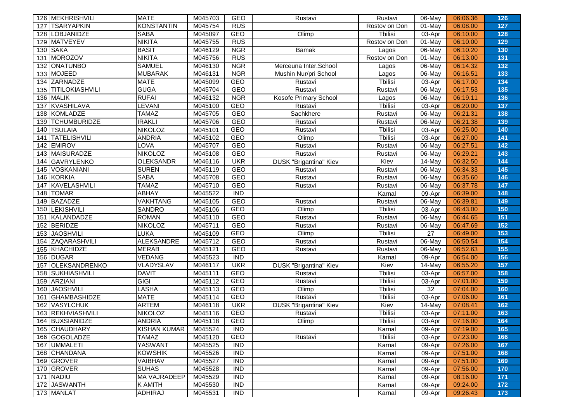|     | 126 MEKHRISHVILI    | <b>MATE</b>         | M045703 | <b>GEO</b>       | Rustavi                       | Rustavi         | 06-May               | 06:06.36 | 126 |
|-----|---------------------|---------------------|---------|------------------|-------------------------------|-----------------|----------------------|----------|-----|
| 127 | <b>TSARYAPKIN</b>   | <b>KONSTANTIN</b>   | M045754 | <b>RUS</b>       |                               | Rostov on Don   | $\overline{0}$ 1-May | 06:08.00 | 127 |
| 128 | <b>LOBJANIDZE</b>   | <b>SABA</b>         | M045097 | <b>GEO</b>       | Olimp                         | Tbilisi         | 03-Apr               | 06:10.00 | 128 |
| 129 | <b>MATVEYEV</b>     | <b>NIKITA</b>       | M045755 | <b>RUS</b>       |                               | Rostov on Don   | $01$ -May            | 06:10.00 | 129 |
|     | 130 SAKA            | <b>BASIT</b>        | M046129 | <b>NGR</b>       | <b>Bamak</b>                  | Lagos           | 06-May               | 06:10.20 | 130 |
| 131 | MOROZOV             | <b>NIKITA</b>       | M045756 | <b>RUS</b>       |                               | Rostov on Don   | 01-May               | 06:13.00 | 131 |
| 132 | <b>ONATUNBO</b>     | <b>SAMUEL</b>       | M046130 | <b>NGR</b>       | Merceuna Inter.School         | Lagos           | 06-May               | 06:14.32 | 132 |
| 133 | MOJEED              | <b>MUBARAK</b>      | M046131 | <b>NGR</b>       | Mushin Nur/pri School         | Lagos           | 06-May               | 06:16.51 | 133 |
| 134 | ZARNADZE            | <b>MATE</b>         | M045099 | <b>GEO</b>       | Rustavi                       | <b>Thilisi</b>  | 03-Apr               | 06:17.00 | 134 |
| 135 | TITILOKIASHVILI     | <b>GUGA</b>         | M045704 | <b>GEO</b>       | Rustavi                       | Rustavi         | 06-May               | 06:17.53 | 135 |
|     | 136 MALIK           | <b>RUFAI</b>        | M046132 | <b>NGR</b>       | Kosofe Primary School         | Lagos           | 06-May               | 06:19.11 | 136 |
| 137 | KVASHILAVA          | <b>EVANI</b>        | M045100 | <b>GEO</b>       | Rustavi                       | <b>Thilisi</b>  | 03-Apr               | 06:20.00 | 137 |
| 138 | KOMLADZE            | <b>TAMAZ</b>        | M045705 | GEO              | Sachkhere                     | Rustavi         | 06-May               | 06:21.31 | 138 |
| 139 | <b>TCHUMBURIDZE</b> | <b>IRAKLI</b>       | M045706 | GEO              | Rustavi                       | Rustavi         | 06-May               | 06:21.38 | 139 |
|     | 140 TSULAIA         | <b>NIKOLOZ</b>      | M045101 | <b>GEO</b>       | Rustavi                       | <b>T</b> bilisi | 03-Apr               | 06:25.00 | 140 |
| 141 | <b>TATELISHVILI</b> | <b>ANDRIA</b>       | M045102 | <b>GEO</b>       | Olimp                         | <b>T</b> bilisi | 03-Apr               | 06:27.00 | 141 |
| 142 | <b>EMIROV</b>       | LOVA                | M045707 | GEO              | Rustavi                       | Rustavi         | 06-May               | 06:27.51 | 142 |
|     | 143 MAISURADZE      | <b>NIKOLOZ</b>      | M045108 | <b>GEO</b>       | Rustavi                       | Rustavi         | 06-May               | 06:29.21 | 143 |
| 144 | GAVRYLENKO          | <b>OLEKSANDR</b>    | M046116 | <b>UKR</b>       | <b>DUSK "Brigantina" Kiev</b> | Kiev            | 14-May               | 06:32.50 | 144 |
| 145 | <b>VOSKANIANI</b>   | <b>SUREN</b>        | M045119 | <b>GEO</b>       | Rustavi                       | Rustavi         | 06-May               | 06:34.33 | 145 |
|     | 146 KORKIA          | <b>SABA</b>         | M045708 | GEO              | Rustavi                       | Rustavi         | 06-May               | 06:35.60 | 146 |
| 147 | KAVELASHVILI        | <b>TAMAZ</b>        | M045710 | GEO              | Rustavi                       | Rustavi         | 06-May               | 06:37.78 | 147 |
|     | 148 TOMAR           | <b>ABHAY</b>        | M045522 | <b>IND</b>       |                               | Karnal          | 09-Apr               | 06:39.00 | 148 |
|     | 149 BAZADZE         | <b>VAKHTANG</b>     | M045105 | <b>GEO</b>       | Rustavi                       | Rustavi         | 06-May               | 06:39.81 | 149 |
| 150 | LEKISHVILI          | <b>SANDRO</b>       | M045106 | <b>GEO</b>       | Olimp                         | Tbilisi         | 03-Apr               | 06:43.00 | 150 |
| 151 | KALANDADZE          | <b>ROMAN</b>        | M045110 | <b>GEO</b>       | Rustavi                       | Rustavi         | 06-May               | 06:44.65 | 151 |
| 152 | BERIDZE             | <b>NIKOLOZ</b>      | M045711 | <b>GEO</b>       | Rustavi                       | Rustavi         | 06-May               | 06:47.69 | 152 |
| 153 | <b>JAOSHVILI</b>    | <b>LUKA</b>         | M045109 | <b>GEO</b>       | Olimp                         | <b>Thilisi</b>  | 27                   | 06:49.00 | 153 |
| 154 | ZAQARASHVILI        | <b>ALEKSANDRE</b>   | M045712 | GEO              | Rustavi                       | Rustavi         | 06-May               | 06:50.54 | 154 |
|     | 155 KHACHIDZE       | <b>MERAB</b>        | M045121 | GEO              | Rustavi                       | Rustavi         | 06-May               | 06:52.63 | 155 |
|     | 156 DUGAR           | <b>VEDANG</b>       | M045523 | $\overline{IND}$ |                               | Karnal          | 09-Apr               | 06:54.00 | 156 |
| 157 | OLEKSANDRENKO       | VLADYSLAV           | M046117 | <b>UKR</b>       | <b>DUSK "Brigantina" Kiev</b> | Kiev            | 14-May               | 06:55.20 | 157 |
| 158 | SUKHIASHVILI        | <b>DAVIT</b>        | M045111 | GEO              | Rustavi                       | Tbilisi         | 03-Apr               | 06:57.00 | 158 |
| 159 | ARZIANI             | <b>GIGI</b>         | M045112 | <b>GEO</b>       | Rustavi                       | <b>T</b> bilisi | 03-Apr               | 07:01.00 | 159 |
| 160 | <b>JAOSHVILI</b>    | <b>LASHA</b>        | M045113 | <b>GEO</b>       | Olimp                         | <b>T</b> bilisi | 32                   | 07:04.00 | 160 |
| 161 | <b>GHAMBASHIDZE</b> | <b>MATE</b>         | M045114 | <b>GEO</b>       | Rustavi                       | <b>T</b> bilisi | 03-Apr               | 07:06.00 | 161 |
| 162 | <b>VASYLCHUK</b>    | <b>ARTEM</b>        | M046118 | <b>UKR</b>       | <b>DUSK</b> "Brigantina" Kiev | Kiev            | 14-May               | 07:08.41 | 162 |
| 163 | REKHVIASHVILI       | <b>NIKOLOZ</b>      | M045116 | <b>GEO</b>       | Rustavi                       | <b>T</b> bilisi | 03-Apr               | 07:11.00 | 163 |
|     | 164 BUXSIANIDZE     | <b>ANDRIA</b>       | M045118 | <b>GEO</b>       | Olimp                         | Tbilisi         | 03-Apr               | 07:16.00 | 164 |
|     | 165 CHAUDHARY       | KISHAN KUMAR        | M045524 | <b>IND</b>       |                               | Karnal          | 09-Apr               | 07:19.00 | 165 |
|     | 166 GOGOLADZE       | <b>TAMAZ</b>        | M045120 | <b>GEO</b>       | Rustavi                       | Tbilisi         | 03-Apr               | 07:23.00 | 166 |
|     | 167 UMMALETI        | <b>YASWANT</b>      | M045525 | <b>IND</b>       |                               | Karnal          | 09-Apr               | 07:26.00 | 167 |
|     | 168 CHANDANA        | <b>KOWSHIK</b>      | M045526 | <b>IND</b>       |                               | Karnal          | 09-Apr               | 07:51.00 | 168 |
|     | 169 GROVER          | VAIBHAV             | M045527 | <b>IND</b>       |                               | Karnal          | 09-Apr               | 07:51.00 | 169 |
|     | 170 GROVER          | <b>SUHAS</b>        | M045528 | <b>IND</b>       |                               | Karnal          | 09-Apr               | 07:56.00 | 170 |
|     | 171 NADIU           | <b>MA VAJRADEEP</b> | M045529 | <b>IND</b>       |                               | Karnal          | 09-Apr               | 08:16.00 | 171 |
|     | 172 JASWANTH        | <b>K AMITH</b>      | M045530 | <b>IND</b>       |                               | Karnal          | 09-Apr               | 09:24.00 | 172 |
|     | 173 MANLAT          | ADHIRAJ             | M045531 | <b>IND</b>       |                               | Karnal          | 09-Apr               | 09:26.43 | 173 |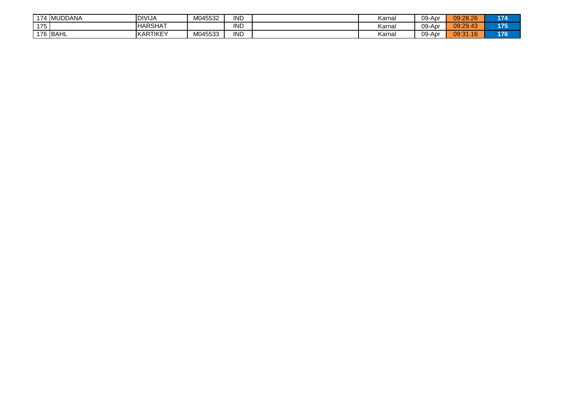| 474<br><b>IMUDDANA</b> | DIVI.<br>√IJA  | M045532 | <b>IND</b> | Karna | 09-Apr | 09:28.26     | 174 |
|------------------------|----------------|---------|------------|-------|--------|--------------|-----|
| 175<br>៸៶              | <b>HARSHAT</b> |         | <b>IND</b> | Karna | 09-Apr | 09:29.43     | 175 |
| วิ <b>BAHL</b><br>176  | KARTIKEY       | M045533 | <b>IND</b> | Karna | 09-Apr | 09:31<br>.16 | 176 |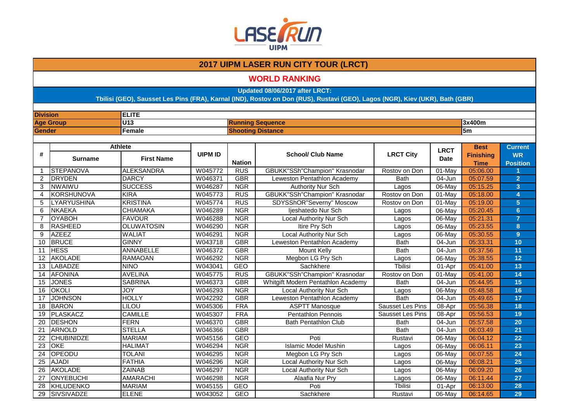

#### **WORLD RANKING**

**Updated 08/06/2017 after LRCT:**

| <b>Division</b> |                    | <b>ELITE</b>      |                |                          |                                      |                         |             |                                 |                              |  |
|-----------------|--------------------|-------------------|----------------|--------------------------|--------------------------------------|-------------------------|-------------|---------------------------------|------------------------------|--|
|                 | <b>Age Group</b>   | U <sub>13</sub>   |                | <b>Running Sequence</b>  |                                      |                         |             | 3x400m                          |                              |  |
| <b>Gender</b>   |                    | Female            |                | <b>Shooting Distance</b> |                                      |                         |             | 5 <sub>m</sub>                  |                              |  |
|                 |                    |                   |                |                          |                                      |                         |             |                                 |                              |  |
|                 |                    | <b>Athlete</b>    |                |                          |                                      |                         | <b>LRCT</b> | <b>Best</b>                     | <b>Current</b>               |  |
| #               | <b>Surname</b>     | <b>First Name</b> | <b>UIPM ID</b> | <b>Nation</b>            | <b>School/ Club Name</b>             | <b>LRCT City</b>        | <b>Date</b> | <b>Finishing</b><br><b>Time</b> | <b>WR</b><br><b>Position</b> |  |
| $\mathbf{1}$    | STEPANOVA          | <b>ALEKSANDRA</b> | W045772        | <b>RUS</b>               | <b>GBUKK"SSh"Champion" Krasnodar</b> | Rostov on Don           | $01$ -May   | 05:06.00                        |                              |  |
| $\overline{2}$  | <b>DRYDEN</b>      | <b>DARCY</b>      | W046371        | <b>GBR</b>               | Leweston Pentathlon Academy          | <b>Bath</b>             | 04-Jun      | 05:07.59                        | $\overline{2}$               |  |
| 3               | NWAIWU             | <b>SUCCESS</b>    | W046287        | <b>NGR</b>               | <b>Authority Nur Sch</b>             | Lagos                   | 06-May      | 05:15.25                        | 3                            |  |
| 4               | <b>KORSHUNOVA</b>  | <b>KIRA</b>       | W045773        | <b>RUS</b>               | GBUKK"SSh"Champion" Krasnodar        | Rostov on Don           | 01-May      | 05:18.00                        | 4                            |  |
| 5               | <b>LYARYUSHINA</b> | <b>KRISTINA</b>   | W045774        | <b>RUS</b>               | SDYSShOR"Severny" Moscow             | Rostov on Don           | $01$ -May   | 05:19.00                        | 5                            |  |
| 6               | <b>NKAEKA</b>      | <b>CHIAMAKA</b>   | W046289        | <b>NGR</b>               | ljeshatedo Nur Sch                   | Lagos                   | 06-May      | 05:20.45                        | $6\phantom{a}$               |  |
| $\overline{7}$  | <b>OYABOH</b>      | <b>FAVOUR</b>     | W046288        | <b>NGR</b>               | Local Authority Nur Sch              | Lagos                   | 06-May      | 05:21.31                        | $\overline{7}$               |  |
| 8               | RASHEED            | <b>OLUWATOSIN</b> | W046290        | <b>NGR</b>               | Itire Pry Sch                        | Lagos                   | 06-May      | 05:23.55                        | 8                            |  |
| 9               | <b>AZEEZ</b>       | <b>WALIAT</b>     | W046291        | <b>NGR</b>               | Local Authority Nur Sch              | Lagos                   | 06-May      | 05:30.55                        | 9 <sup>°</sup>               |  |
| 10              | <b>BRUCE</b>       | <b>GINNY</b>      | W043718        | <b>GBR</b>               | Leweston Pentathlon Academy          | <b>Bath</b>             | 04-Jun      | 05:33.31                        | 10                           |  |
| 11              | <b>HESS</b>        | <b>ANNABELLE</b>  | W046372        | <b>GBR</b>               | Mount Kelly                          | <b>Bath</b>             | 04-Jun      | 05:37.56                        | 11                           |  |
| 12              | <b>AKOLADE</b>     | <b>RAMAOAN</b>    | W046292        | <b>NGR</b>               | Megbon LG Pry Sch                    | Lagos                   | 06-May      | 05:38.55                        | 12                           |  |
| 13              | LABADZE            | <b>NINO</b>       | W043041        | GEO                      | Sachkhere                            | Tbilisi                 | 01-Apr      | 05:41.00                        | 13                           |  |
| 14              | <b>AFONINA</b>     | <b>AVELINA</b>    | W045775        | <b>RUS</b>               | <b>GBUKK"SSh"Champion" Krasnodar</b> | Rostov on Don           | 01-May      | 05:41.00                        | 14                           |  |
| 15              | <b>JONES</b>       | <b>SABRINA</b>    | W046373        | <b>GBR</b>               | Whitgift Modern Pentathlon Academy   | <b>Bath</b>             | 04-Jun      | 05:44.95                        | 15                           |  |
| 16              | <b>OKOLI</b>       | <b>JOY</b>        | W046293        | <b>NGR</b>               | Local Authority Nur Sch              | Lagos                   | 06-May      | 05:48.58                        | 16                           |  |
| 17              | <b>JOHNSON</b>     | <b>HOLLY</b>      | W042292        | <b>GBR</b>               | Leweston Pentathlon Academy          | <b>Bath</b>             | $04 - Jun$  | 05:49.65                        | 17                           |  |
| 18              | <b>BARON</b>       | LILOU             | W045306        | <b>FRA</b>               | <b>ASPTT Manosque</b>                | Sausset Les Pins        | 08-Apr      | 05:56.38                        | 18                           |  |
| 19              | PLASKACZ           | <b>CAMILLE</b>    | W045307        | <b>FRA</b>               | <b>Pentathlon Pennois</b>            | <b>Sausset Les Pins</b> | 08-Apr      | 05:56.53                        | 19                           |  |
| 20              | <b>DESHON</b>      | <b>FERN</b>       | W046370        | <b>GBR</b>               | <b>Bath Pentathlon Club</b>          | <b>Bath</b>             | 04-Jun      | 05:57.58                        | 20                           |  |
| 21              | ARNOLD             | <b>STELLA</b>     | W046366        | <b>GBR</b>               |                                      | <b>Bath</b>             | $04 - Jun$  | 06:03.49                        | 21                           |  |
| 22              | <b>CHUBINIDZE</b>  | <b>MARIAM</b>     | W045156        | <b>GEO</b>               | Poti                                 | Rustavi                 | 06-May      | 06:04.12                        | 22                           |  |
| 23              | <b>OKE</b>         | <b>HALIMAT</b>    | W046294        | <b>NGR</b>               | <b>Islamic Model Mushin</b>          | Lagos                   | 06-May      | 06:06.11                        | 23                           |  |
| 24              | OPEODU             | <b>TOLANI</b>     | W046295        | <b>NGR</b>               | Megbon LG Pry Sch                    | Lagos                   | 06-May      | 06:07.55                        | 24                           |  |
| $\overline{25}$ | <b>AJADI</b>       | <b>FATHIA</b>     | W046296        | <b>NGR</b>               | Local Authority Nur Sch              | Lagos                   | 06-May      | 06:08.21                        | 25                           |  |
| 26              | <b>AKOLADE</b>     | <b>ZAINAB</b>     | W046297        | <b>NGR</b>               | Local Authority Nur Sch              | Lagos                   | 06-May      | 06:09.20                        | 26                           |  |
| 27              | <b>ONYEBUCHI</b>   | <b>AMARACHI</b>   | W046298        | <b>NGR</b>               | Alaafia Nur Pry                      | Lagos                   | 06-May      | 06:11.44                        | $\overline{27}$              |  |
| 28              | <b>KHLUDENKO</b>   | <b>MARIAM</b>     | W045155        | <b>GEO</b>               | Poti                                 | Tbilisi                 | 01-Apr      | 06:13.00                        | 28                           |  |
| 29              | <b>SIVSIVADZE</b>  | <b>ELENE</b>      | W043052        | <b>GEO</b>               | Sachkhere                            | Rustavi                 | 06-May      | 06:14.65                        | 29                           |  |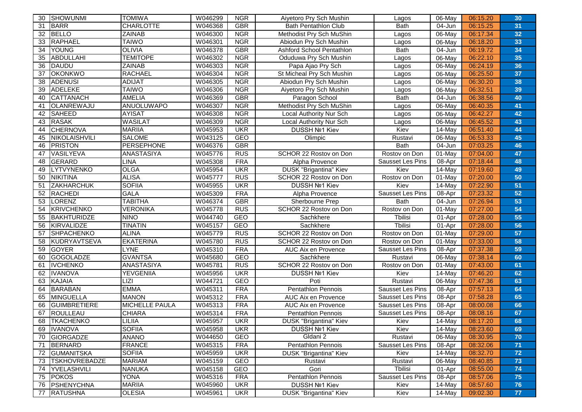| 30  | SHOWUNMI             | <b>TOMIWA</b>     | W046299 | <b>NGR</b> | Aiyetoro Pry Sch Mushin       | Lagos            | 06-May                | 06:15.20 | 30 |
|-----|----------------------|-------------------|---------|------------|-------------------------------|------------------|-----------------------|----------|----|
| -31 | <b>BARR</b>          | <b>CHARLOTTE</b>  | W046368 | <b>GBR</b> | <b>Bath Pentathlon Club</b>   | <b>Bath</b>      | 04-Jun                | 06:15.25 | 31 |
| 32  | <b>BELLO</b>         | <b>ZAINAB</b>     | W046300 | <b>NGR</b> | Methodist Pry Sch MuShin      | Lagos            | $06 - \overline{May}$ | 06:17.34 | 32 |
| 33  | <b>RAPHAEL</b>       | <b>TAIWO</b>      | W046301 | <b>NGR</b> | Abiodun Pry Sch Mushin        | Lagos            | 06-May                | 06:18.20 | 33 |
| 34  | <b>YOUNG</b>         | <b>OLIVIA</b>     | W046378 | <b>GBR</b> | Ashford School Pentathlon     | <b>Bath</b>      | 04-Jun                | 06:19.72 | 34 |
| 35  | <b>ABDULLAHI</b>     | <b>TEMITOPE</b>   | W046302 | <b>NGR</b> | Oduduwa Pry Sch Mushin        | Lagos            | 06-May                | 06:22.10 | 35 |
| 36  | <b>DAUDU</b>         | ZAINAB            | W046303 | <b>NGR</b> | Papa Ajao Pry Sch             | Lagos            | 06-May                | 06:24.19 | 36 |
| 37  | <b>OKONKWO</b>       | <b>RACHAEL</b>    | W046304 | <b>NGR</b> | St Micheal Pry Sch Mushin     | Lagos            | 06-May                | 06:25.50 | 37 |
| 38  | <b>ADENUSI</b>       | ADIJAT            | W046305 | <b>NGR</b> | Abiodun Pry Sch Mushin        | Lagos            | 06-May                | 06:30.20 | 38 |
| 39  | <b>ADELEKE</b>       | <b>TAIWO</b>      | W046306 | <b>NGR</b> | Aiyetoro Pry Sch Mushin       | Lagos            | 06-May                | 06:32.51 | 39 |
| 40  | <b>CATTANACH</b>     | AMELIA            | W046369 | <b>GBR</b> | Paragon School                | <b>Bath</b>      | 04-Jun                | 06:38.56 | 40 |
| 41  | OLANREWAJU           | <b>ANUOLUWAPO</b> | W046307 | <b>NGR</b> | Methodist Pry Sch MuShin      | Lagos            | 06-May                | 06:40.35 | 41 |
| 42  | <b>SAHEED</b>        | <b>AYISAT</b>     | W046308 | <b>NGR</b> | Local Authority Nur Sch       | Lagos            | 06-May                | 06:42.27 | 42 |
| 43  | <b>RASAK</b>         | <b>WASILAT</b>    | W046309 | <b>NGR</b> | Local Authority Nur Sch       | Lagos            | 06-May                | 06:45.52 | 43 |
| 44  | <b>CHERNOVA</b>      | <b>MARIIA</b>     | W045953 | <b>UKR</b> | DUSSH №1 Kiev                 | Kiev             | 14-May                | 06:51.40 | 44 |
| 45  | NIKOLAISHVILI        | <b>SALOME</b>     | W043125 | <b>GEO</b> | Olimpic                       | Rustavi          | 06-May                | 06:53.33 | 45 |
| 46  | <b>PRISTON</b>       | PERSEPHONE        | W046376 | <b>GBR</b> |                               | <b>Bath</b>      | 04-Jun                | 07:03.25 | 46 |
| 47  | VASILYEVA            | <b>ANASTASIYA</b> | W045776 | <b>RUS</b> | SCHOR 22 Rostov on Don        | Rostov on Don    | 01-May                | 07:04.00 | 47 |
| 48  | GERARD               | <b>LINA</b>       | W045308 | <b>FRA</b> | Alpha Provence                | Sausset Les Pins | 08-Apr                | 07:18.44 | 48 |
| 49  | <b>LYTVYNENKO</b>    | <b>OLGA</b>       | W045954 | <b>UKR</b> | <b>DUSK "Brigantina" Kiev</b> | Kiev             | 14-May                | 07:19.60 | 49 |
| 50  | <b>NIKITINA</b>      | <b>ALISA</b>      | W045777 | <b>RUS</b> | SCHOR 22 Rostov on Don        | Rostov on Don    | $01$ -May             | 07:20.00 | 50 |
| 51  | <b>ZAKHARCHUK</b>    | <b>SOFIIA</b>     | W045955 | <b>UKR</b> | DUSSH Nº1 Kiev                | Kiev             | 14-May                | 07:22.90 | 51 |
| 52  | <b>RACHEDI</b>       | <b>GALA</b>       | W045309 | <b>FRA</b> | Alpha Provence                | Sausset Les Pins | 08-Apr                | 07:23.32 | 52 |
| 53  | <b>LORENZ</b>        | <b>TABITHA</b>    | W046374 | <b>GBR</b> | Sherbourne Prep               | <b>Bath</b>      | 04-Jun                | 07:26.94 | 53 |
| 54  | <b>KRIVCHENKO</b>    | <b>VERONIKA</b>   | W045778 | <b>RUS</b> | SCHOR 22 Rostov on Don        | Rostov on Don    | 01-May                | 07:27.00 | 54 |
| 55  | <b>BAKHTURIDZE</b>   | <b>NINO</b>       | W044740 | <b>GEO</b> | Sachkhere                     | Tbilisi          | 01-Apr                | 07:28.00 | 55 |
| 56  | KIRVALIDZE           | <b>TINATIN</b>    | W045157 | GEO        | Sachkhere                     | Tbilisi          | 01-Apr                | 07:28.00 | 56 |
| 57  | <b>SHPACHENKO</b>    | <b>ALINA</b>      | W045779 | <b>RUS</b> | SCHOR 22 Rostov on Don        | Rostov on Don    | $01$ -May             | 07:29.00 | 57 |
| 58  | KUDRYAVTSEVA         | <b>EKATERINA</b>  | W045780 | <b>RUS</b> | SCHOR 22 Rostov on Don        | Rostov on Don    | 01-May                | 07:33.00 | 58 |
| 59  | <b>GOYER</b>         | <b>LYNE</b>       | W045310 | <b>FRA</b> | AUC Aix en Provence           | Sausset Les Pins | 08-Apr                | 07:37.38 | 59 |
| 60  | <b>GOGOLADZE</b>     | <b>GVANTSA</b>    | W045680 | <b>GEO</b> | Sachkhere                     | Rustavi          | 06-May                | 07:38.14 | 60 |
| 61  | <b>IVCHENKO</b>      | <b>ANASTASIYA</b> | W045781 | <b>RUS</b> | SCHOR 22 Rostov on Don        | Rostov on Don    | 01-May                | 07:43.00 | 61 |
| 62  | <b>IVANOVA</b>       | YEVGENIIA         | W045956 | <b>UKR</b> | DUSSH Nº1 Kiev                | Kiev             | 14-May                | 07:46.20 | 62 |
| 63  | <b>KAJAIA</b>        | LIZI              | W044721 | GEO        | Poti                          | Rustavi          | 06-May                | 07:47.36 | 63 |
| 64  | <b>BARABAN</b>       | <b>EMMA</b>       | W045311 | <b>FRA</b> | Pentathlon Pennois            | Sausset Les Pins | 08-Apr                | 07:57.13 | 64 |
| 65  | <b>MINGUELLA</b>     | <b>MANON</b>      | W045312 | <b>FRA</b> | AUC Aix en Provence           | Sausset Les Pins | 08-Apr                | 07:58.28 | 65 |
| 66  | <b>GUIMBRETIERE</b>  | MICHELLE PAULA    | W045313 | <b>FRA</b> | AUC Aix en Provence           | Sausset Les Pins | 08-Apr                | 08:00.08 | 66 |
| 67  | <b>ROULLEAU</b>      | <b>CHIARA</b>     | W045314 | <b>FRA</b> | <b>Pentathlon Pennois</b>     | Sausset Les Pins | 08-Apr                | 08:08.16 | 67 |
| 68  | <b>TKACHENKO</b>     | <b>LILIIA</b>     | W045957 | <b>UKR</b> | <b>DUSK "Brigantina" Kiev</b> | Kiev             | $14$ -May             | 08:17.20 | 68 |
|     | 69 IVANOVA           | <b>SOFIIA</b>     | W045958 | <b>UKR</b> | <b>DUSSH Nº1 Kiev</b>         | Kiev             | 14-May                | 08:23.60 | 69 |
| 70  | GIORGADZE            | <b>ANANO</b>      | W044650 | GEO        | Gldani 2                      | Rustavi          | 06-May                | 08:30.95 | 70 |
| 71  | BERNARD              | <b>FRANCE</b>     | W045315 | <b>FRA</b> | Pentathlon Pennois            | Sausset Les Pins | 08-Apr                | 08:32.06 | 71 |
| 72  | <b>GUMANITSKA</b>    | <b>SOFIIA</b>     | W045959 | <b>UKR</b> | <b>DUSK "Brigantina" Kiev</b> | Kiev             | 14-May                | 08:32.70 | 72 |
| 73  | <b>TSKHOVREBADZE</b> | <b>MARIAM</b>     | W045159 | GEO        | Rustavi                       | Rustavi          | 06-May                | 08:40.85 | 73 |
| 74  | YVELASHVILI          | <b>NANUKA</b>     | W045158 | GEO        | Gori                          | Tbilisi          | 01-Apr                | 08:55.00 | 74 |
| 75  | <b>POKOS</b>         | <b>YONA</b>       | W045316 | <b>FRA</b> | Pentathlon Pennois            | Sausset Les Pins | 08-Apr                | 08:57.06 | 75 |
| 76  | PSHENYCHNA           | <b>MARIIA</b>     | W045960 | <b>UKR</b> | DUSSH Nº1 Kiev                | Kiev             | 14-May                | 08:57.60 | 76 |
| 77  | <b>RATUSHNA</b>      | <b>OLESIA</b>     | W045961 | <b>UKR</b> | <b>DUSK "Brigantina" Kiev</b> | Kiev             | 14-May                | 09:02.30 | 77 |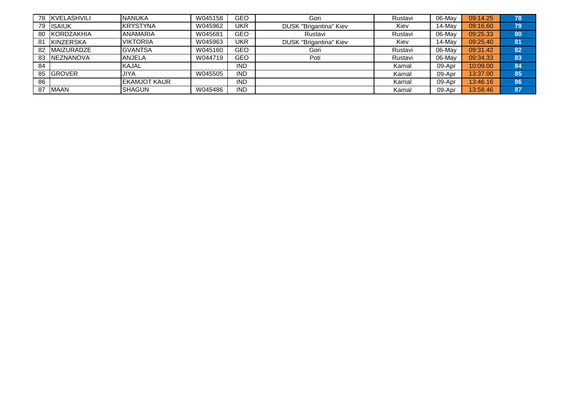|    | 78 KVELASHVILI    | <b>NANUKA</b>        | W045158 | GEO        | Gori                          | Rustavi | 06-May | 09:14.25 | 78 |
|----|-------------------|----------------------|---------|------------|-------------------------------|---------|--------|----------|----|
| 79 | <b>ISAIUK</b>     | <b>KRYSTYNA</b>      | W045962 | UKR        | <b>DUSK "Brigantina" Kiev</b> | Kiev    | 14-Mav | 09:16.60 | 79 |
| 80 | <b>KORDZAKHIA</b> | <b>ANAMARIA</b>      | W045681 | GEO        | Rustavi                       | Rustavi | 06-May | 09:25.33 | 80 |
| 81 | <b>KINZERSKA</b>  | <b>VIKTORIIA</b>     | W045963 | <b>UKR</b> | DUSK "Brigantina" Kiev        | Kiev    | 14-Mav | 09:25.40 | 81 |
| 82 | <b>MAIZURADZE</b> | <b>GVANTSA</b>       | W045160 | GEO        | Gori                          | Rustavi | 06-May | 09:31.42 | 82 |
| 83 | <b>INEZNANOVA</b> | <b>ANJELA</b>        | W044719 | <b>GEO</b> | Poti                          | Rustavi | 06-May | 09:34.33 | 83 |
| 84 |                   | <b>KAJAL</b>         |         | <b>IND</b> |                               | Karnal  | 09-Apr | 10:09.00 | 84 |
|    | 85 GROVER         | <b>JIYA</b>          | W045505 | <b>IND</b> |                               | Karnal  | 09-Apr | 13:37.00 | 85 |
| 86 |                   | <b>IEKAMJOT KAUR</b> |         | <b>IND</b> |                               | Karnal  | 09-Apr | 13:46.16 | 86 |
| 87 | <b>IMAAN</b>      | <b>I</b> SHAGUN      | W045486 | <b>IND</b> |                               | Karnal  | 09-Apr | 13:58.46 | 87 |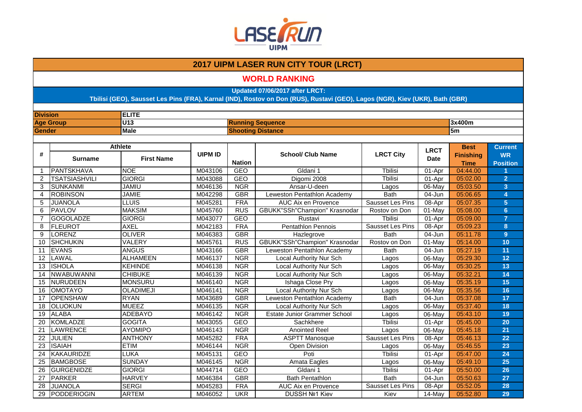

### **WORLD RANKING**

**Updated 07/06/2017 after LRCT:**

| <b>Division</b> |                                  | <b>ELITE</b>      |                |               |                                      |                  |                            |                                                |                                                |
|-----------------|----------------------------------|-------------------|----------------|---------------|--------------------------------------|------------------|----------------------------|------------------------------------------------|------------------------------------------------|
|                 | <b>Age Group</b>                 | U13               |                |               | <b>Running Sequence</b>              |                  |                            | 3x400m                                         |                                                |
| <b>Gender</b>   |                                  | <b>Male</b>       |                |               | <b>Shooting Distance</b>             |                  |                            | 5 <sub>m</sub>                                 |                                                |
|                 |                                  |                   |                |               |                                      |                  |                            |                                                |                                                |
| #               | <b>Athlete</b><br><b>Surname</b> | <b>First Name</b> | <b>UIPM ID</b> | <b>Nation</b> | <b>School/ Club Name</b>             | <b>LRCT City</b> | <b>LRCT</b><br><b>Date</b> | <b>Best</b><br><b>Finishing</b><br><b>Time</b> | <b>Current</b><br><b>WR</b><br><b>Position</b> |
| $\mathbf 1$     | <b>PANTSKHAVA</b>                | <b>NOE</b>        | M043106        | <b>GEO</b>    | Gldani 1                             | <b>T</b> bilisi  | 01-Apr                     | 04:44.00                                       |                                                |
| 2               | <b>TSATSIASHVILI</b>             | <b>GIORGI</b>     | M043088        | <b>GEO</b>    | Digomi 2008                          | <b>Tbilisi</b>   | 01-Apr                     | 05:02.00                                       | $\overline{2}$                                 |
| 3               | <b>SUNKANMI</b>                  | <b>JAMIU</b>      | M046136        | <b>NGR</b>    | Ansar-U-deen                         | Lagos            | 06-May                     | 05:03.50                                       | 3 <sup>2</sup>                                 |
| $\overline{4}$  | <b>ROBINSON</b>                  | <b>JAMIE</b>      | M042298        | <b>GBR</b>    | Leweston Pentathlon Academy          | <b>Bath</b>      | 04-Jun                     | 05:06.65                                       | $\overline{4}$                                 |
| 5               | <b>JUANOLA</b>                   | <b>LLUIS</b>      | M045281        | <b>FRA</b>    | <b>AUC Aix en Provence</b>           | Sausset Les Pins | 08-Apr                     | 05:07.35                                       | $5\phantom{.}$                                 |
| 6               | <b>PAVLOV</b>                    | <b>MAKSIM</b>     | M045760        | <b>RUS</b>    | <b>GBUKK"SSh"Champion" Krasnodar</b> | Rostov on Don    | $01$ -May                  | 05:08.00                                       | 6 <sup>1</sup>                                 |
| $\overline{7}$  | <b>GOGOLADZE</b>                 | <b>GIORGI</b>     | M043077        | <b>GEO</b>    | Rustavi                              | <b>T</b> bilisi  | 01-Apr                     | 05:09.00                                       | $\overline{7}$                                 |
| 8               | <b>FLEUROT</b>                   | <b>AXEL</b>       | M042183        | <b>FRA</b>    | <b>Pentathlon Pennois</b>            | Sausset Les Pins | 08-Apr                     | 05:09.23                                       | 8                                              |
| 9               | <b>LORENZ</b>                    | <b>OLIVER</b>     | M046383        | <b>GBR</b>    | Hazlegrove                           | <b>Bath</b>      | $04 - Jun$                 | 05:11.78                                       | 9                                              |
| 10              | <b>SHCHUKIN</b>                  | <b>VALERY</b>     | M045761        | <b>RUS</b>    | GBUKK"SSh"Champion" Krasnodar        | Rostov on Don    | 01-May                     | 05:14.00                                       | 10                                             |
| 11              | <b>EVANS</b>                     | <b>ANGUS</b>      | M043166        | <b>GBR</b>    | Leweston Pentathlon Academy          | <b>Bath</b>      | 04-Jun                     | 05:27.19                                       | 11                                             |
| 12              | LAWAL                            | <b>ALHAMEEN</b>   | M046137        | <b>NGR</b>    | Local Authority Nur Sch              | Lagos            | 06-May                     | 05:29.30                                       | 12                                             |
| 13              | <b>ISHOLA</b>                    | <b>KEHINDE</b>    | M046138        | <b>NGR</b>    | Local Authority Nur Sch              | Lagos            | 06-May                     | 05:30.25                                       | 13                                             |
| 14              | <b>NWABUWANNI</b>                | <b>CHIBUKE</b>    | M046139        | <b>NGR</b>    | Local Authority Nur Sch              | Lagos            | 06-May                     | 05:32.21                                       | 14                                             |
| 15              | <b>NURUDEEN</b>                  | <b>MONSURU</b>    | M046140        | <b>NGR</b>    | Ishaga Close Pry                     | Lagos            | 06-May                     | 05:35.19                                       | 15                                             |
| 16              | <b>OMOTAYO</b>                   | <b>OLADIMEJI</b>  | M046141        | <b>NGR</b>    | <b>Local Authority Nur Sch</b>       | Lagos            | 06-May                     | 05:35.56                                       | 16                                             |
| 17              | <b>OPENSHAW</b>                  | <b>RYAN</b>       | M043689        | <b>GBR</b>    | Leweston Pentathlon Academy          | <b>Bath</b>      | 04-Jun                     | 05:37.08                                       | 17                                             |
| 18              | OLUOKUN                          | <b>MUEEZ</b>      | M046135        | <b>NGR</b>    | <b>Local Authority Nur Sch</b>       | Lagos            | 06-May                     | 05:37.40                                       | 18                                             |
| 19              | <b>ALABA</b>                     | <b>ADEBAYO</b>    | M046142        | <b>NGR</b>    | Estate Junior Grammer School         | Lagos            | 06-May                     | 05:43.10                                       | 19                                             |
| 20              | <b>KOMLADZE</b>                  | <b>GOGITA</b>     | M043055        | <b>GEO</b>    | Sachkhere                            | <b>Thilisi</b>   | 01-Apr                     | 05:45.00                                       | 20                                             |
| 21              | <b>LAWRENCE</b>                  | <b>AYOMIPO</b>    | M046143        | <b>NGR</b>    | <b>Anointed Reel</b>                 | Lagos            | 06-May                     | 05:45.18                                       | 21                                             |
| 22              | JULIEN                           | <b>ANTHONY</b>    | M045282        | <b>FRA</b>    | <b>ASPTT Manosque</b>                | Sausset Les Pins | 08-Apr                     | 05:46.13                                       | 22                                             |
| $\overline{23}$ | <b>ISAIAH</b>                    | <b>ETIM</b>       | M046144        | <b>NGR</b>    | <b>Open Division</b>                 | Lagos            | 06-May                     | 05:46.55                                       | 23                                             |
| 24              | <b>KAKAURIDZE</b>                | LUKA              | M045131        | <b>GEO</b>    | Poti                                 | <b>Tbilisi</b>   | 01-Apr                     | 05:47.00                                       | 24                                             |
| 25              | <b>BAMGBOSE</b>                  | <b>SUNDAY</b>     | M046145        | <b>NGR</b>    | Amata Eagles                         | Lagos            | 06-May                     | 05:49.10                                       | 25                                             |
| 26              | <b>GURGENIDZE</b>                | <b>GIORGI</b>     | M044714        | <b>GEO</b>    | Gldani 1                             | <b>T</b> bilisi  | 01-Apr                     | 05:50.00                                       | 26                                             |
| 27              | <b>PARKER</b>                    | <b>HARVEY</b>     | M046384        | <b>GBR</b>    | <b>Bath Pentathlon</b>               | <b>Bath</b>      | 04-Jun                     | 05:50.63                                       | 27                                             |
| 28              | <b>JUANOLA</b>                   | <b>SERGI</b>      | M045283        | <b>FRA</b>    | AUC Aix en Provence                  | Sausset Les Pins | 08-Apr                     | 05:52.05                                       | 28                                             |
| 29              | PODDERIOGIN                      | <b>ARTEM</b>      | M046052        | <b>UKR</b>    | DUSSH Nº1 Kiev                       | Kiev             | 14-May                     | 05:52.80                                       | 29                                             |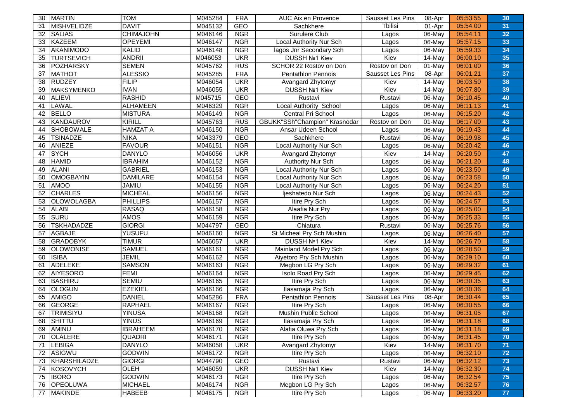| 30 | MARTIN             | <b>TOM</b>       | M045284 | <b>FRA</b> | AUC Aix en Provence           | Sausset Les Pins | 08-Apr               | 05:53.55 | 30 |
|----|--------------------|------------------|---------|------------|-------------------------------|------------------|----------------------|----------|----|
| 31 | <b>MISHVELIDZE</b> | <b>DAVIT</b>     | M045132 | <b>GEO</b> | Sachkhere                     | Tbilisi          | 01-Apr               | 05:54.00 | 31 |
| 32 | <b>SALIAS</b>      | <b>CHIMAJOHN</b> | M046146 | <b>NGR</b> | Surulere Club                 | Lagos            | 06-May               | 05:54.11 | 32 |
| 33 | <b>KAZEEM</b>      | <b>OPEYEMI</b>   | M046147 | <b>NGR</b> | Local Authority Nur Sch       | Lagos            | 06-May               | 05:57.15 | 33 |
| 34 | <b>AKANIMODO</b>   | <b>KALID</b>     | M046148 | <b>NGR</b> | lagos Jnr Secondary Sch       | Lagos            | 06-May               | 05:59.33 | 34 |
| 35 | <b>TURTSEVICH</b>  | <b>ANDRII</b>    | M046053 | <b>UKR</b> | DUSSH Nº1 Kiev                | Kiev             | 14-May               | 06:00.10 | 35 |
| 36 | <b>POZHARSKY</b>   | <b>SEMEN</b>     | M045762 | <b>RUS</b> | SCHOR 22 Rostov on Don        | Rostov on Don    | 01-May               | 06:01.00 | 36 |
| 37 | <b>MATHOT</b>      | <b>ALESSIO</b>   | M045285 | <b>FRA</b> | Pentathlon Pennois            | Sausset Les Pins | 08-Apr               | 06:01.21 | 37 |
| 38 | <b>RUDZEY</b>      | <b>FILIP</b>     | M046054 | <b>UKR</b> | Avangard Zhytomyr             | Kiev             | 14-May               | 06:03.50 | 38 |
| 39 | <b>MAKSYMENKO</b>  | <b>IVAN</b>      | M046055 | <b>UKR</b> | <b>DUSSH Nº1 Kiev</b>         | Kiev             | 14-May               | 06:07.80 | 39 |
| 40 | <b>ALIEVI</b>      | <b>RASHID</b>    | M045715 | GEO        | Rustavi                       | Rustavi          | $06$ -May            | 06:10.45 | 40 |
| 41 | <b>LAWAL</b>       | <b>ALHAMEEN</b>  | M046329 | <b>NGR</b> | Local Authority School        | Lagos            | 06-May               | 06:11.13 | 41 |
| 42 | <b>BELLO</b>       | <b>MISTURA</b>   | M046149 | <b>NGR</b> | Central Pri School            | Lagos            | 06-May               | 06:15.20 | 42 |
| 43 | <b>KANDAUROV</b>   | <b>KIRILL</b>    | M045763 | <b>RUS</b> | GBUKK"SSh"Champion" Krasnodar | Rostov on Don    | 01-May               | 06:17.00 | 43 |
| 44 | <b>SHOBOWALE</b>   | <b>HAMZAT A</b>  | M046150 | <b>NGR</b> | Ansar Udeen School            | Lagos            | 06-May               | 06:19.43 | 44 |
| 45 | <b>TSINADZE</b>    | <b>NIKA</b>      | M043379 | <b>GEO</b> | Sachkhere                     | Rustavi          | 06-May               | 06:19.98 | 45 |
| 46 | ANIEZE             | <b>FAVOUR</b>    | M046151 | <b>NGR</b> | Local Authority Nur Sch       | Lagos            | 06-May               | 06:20.42 | 46 |
| 47 | <b>SYCH</b>        | <b>DANYLO</b>    | M046056 | <b>UKR</b> | Avangard Zhytomyr             | Kiev             | 14-May               | 06:20.50 | 47 |
| 48 | <b>HAMID</b>       | <b>IBRAHIM</b>   | M046152 | <b>NGR</b> | Authority Nur Sch             | Lagos            | 06-May               | 06:21.20 | 48 |
| 49 | <b>ALANI</b>       | <b>GABRIEL</b>   | M046153 | <b>NGR</b> | Local Authority Nur Sch       | Lagos            | 06-May               | 06:23.50 | 49 |
| 50 | <b>OMOGBAYIN</b>   | <b>DAMILARE</b>  | M046154 | <b>NGR</b> | Local Authority Nur Sch       | Lagos            | 06-May               | 06:23.58 | 50 |
| 51 | <b>AMOO</b>        | <b>JAMIU</b>     | M046155 | <b>NGR</b> | Local Authority Nur Sch       | Lagos            | 06-May               | 06:24.20 | 51 |
| 52 | <b>CHARLES</b>     | <b>MICHEAL</b>   | M046156 | <b>NGR</b> | lieshatedo Nur Sch            | Lagos            | 06-May               | 06:24.43 | 52 |
| 53 | <b>OLOWOLAGBA</b>  | <b>PHILLIPS</b>  | M046157 | <b>NGR</b> | Itire Pry Sch                 | Lagos            | $06$ -May            | 06:24.57 | 53 |
| 54 | <b>ALABI</b>       | <b>RASAQ</b>     | M046158 | <b>NGR</b> | Alaafia Nur Pry               | Lagos            | 06-May               | 06:25.00 | 54 |
| 55 | <b>SURU</b>        | AMOS             | M046159 | <b>NGR</b> | Itire Pry Sch                 | Lagos            | 06-May               | 06:25.33 | 55 |
| 56 | <b>TSKHADADZE</b>  | <b>GIORGI</b>    | M044797 | <b>GEO</b> | Chiatura                      | Rustavi          | 06-May               | 06:25.76 | 56 |
| 57 | <b>AGBAJE</b>      | <b>YUSUFU</b>    | M046160 | <b>NGR</b> | St Micheal Pry Sch Mushin     | Lagos            | 06-May               | 06:26.40 | 57 |
| 58 | <b>GRADOBYK</b>    | <b>TIMUR</b>     | M046057 | <b>UKR</b> | DUSSH Nº1 Kiev                | Kiev             | 14-May               | 06:26.70 | 58 |
| 59 | <b>OLOWONISE</b>   | <b>SAMUEL</b>    | M046161 | <b>NGR</b> | Mainland Model Pry Sch        | Lagos            | 06-May               | 06:28.50 | 59 |
| 60 | <b>ISIBA</b>       | <b>JEMIL</b>     | M046162 | <b>NGR</b> | Aiyetoro Pry Sch Mushin       | Lagos            | 06-May               | 06:29.10 | 60 |
| 61 | ADELEKE            | <b>SAMSON</b>    | M046163 | <b>NGR</b> | Megbon LG Pry Sch             | Lagos            | 06-May               | 06:29.32 | 61 |
| 62 | AIYESORO           | <b>FEMI</b>      | M046164 | <b>NGR</b> | Isolo Road Pry Sch            | Lagos            | 06-May               | 06:29.45 | 62 |
| 63 | <b>BASHIRU</b>     | SEMIU            | M046165 | <b>NGR</b> | Itire Pry Sch                 | Lagos            | 06-May               | 06:30.35 | 63 |
| 64 | <b>OLOGUN</b>      | <b>EZEKIEL</b>   | M046166 | <b>NGR</b> | Ilasamaja Pry Sch             | Lagos            | 06-May               | 06:30.36 | 64 |
| 65 | <b>AMIGO</b>       | <b>DANIEL</b>    | M045286 | <b>FRA</b> | Pentathlon Pennois            | Sausset Les Pins | 08-Apr               | 06:30.44 | 65 |
| 66 | <b>GEORGE</b>      | <b>RAPHAEL</b>   | M046167 | <b>NGR</b> | Itire Pry Sch                 | Lagos            | $06$ -May            | 06:30.55 | 66 |
| 67 | <b>TRIMISIYU</b>   | <b>YINUSA</b>    | M046168 | <b>NGR</b> | Mushin Public School          | Lagos            | 06-May               | 06:31.05 | 67 |
| 68 | <b>SHITTU</b>      | <b>YINUS</b>     | M046169 | <b>NGR</b> | Ilasamaja Pry Sch             | Lagos            | 06-May               | 06:31.18 | 68 |
| 69 | AMINU              | <b>IBRAHEEM</b>  | M046170 | <b>NGR</b> | Alafia Oluwa Pry Sch          | Lagos            | 06-May               | 06:31.18 | 69 |
| 70 | <b>OLALERE</b>     | <b>QUADRI</b>    | M046171 | <b>NGR</b> | Itire Pry Sch                 | Lagos            | 06-May               | 06:31.45 | 70 |
| 71 | <b>LEBIGA</b>      | <b>DANYLO</b>    | M046058 | <b>UKR</b> | Avangard Zhytomyr             | Kiev             | 14-May               | 06:31.70 | 71 |
| 72 | ASIGWU             | <b>GODWIN</b>    | M046172 | <b>NGR</b> | Itire Pry Sch                 | Lagos            | 06-May               | 06:32.10 | 72 |
| 73 | KHARSHILADZE       | <b>GIORGI</b>    | M044790 | GEO        | Rustavi                       | Rustavi          | 06-May               | 06:32.12 | 73 |
| 74 | KOSOVYCH           | OLEH             | M046059 | <b>UKR</b> | DUSSH Nº1 Kiev                | Kiev             | $\overline{14}$ -May | 06:32.30 | 74 |
| 75 | <b>IBORO</b>       | <b>GODWIN</b>    | M046173 | <b>NGR</b> | Itire Pry Sch                 | Lagos            | 06-May               | 06:32.54 | 75 |
| 76 | <b>OPEOLUWA</b>    | <b>MICHAEL</b>   | M046174 | <b>NGR</b> | Megbon LG Pry Sch             | Lagos            | 06-May               | 06:32.57 | 76 |
| 77 | <b>MAKINDE</b>     | <b>HABEEB</b>    | M046175 | <b>NGR</b> | Itire Pry Sch                 | Lagos            | 06-May               | 06:33.20 | 77 |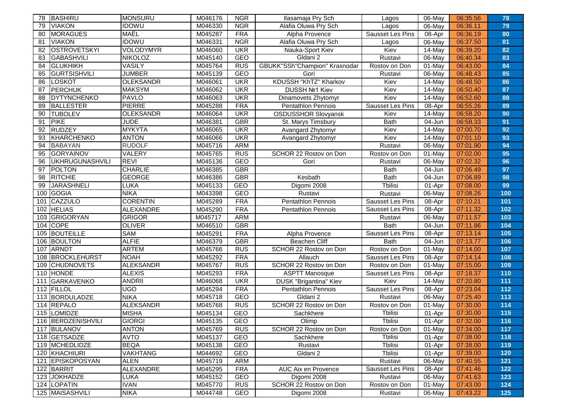| 78  | BASHIRU             | <b>I</b> MONSURU | M046176 | <b>NGR</b> | Ilasamaja Pry Sch             | Lagos            | 06-May    | 06:35.56 | 78    |
|-----|---------------------|------------------|---------|------------|-------------------------------|------------------|-----------|----------|-------|
| 79  | <b>VIAKON</b>       | <b>IDOWU</b>     | M046330 | <b>NGR</b> | Alafia Oluwa Pry Sch          | Lagos            | 06-May    | 06:36.11 | 79    |
| 80  | <b>MORAGUES</b>     | MAËL             | M045287 | <b>FRA</b> | Alpha Provence                | Sausset Les Pins | 08-Apr    | 06:36.19 | 80    |
| 81  | <b>VIAKON</b>       | <b>IDOWU</b>     | M046331 | <b>NGR</b> | Alafia Oluwa Pry Sch          | Lagos            | 06-May    | 06:37.50 | 81    |
| 82  | <b>OSTROVETSKYI</b> | <b>VOLODYMYR</b> | M046060 | <b>UKR</b> | Nauka-Sport Kiev              | Kiev             | 14-May    | 06:39.20 | 82    |
| 83  | <b>GABASHVILI</b>   | <b>NIKOLOZ</b>   | M045140 | GEO        | Gldani 2                      | Rustavi          | 06-May    | 06:40.34 | 83    |
| 84  | <b>GLUKHIKH</b>     | <b>VASILY</b>    | M045764 | <b>RUS</b> | GBUKK"SSh"Champion" Krasnodar | Rostov on Don    | $01$ -May | 06:43.00 | 84    |
| 85  | <b>GURTSISHVILI</b> | <b>JUMBER</b>    | M045139 | <b>GEO</b> | Gori                          | Rustavi          | 06-May    | 06:48.43 | 85    |
| 86  | LOSKOT              | <b>OLEKSANDR</b> | M046061 | <b>UKR</b> | KDUSSH "KhTZ" Kharkov         | Kiev             | 14-May    | 06:48.50 | 86    |
| 87  | PERCHUK             | <b>MAKSYM</b>    | M046062 | <b>UKR</b> | <b>DUSSH Nº1 Kiev</b>         | Kiev             | 14-May    | 06:50.40 | 87    |
| 88  | DYTYNCHENKO         | <b>PAVLO</b>     | M046063 | <b>UKR</b> | Dinamovets Zhytomyr           | Kiev             | $14$ -May | 06:52.60 | 88    |
| 89  | <b>BALLESTER</b>    | <b>PIERRE</b>    | M045288 | <b>FRA</b> | Pentathlon Pennois            | Sausset Les Pins | 08-Apr    | 06:55.26 | 89    |
| 90  | <b>TUBOLEV</b>      | <b>OLEKSANDR</b> | M046064 | <b>UKR</b> | <b>OSDUSSHOR Slovyansk</b>    | Kiev             | 14-May    | 06:58.20 | 90    |
| 91  | <b>PIKE</b>         | <b>JUDE</b>      | M046381 | <b>GBR</b> | St. Marys Timsbury            | <b>Bath</b>      | 04-Jun    | 06:58.33 | 91    |
| 92  | <b>RUDZEY</b>       | <b>MYKYTA</b>    | M046065 | <b>UKR</b> | Avangard Zhytomyr             | Kiev             | 14-May    | 07:00.70 | 92    |
| 93  | KHARCHENKO          | <b>ANTON</b>     | M046066 | <b>UKR</b> | Avangard Zhytomyr             | Kiev             | 14-May    | 07:01.10 | 93    |
| 94  | <b>BABAYAN</b>      | <b>RUDOLF</b>    | M045716 | <b>ARM</b> |                               | Rustavi          | 06-May    | 07:01.90 | 94    |
| 95  | <b>GORYAINOV</b>    | VALERY           | M045765 | <b>RUS</b> | SCHOR 22 Rostov on Don        | Rostov on Don    | 01-May    | 07:02.00 | 95    |
| 96  | UKHRUGUNASHVILI     | <b>REVI</b>      | M045136 | <b>GEO</b> | Gori                          | Rustavi          | 06-May    | 07:02.32 | 96    |
| 97  | <b>POLTON</b>       | <b>CHARLIE</b>   | M046385 | <b>GBR</b> |                               | <b>Bath</b>      | 04-Jun    | 07:06.49 | 97    |
| 98  | <b>RITCHIE</b>      | <b>GEORGE</b>    | M046386 | <b>GBR</b> | Kesbath                       | <b>Bath</b>      | 04-Jun    | 07:06.89 | 98    |
| 99  | <b>JARASHNELI</b>   | LUKA             | M045133 | GEO        | Digomi 2008                   | Tbilisi          | 01-Apr    | 07:08.00 | 99    |
| 100 | GOGIA               | <b>NIKA</b>      | M043398 | <b>GEO</b> | Rustavi                       | Rustavi          | 06-May    | 07:08.26 | 100   |
| 101 | CAZZULO             | <b>CORENTIN</b>  | M045289 | <b>FRA</b> | <b>Pentathlon Pennois</b>     | Sausset Les Pins | 08-Apr    | 07:10.21 | 101   |
| 102 | <b>HELIAS</b>       | ALEXANDRE        | M045290 | <b>FRA</b> | <b>Pentathlon Pennois</b>     | Sausset Les Pins | 08-Apr    | 07:11.32 | 102   |
| 103 | GRIGORYAN           | <b>GRIGOR</b>    | M045717 | <b>ARM</b> |                               | Rustavi          | 06-May    | 07:11.57 | 103   |
| 104 | <b>COPE</b>         | <b>OLIVER</b>    | M046510 | <b>GBR</b> |                               | <b>Bath</b>      | 04-Jun    | 07:11.86 | 104   |
| 105 | <b>BOUTEILLE</b>    | <b>SAM</b>       | M045291 | <b>FRA</b> | Alpha Provence                | Sausset Les Pins | 08-Apr    | 07:13.14 | 105   |
| 106 | <b>BOULTON</b>      | <b>ALFIE</b>     | M046379 | <b>GBR</b> | <b>Beachen Cliff</b>          | <b>Bath</b>      | 04-Jun    | 07:13.77 | 106   |
| 107 | ARNDT               | <b>ARTEM</b>     | M045766 | <b>RUS</b> | SCHOR 22 Rostov on Don        | Rostov on Don    | 01-May    | 07:14.00 | 107   |
| 108 | <b>BROCKLEHURST</b> | <b>NOAH</b>      | M045292 | <b>FRA</b> | Allauch                       | Sausset Les Pins | 08-Apr    | 07:14.14 | 108   |
| 109 | <b>CHUDNOVETS</b>   | <b>ALEKSANDR</b> | M045767 | <b>RUS</b> | SCHOR 22 Rostov on Don        | Rostov on Don    | $01$ -May | 07:15.00 | 109   |
| 110 | <b>HONDE</b>        | <b>ALEXIS</b>    | M045293 | <b>FRA</b> | <b>ASPTT Manosque</b>         | Sausset Les Pins | 08-Apr    | 07:18.37 | 110   |
| 111 | GARKAVENKO          | <b>ANDRII</b>    | M046068 | <b>UKR</b> | <b>DUSK "Brigantina" Kiev</b> | Kiev             | 14-May    | 07:20.80 | 111   |
| 112 | FILLOL              | <b>UGO</b>       | M045294 | <b>FRA</b> | Pentathlon Pennois            | Sausset Les Pins | 08-Apr    | 07:23.04 | 112   |
| 113 | BORDULADZE          | <b>NIKA</b>      | M045718 | <b>GEO</b> | Gldani 2                      | Rustavi          | 06-May    | 07:25.40 | 113   |
|     | 114 REPALO          | <b>ALEKSANDR</b> | M045768 | <b>RUS</b> | SCHOR 22 Rostov on Don        | Rostov on Don    | 01-May    | 07:30.00 | 114   |
|     | 115 LOMIDZE         | <b>MISHA</b>     | M045134 | <b>GEO</b> | Sachkhere                     | <b>Tbilisi</b>   | 01-Apr    | 07:30.00 | 115   |
|     | 116 BERDZENISHVILI  | <b>GIORGI</b>    | M045135 | GEO        | Olimp                         | Tbilisi          | 01-Apr    | 07:32.00 | 116   |
|     | 117 BULANOV         | <b>ANTON</b>     | M045769 | <b>RUS</b> | SCHOR 22 Rostov on Don        | Rostov on Don    | 01-May    | 07:34.00 | 117   |
|     | 118 GETSADZE        | <b>AVTO</b>      | M045137 | <b>GEO</b> | Sachkhere                     | Tbilisi          | 01-Apr    | 07:38.00 | 118   |
|     | 119 MCHEDLIDZE      | <b>BEQA</b>      | M045138 | GEO        | Rustavi                       | Tbilisi          | 01-Apr    | 07:38.00 | 119   |
|     | 120 KHACHIURI       | <b>VAKHTANG</b>  | M044692 | GEO        | Gldani 2                      | Tbilisi          | 01-Apr    | 07:39.00 | 120   |
| 121 | <b>EPISKOPOSYAN</b> | <b>ALEN</b>      | M045719 | ARM        |                               | Rustavi          | 06-May    | 07:40.55 | 121   |
|     | 122 BARRIT          | ALEXANDRE        | M045295 | <b>FRA</b> | AUC Aix en Provence           | Sausset Les Pins | 08-Apr    | 07:41.46 | $122$ |
|     | 123 JOKHADZE        | <b>LUKA</b>      | M045152 | GEO        | Digomi 2008                   | Rustavi          | 06-May    | 07:41.63 | 123   |
|     | 124 LOPATIN         | <b>IVAN</b>      | M045770 | <b>RUS</b> | SCHOR 22 Rostov on Don        | Rostov on Don    | 01-May    | 07:43.00 | 124   |
|     | 125 MAISASHVILI     | <b>NIKA</b>      | M044748 | GEO        | Digomi 2008                   | Rustavi          | 06-May    | 07:43.22 | 125   |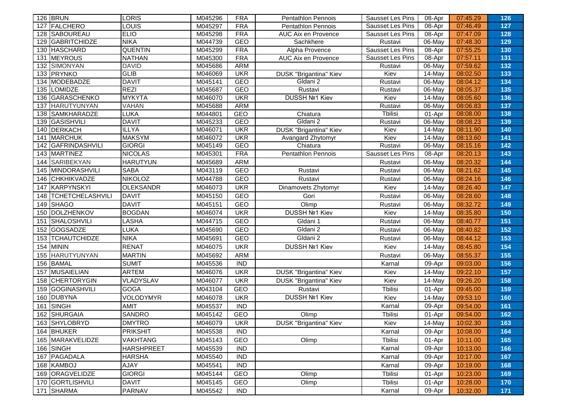|     | 126 BRUN                | LORIS             | M045296 | <b>FRA</b> | <b>Pentathlon Pennois</b>     | Sausset Les Pins | 08-Apr    | 07:45.29 | 126 |
|-----|-------------------------|-------------------|---------|------------|-------------------------------|------------------|-----------|----------|-----|
| 127 | FALCHERO                | LOUIS             | M045297 | <b>FRA</b> | <b>Pentathlon Pennois</b>     | Sausset Les Pins | 08-Apr    | 07:46.49 | 127 |
|     | 128 SABOUREAU           | <b>ELIO</b>       | M045298 | <b>FRA</b> | AUC Aix en Provence           | Sausset Les Pins | 08-Apr    | 07:47.09 | 128 |
| 129 | <b>GABRITCHIDZE</b>     | <b>NIKA</b>       | M044739 | <b>GEO</b> | Sachkhere                     | Rustavi          | 06-May    | 07:48.30 | 129 |
|     | 130 HASCHARD            | <b>QUENTIN</b>    | M045299 | <b>FRA</b> | Alpha Provence                | Sausset Les Pins | 08-Apr    | 07:55.25 | 130 |
| 131 | MEYROUS                 | <b>NATHAN</b>     | M045300 | <b>FRA</b> | AUC Aix en Provence           | Sausset Les Pins | 08-Apr    | 07:57.11 | 131 |
| 132 | SIMONYAN                | <b>DAVID</b>      | M045686 | <b>ARM</b> |                               | Rustavi          | 06-May    | 07:59.62 | 132 |
|     | 133 PRYNKO              | <b>GLIB</b>       | M046069 | <b>UKR</b> | DUSK "Brigantina" Kiev        | Kiev             | 14-May    | 08:02.50 | 133 |
| 134 | MODEBADZE               | <b>DAVIT</b>      | M045141 | <b>GEO</b> | Gldani 2                      | Rustavi          | 06-May    | 08:04.12 | 134 |
| 135 | LOMIDZE                 | <b>REZI</b>       | M045687 | GEO        | Rustavi                       | Rustavi          | 06-May    | 08:05.37 | 135 |
| 136 | GARASCHENKO             | <b>MYKYTA</b>     | M046070 | <b>UKR</b> | DUSSH Nº1 Kiev                | Kiev             | 14-May    | 08:05.60 | 136 |
| 137 | HARUTYUNYAN             | VAHAN             | M045688 | ARM        |                               | Rustavi          | 06-May    | 08:06.83 | 137 |
| 138 | <b>SAMKHARADZE</b>      | LUKA              | M044801 | <b>GEO</b> | Chiatura                      | <b>Tbilisi</b>   | 01-Apr    | 08:08.00 | 138 |
| 139 | GASISHVILI              | <b>DAVIT</b>      | M045233 | <b>GEO</b> | Gldani 2                      | Rustavi          | 06-May    | 08:08.23 | 139 |
|     | 140 DERKACH             | <b>ILLYA</b>      | M046071 | <b>UKR</b> | <b>DUSK "Brigantina" Kiev</b> | Kiev             | 14-May    | 08:11.90 | 140 |
| 141 | <b>MARCHUK</b>          | <b>MAKSYM</b>     | M046072 | <b>UKR</b> | Avangard Zhytomyr             | Kiev             | 14-May    | 08:13.60 | 141 |
| 142 | GAFRINDASHVILI          | <b>GIORGI</b>     | M045149 | <b>GEO</b> | Chiatura                      | Rustavi          | 06-May    | 08:15.16 | 142 |
| 143 | MARTINEZ                | <b>NICOLAS</b>    | M045301 | <b>FRA</b> | <b>Pentathlon Pennois</b>     | Sausset Les Pins | 08-Apr    | 08:20.13 | 143 |
| 144 | SARIBEKYAN              | <b>HARUTYUN</b>   | M045689 | <b>ARM</b> |                               | Rustavi          | 06-May    | 08:20.32 | 144 |
| 145 | MINDORASHVILI           | <b>SABA</b>       | M043119 | GEO        | Rustavi                       | Rustavi          | 06-May    | 08:21.62 | 145 |
| 146 | <b>CHKHIKVADZE</b>      | <b>NIKOLOZ</b>    | M044788 | GEO        | Rustavi                       | Rustavi          | 06-May    | 08:24.16 | 146 |
| 147 | KARPYNSKYI              | <b>OLEKSANDR</b>  | M046073 | <b>UKR</b> | Dinamovets Zhytomyr           | Kiev             | 14-May    | 08:26.40 | 147 |
| 148 | <b>TCHETCHELASHVILI</b> | <b>DAVIT</b>      | M045150 | GEO        | Gori                          | Rustavi          | 06-May    | 08:28.60 | 148 |
| 149 | SHAGO                   | <b>DAVIT</b>      | M045151 | GEO        | Olimp                         | Rustavi          | 06-May    | 08:32.72 | 149 |
|     | 150 DOLZHENKOV          | <b>BOGDAN</b>     | M046074 | <b>UKR</b> | <b>DUSSH Nº1 Kiev</b>         | Kiev             | 14-May    | 08:35.80 | 150 |
| 151 | SHALOSHVILI             | <b>LASHA</b>      | M044715 | GEO        | Gldani 1                      | Rustavi          | 06-May    | 08:40.77 | 151 |
| 152 | GOGSADZE                | LUKA              | M045690 | GEO        | Gldani 2                      | Rustavi          | 06-May    | 08:40.82 | 152 |
| 153 | <b>TCHAUTCHIDZE</b>     | <b>NIKA</b>       | M045691 | GEO        | Gldani 2                      | Rustavi          | 06-May    | 08:44.12 | 153 |
| 154 | <b>MININ</b>            | <b>RENAT</b>      | M046075 | <b>UKR</b> | <b>DUSSH Nº1 Kiev</b>         | Kiev             | 14-May    | 08:45.80 | 154 |
| 155 | HARUTYUNYAN             | <b>MARTIN</b>     | M045692 | <b>ARM</b> |                               | Rustavi          | 06-May    | 08:55.37 | 155 |
|     | 156 BAMAL               | <b>SUMIT</b>      | M045536 | <b>IND</b> |                               | Karnal           | 09-Apr    | 09:03.00 | 156 |
| 157 | <b>MUSAIELIAN</b>       | <b>ARTEM</b>      | M046076 | <b>UKR</b> | DUSK "Brigantina" Kiev        | Kiev             | 14-May    | 09:22.10 | 157 |
| 158 | <b>CHERTORYGIN</b>      | VLADYSLAV         | M046077 | <b>UKR</b> | DUSK "Brigantina" Kiev        | Kiev             | $14$ -May | 09:26.20 | 158 |
| 159 | GOGINASHVILI            | <b>GOGA</b>       | M043104 | <b>GEO</b> | Rustavi                       | <b>Tbilisi</b>   | 01-Apr    | 09:45.00 | 159 |
|     | 160 DUBYNA              | VOLODYMYR         | M046078 | <b>UKR</b> | <b>DUSSH Nº1 Kiev</b>         | Kiev             | 14-May    | 09:53.10 | 160 |
| 161 | SINGH                   | <b>AMIT</b>       | M045537 | <b>IND</b> |                               | Karnal           | 09-Apr    | 09:54.00 | 161 |
| 162 | SHURGAIA                | <b>SANDRO</b>     | M045142 | <b>GEO</b> | Olimp                         | <b>Thilisi</b>   | 01-Apr    | 09:54.00 | 162 |
|     | 163 SHYLOBRYD           | <b>DMYTRO</b>     | M046079 | <b>UKR</b> | DUSK "Brigantina" Kiev        | Kiev             | 14-May    | 10:02.30 | 163 |
|     | 164 BHUKER              | <b>PRIKSHIT</b>   | M045538 | <b>IND</b> |                               | Karnal           | 09-Apr    | 10:08.00 | 164 |
|     | 165 MARAKVELIDZE        | <b>VAKHTANG</b>   | M045143 | <b>GEO</b> | Olimp                         | Tbilisi          | 01-Apr    | 10:11.00 | 165 |
|     | 166 SINGH               | <b>HARSHPREET</b> | M045539 | <b>IND</b> |                               |                  | 09-Apr    | 10:13.00 |     |
|     | 167 PAGADALA            |                   |         |            |                               | Karnal           |           |          | 166 |
|     |                         | <b>HARSHA</b>     | M045540 | <b>IND</b> |                               | Karnal           | 09-Apr    | 10:17.00 | 167 |
|     | 168 KAMBOJ              | AJAY              | M045541 | <b>IND</b> |                               | Karnal           | 09-Apr    | 10:19.00 | 168 |
|     | 169 ORAGVELIDZE         | <b>GIORGI</b>     | M045144 | <b>GEO</b> | Olimp                         | Tbilisi          | 01-Apr    | 10:23.00 | 169 |
|     | 170 GORTLISHVILI        | <b>DAVIT</b>      | M045145 | GEO        | Olimp                         | Tbilisi          | 01-Apr    | 10:28.00 | 170 |
|     | 171 SHARMA              | PARNAV            | M045542 | <b>IND</b> |                               | Karnal           | 09-Apr    | 10:32.00 | 171 |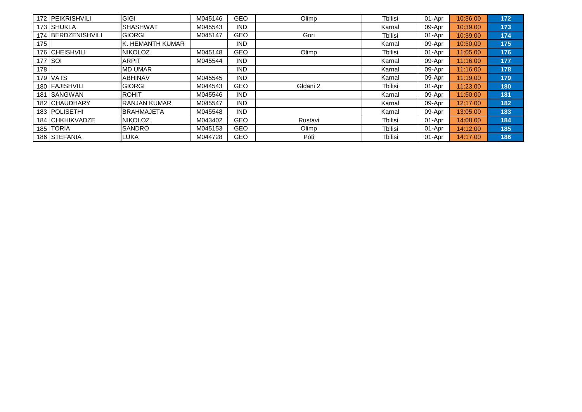|       | 172 <b>IPEIKRISHVILI</b> | <b>GIGI</b>        | M045146 | GEO        | Olimp    | Tbilisi | 01-Apr | 10:36.00 | 172 |
|-------|--------------------------|--------------------|---------|------------|----------|---------|--------|----------|-----|
|       | 173 SHUKLA               | <b>SHASHWAT</b>    | M045543 | <b>IND</b> |          | Karnal  | 09-Apr | 10:39.00 | 173 |
|       | 174 BERDZENISHVILI       | <b>GIORGI</b>      | M045147 | GEO        | Gori     | Tbilisi | 01-Apr | 10:39.00 | 174 |
| 175   |                          | lk. HEMANTH KUMAR  |         | <b>IND</b> |          | Karnal  | 09-Apr | 10:50.00 | 175 |
|       | 176 CHEISHVILI           | <b>NIKOLOZ</b>     | M045148 | <b>GEO</b> | Olimp    | Tbilisi | 01-Apr | 11:05.00 | 176 |
|       | 177 SOI                  | <b>ARPIT</b>       | M045544 | <b>IND</b> |          | Karnal  | 09-Apr | 11:16.00 | 177 |
| 178 l |                          | <b>MD UMAR</b>     |         | <b>IND</b> |          | Karnal  | 09-Apr | 11:16.00 | 178 |
|       | <b>179 VATS</b>          | <b>ABHINAV</b>     | M045545 | <b>IND</b> |          | Karnal  | 09-Apr | 11:19.00 | 179 |
|       | 180 FAJISHVILI           | <b>GIORGI</b>      | M044543 | GEO        | Gldani 2 | Tbilisi | 01-Apr | 11:23.00 | 180 |
|       | 181 ISANGWAN             | <b>ROHIT</b>       | M045546 | <b>IND</b> |          | Karnal  | 09-Apr | 11:50.00 | 181 |
|       | <b>182 CHAUDHARY</b>     | IRANJAN KUMAR      | M045547 | <b>IND</b> |          | Karnal  | 09-Apr | 12:17.00 | 182 |
|       | <b>183 IPOLISETHI</b>    | <b>IBRAHMAJETA</b> | M045548 | <b>IND</b> |          | Karnal  | 09-Apr | 13:05.00 | 183 |
|       | <b>184 ICHKHIKVADZE</b>  | <b>NIKOLOZ</b>     | M043402 | <b>GEO</b> | Rustavi  | Tbilisi | 01-Apr | 14:08.00 | 184 |
|       | 185 TORIA                | <b>SANDRO</b>      | M045153 | <b>GEO</b> | Olimp    | Tbilisi | 01-Apr | 14:12.00 | 185 |
|       | 186 STEFANIA             | <b>LUKA</b>        | M044728 | <b>GEO</b> | Poti     | Tbilisi | 01-Apr | 14:17.00 | 186 |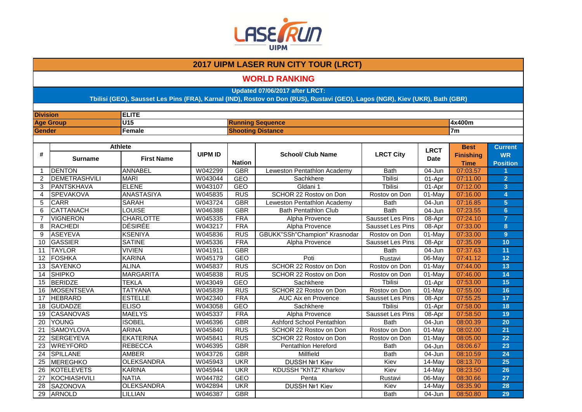

### **WORLD RANKING**

**Updated 07/06/2017 after LRCT:**

| <b>Division</b> |                      | <b>ELITE</b>      |                |               |                               |                         |             |                                 |                             |  |
|-----------------|----------------------|-------------------|----------------|---------------|-------------------------------|-------------------------|-------------|---------------------------------|-----------------------------|--|
|                 | <b>Age Group</b>     | U15               |                |               | <b>Running Sequence</b>       |                         |             | 4x400m                          |                             |  |
| Gender          |                      | Female            |                |               | <b>Shooting Distance</b>      |                         |             | 7 <sub>m</sub>                  |                             |  |
|                 |                      |                   |                |               |                               |                         |             |                                 |                             |  |
| #               |                      | <b>Athlete</b>    | <b>UIPM ID</b> |               | <b>School/ Club Name</b>      | <b>LRCT City</b>        | <b>LRCT</b> | <b>Best</b><br><b>Finishing</b> | <b>Current</b><br><b>WR</b> |  |
|                 | <b>Surname</b>       | <b>First Name</b> |                | <b>Nation</b> |                               |                         | <b>Date</b> | <b>Time</b>                     | <b>Position</b>             |  |
| $\overline{1}$  | <b>DENTON</b>        | <b>ANNABEL</b>    | W042299        | <b>GBR</b>    | Leweston Pentathlon Academy   | <b>Bath</b>             | 04-Jun      | 07:03.57                        |                             |  |
| 2               | <b>DEMETRASHVILI</b> | <b>MARI</b>       | W043044        | <b>GEO</b>    | Sachkhere                     | <b>T</b> bilisi         | 01-Apr      | 07:11.00                        | $\overline{2}$              |  |
| 3               | PANTSKHAVA           | ELENE             | W043107        | <b>GEO</b>    | Gldani 1                      | <b>Thilisi</b>          | 01-Apr      | 07:12.00                        | 3 <sup>5</sup>              |  |
| 4               | <b>SPEVAKOVA</b>     | <b>ANASTASIYA</b> | W045835        | RUS           | SCHOR 22 Rostov on Don        | Rostov on Don           | 01-May      | 07:16.00                        | 4                           |  |
| 5               | <b>CARR</b>          | <b>SARAH</b>      | W043724        | <b>GBR</b>    | Leweston Pentathlon Academy   | <b>Bath</b>             | 04-Jun      | 07:16.85                        | 5 <sup>5</sup>              |  |
| 6               | <b>CATTANACH</b>     | <b>LOUISE</b>     | W046388        | <b>GBR</b>    | <b>Bath Pentathlon Club</b>   | <b>Bath</b>             | 04-Jun      | 07:23.55                        | 6                           |  |
| $\overline{7}$  | <b>VIGNERON</b>      | <b>CHARLOTTE</b>  | W045335        | <b>FRA</b>    | Alpha Provence                | Sausset Les Pins        | 08-Apr      | 07:24.10                        | $\overline{7}$              |  |
| 8               | <b>RACHEDI</b>       | <b>DÉSIRÉE</b>    | W043217        | <b>FRA</b>    | Alpha Provence                | Sausset Les Pins        | 08-Apr      | 07:33.00                        | 8                           |  |
| 9               | <b>ASEYEVA</b>       | <b>KSENIYA</b>    | W045836        | <b>RUS</b>    | GBUKK"SSh"Champion" Krasnodar | Rostov on Don           | $01$ -May   | 07:33.00                        | 9 <sup>°</sup>              |  |
| 10              | <b>GASSIER</b>       | <b>SATINE</b>     | W045336        | <b>FRA</b>    | Alpha Provence                | <b>Sausset Les Pins</b> | 08-Apr      | 07:35.09                        | 10                          |  |
| 11              | <b>TAYLOR</b>        | <b>VIVIEN</b>     | W041911        | <b>GBR</b>    |                               | <b>Bath</b>             | 04-Jun      | 07:37.63                        | 11                          |  |
| 12              | <b>FOSHKA</b>        | <b>KARINA</b>     | W045179        | <b>GEO</b>    | Poti                          | Rustavi                 | 06-May      | 07:41.12                        | 12                          |  |
| 13              | <b>SAYENKO</b>       | <b>ALINA</b>      | W045837        | <b>RUS</b>    | SCHOR 22 Rostov on Don        | Rostov on Don           | 01-May      | 07:44.00                        | 13                          |  |
| 14              | <b>SHIPKO</b>        | <b>MARGARITA</b>  | W045838        | <b>RUS</b>    | SCHOR 22 Rostov on Don        | Rostov on Don           | 01-May      | 07:46.00                        | 14                          |  |
| 15              | <b>BERIDZE</b>       | <b>TEKLA</b>      | W043049        | <b>GEO</b>    | Sachkhere                     | <b>Tbilisi</b>          | $01-Apr$    | 07:53.00                        | 15                          |  |
| 16              | <b>MOSENTSEVA</b>    | <b>TATYANA</b>    | W045839        | <b>RUS</b>    | SCHOR 22 Rostov on Don        | Rostov on Don           | 01-May      | 07:55.00                        | 16                          |  |
| 17              | <b>HEBRARD</b>       | <b>ESTELLE</b>    | W042340        | <b>FRA</b>    | <b>AUC Aix en Provence</b>    | Sausset Les Pins        | 08-Apr      | 07:55.25                        | 17                          |  |
| 18              | <b>GUDADZE</b>       | <b>ELISO</b>      | W043058        | <b>GEO</b>    | Sachkhere                     | Tbilisi                 | 01-Apr      | 07:58.00                        | 18                          |  |
| 19              | <b>CASANOVAS</b>     | <b>MAELYS</b>     | W045337        | <b>FRA</b>    | Alpha Provence                | Sausset Les Pins        | 08-Apr      | 07:58.50                        | 19                          |  |
| 20              | <b>YOUNG</b>         | <b>ISOBEL</b>     | W046396        | <b>GBR</b>    | Ashford School Pentathlon     | <b>Bath</b>             | 04-Jun      | 08:00.39                        | 20                          |  |
| 21              | <b>SAMOYLOVA</b>     | <b>ARINA</b>      | W045840        | <b>RUS</b>    | SCHOR 22 Rostov on Don        | Rostov on Don           | 01-May      | 08:02.00                        | 21                          |  |
| 22              | <b>SERGEYEVA</b>     | <b>EKATERINA</b>  | W045841        | <b>RUS</b>    | SCHOR 22 Rostov on Don        | Rostov on Don           | 01-May      | 08:05.00                        | 22                          |  |
| 23              | <b>WREYFORD</b>      | <b>REBECCA</b>    | W046395        | <b>GBR</b>    | Pentathlon Hereford           | <b>Bath</b>             | 04-Jun      | 08:06.67                        | 23                          |  |
| $\overline{24}$ | <b>SPILLANE</b>      | <b>AMBER</b>      | W043726        | <b>GBR</b>    | Millfield                     | <b>Bath</b>             | 04-Jun      | 08:10.59                        | 24                          |  |
| 25              | <b>MEREGHKO</b>      | <b>OLEKSANDRA</b> | W045943        | <b>UKR</b>    | <b>DUSSH Nº1 Kiev</b>         | Kiev                    | 14-May      | 08:13.70                        | 25                          |  |
| 26              | <b>KOTELEVETS</b>    | <b>KARINA</b>     | W045944        | <b>UKR</b>    | KDUSSH "KhTZ" Kharkov         | Kiev                    | 14-May      | 08:23.50                        | 26                          |  |
| 27              | KOCHIASHVILI         | <b>NATIA</b>      | W044782        | <b>GEO</b>    | Penta                         | Rustavi                 | 06-May      | 08:30.66                        | 27                          |  |
| 28              | SAZONOVA             | <b>OLEKSANDRA</b> | W042894        | <b>UKR</b>    | <b>DUSSH Nº1 Kiev</b>         | Kiev                    | 14-May      | 08:35.90                        | 28                          |  |
| 29              | ARNOLD               | LILLIAN           | W046387        | <b>GBR</b>    |                               | <b>Bath</b>             | 04-Jun      | 08:50.80                        | 29                          |  |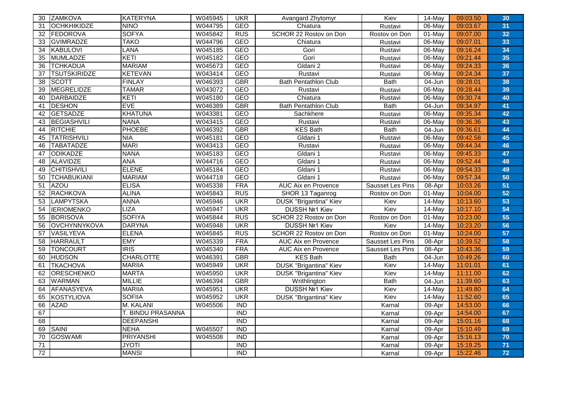| 30              | <b>ZAMKOVA</b>      | <b>KATERYNA</b>   | W045945 | <b>UKR</b>       | Avangard Zhytomyr             | Kiev                    | 14-May               | 09:03.50 | 30 |
|-----------------|---------------------|-------------------|---------|------------------|-------------------------------|-------------------------|----------------------|----------|----|
| 31              | <b>OCHKHIKIDZE</b>  | <b>NINO</b>       | W044795 | <b>GEO</b>       | Chiatura                      | Rustavi                 | 06-May               | 09:03.67 | 31 |
| 32              | FEDOROVA            | <b>SOFYA</b>      | W045842 | <b>RUS</b>       | SCHOR 22 Rostov on Don        | Rostov on Don           | 01-May               | 09:07.00 | 32 |
| 33              | <b>GVIMRADZE</b>    | <b>TAKO</b>       | W044796 | <b>GEO</b>       | Chiatura                      | Rustavi                 | 06-May               | 09:07.01 | 33 |
| 34              | KABULOVI            | <b>LANA</b>       | W045185 | <b>GEO</b>       | Gori                          | Rustavi                 | $06$ -May            | 09:16.24 | 34 |
| 35              | MUMLADZE            | KETI              | W045182 | <b>GEO</b>       | Gori                          | Rustavi                 | 06-May               | 09:21.44 | 35 |
| 36              | <b>TCHKADUA</b>     | <b>MARIAM</b>     | W045673 | <b>GEO</b>       | Gldani 2                      | Rustavi                 | 06-May               | 09:24.33 | 36 |
| 37              | <b>TSUTSKIRIDZE</b> | <b>KETEVAN</b>    | W043414 | <b>GEO</b>       | Rustavi                       | Rustavi                 | 06-May               | 09:24.34 | 37 |
| 38              | <b>SCOTT</b>        | <b>FINLAY</b>     | W046393 | <b>GBR</b>       | <b>Bath Pentathlon Club</b>   | <b>Bath</b>             | $04 - Jun$           | 09:28.01 | 38 |
| 39              | <b>MEGRELIDZE</b>   | <b>TAMAR</b>      | W043072 | <b>GEO</b>       | Rustavi                       | Rustavi                 | 06-May               | 09:28.44 | 39 |
| 40              | DARBAIDZE           | KETI              | W045180 | <b>GEO</b>       | Chiatura                      | Rustavi                 | 06-May               | 09:30.74 | 40 |
| 41              | <b>DESHON</b>       | <b>EVE</b>        | W046389 | <b>GBR</b>       | <b>Bath Pentathlon Club</b>   | <b>Bath</b>             | 04-Jun               | 09:34.97 | 41 |
| 42              | <b>GETSADZE</b>     | <b>KHATUNA</b>    | W043381 | <b>GEO</b>       | Sachkhere                     | Rustavi                 | 06-May               | 09:35.34 | 42 |
| 43              | BEGIASHVILI         | <b>NANA</b>       | W043415 | GEO              | Rustavi                       | Rustavi                 | 06-May               | 09:36.36 | 43 |
| 44              | RITCHIE             | <b>PHOEBE</b>     | W046392 | <b>GBR</b>       | <b>KES Bath</b>               | <b>Bath</b>             | 04-Jun               | 09:36.61 | 44 |
| 45              | <b>TATRISHVILI</b>  | <b>NIA</b>        | W045181 | <b>GEO</b>       | Gldani 1                      | Rustavi                 | 06-May               | 09:42.58 | 45 |
| 46              | <b>TABATADZE</b>    | <b>MARI</b>       | W043413 | <b>GEO</b>       | Rustavi                       | Rustavi                 | 06-May               | 09:44.34 | 46 |
| 47              | ODIKADZE            | <b>NANA</b>       | W045183 | <b>GEO</b>       | Gldani 1                      | Rustavi                 | 06-May               | 09:45.33 | 47 |
| 48              | ALAVIDZE            | <b>ANA</b>        | W044716 | <b>GEO</b>       | Gldani 1                      | Rustavi                 | 06-May               | 09:52.44 | 48 |
| 49              | <b>CHITISHVILI</b>  | <b>ELENE</b>      | W045184 | <b>GEO</b>       | Gldani 1                      | Rustavi                 | 06-May               | 09:54.33 | 49 |
| 50              | <b>TCHABUKIANI</b>  | <b>MARIAM</b>     | W044718 | <b>GEO</b>       | Gldani 1                      | Rustavi                 | 06-May               | 09:57.34 | 50 |
| 51              | AZOU                | <b>ELISA</b>      | W045338 | <b>FRA</b>       | AUC Aix en Provence           | <b>Sausset Les Pins</b> | 08-Apr               | 10:03.26 | 51 |
| 52              | RACHKOVA            | <b>ALINA</b>      | W045843 | <b>RUS</b>       | SHOR 13 Taganrog              | Rostov on Don           | $01$ -May            | 10:04.00 | 52 |
| 53              | LAMPYTSKA           | <b>ANNA</b>       | W045946 | <b>UKR</b>       | <b>DUSK "Brigantina" Kiev</b> | Kiev                    | 14-May               | 10:13.60 | 53 |
| 54              | <b>IERIOMENKO</b>   | <b>LIZA</b>       | W045947 | <b>UKR</b>       | DUSSH Nº1 Kiev                | Kiev                    | 14-May               | 10:17.10 | 54 |
| 55              | <b>BORISOVA</b>     | <b>SOFIYA</b>     | W045844 | <b>RUS</b>       | SCHOR 22 Rostov on Don        | Rostov on Don           | 01-May               | 10:23.00 | 55 |
| 56              | OVCHYNNYKOVA        | <b>DARYNA</b>     | W045948 | <b>UKR</b>       | DUSSH Nº1 Kiev                | Kiev                    | $14$ -May            | 10:23.20 | 56 |
| 57              | <b>VASILYEVA</b>    | <b>ELENA</b>      | W045845 | <b>RUS</b>       | SCHOR 22 Rostov on Don        | Rostov on Don           | $01$ -May            | 10:24.00 | 57 |
| 58              | <b>HARRAULT</b>     | <b>EMY</b>        | W045339 | <b>FRA</b>       | AUC Aix en Provence           | Sausset Les Pins        | 08-Apr               | 10:39.52 | 58 |
| 59              | <b>TONCOURT</b>     | RIS               | W045340 | <b>FRA</b>       | <b>AUC Aix en Provence</b>    | Sausset Les Pins        | 08-Apr               | 10:43.36 | 59 |
| 60              | <b>HUDSON</b>       | <b>CHARLOTTE</b>  | W046391 | <b>GBR</b>       | <b>KES Bath</b>               | <b>Bath</b>             | 04-Jun               | 10:49.26 | 60 |
| 61              | <b>TKACHOVA</b>     | <b>MARIIA</b>     | W045949 | <b>UKR</b>       | <b>DUSK "Brigantina" Kiev</b> | Kiev                    | $14$ -May            | 11:01.01 | 61 |
| 62              | <b>ORESCHENKO</b>   | <b>MARTA</b>      | W045950 | <b>UKR</b>       | <b>DUSK "Brigantina" Kiev</b> | Kiev                    | 14-May               | 11:11.00 | 62 |
| 63              | <b>WARMAN</b>       | <b>MILLIE</b>     | W046394 | <b>GBR</b>       | Writhlington                  | <b>Bath</b>             | $\overline{0}$ 4-Jun | 11:39.60 | 63 |
| 64              | AFANASYEVA          | <b>MARIIA</b>     | W045951 | <b>UKR</b>       | <b>DUSSH Nº1 Kiev</b>         | Kiev                    | 14-May               | 11:49.80 | 64 |
| 65              | KOSTYLIOVA          | <b>SOFIIA</b>     | W045952 | <b>UKR</b>       | DUSK "Brigantina" Kiev        | Kiev                    | $14$ -May            | 11:52.60 | 65 |
| 66              | <b>AZAD</b>         | M. KALANI         | W045506 | $\overline{IND}$ |                               | Karnal                  | 09-Apr               | 14:53.00 | 66 |
| 67              |                     | T. BINDU PRASANNA |         | $\overline{IND}$ |                               | Karnal                  | 09-Apr               | 14:54.00 | 67 |
| 68              |                     | <b>DEEPANSHI</b>  |         | <b>IND</b>       |                               | Karnal                  | 09-Apr               | 15:01.16 | 68 |
| 69              | SAINI               | <b>NEHA</b>       | W045507 | <b>IND</b>       |                               | Karnal                  | 09-Apr               | 15:10.49 | 69 |
| 70              | <b>GOSWAMI</b>      | <b>PRIYANSHI</b>  | W045508 | $\overline{IND}$ |                               | Karnal                  | 09-Apr               | 15:16.13 | 70 |
| 71              |                     | <b>JYOTI</b>      |         | $\overline{IND}$ |                               | Karnal                  | 09-Apr               | 15:19.25 | 71 |
| $\overline{72}$ |                     | <b>MANSI</b>      |         | <b>IND</b>       |                               | Karnal                  | 09-Apr               | 15:22.46 | 72 |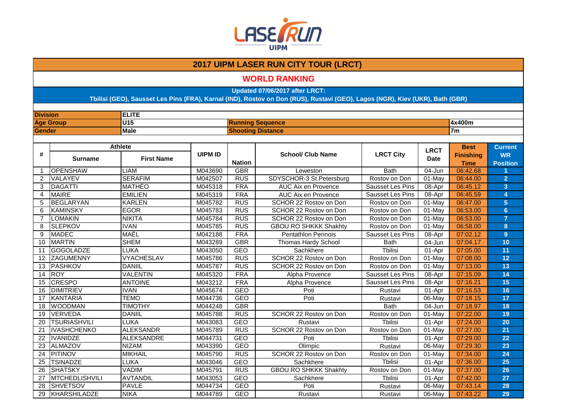

### **WORLD RANKING**

**Updated 07/06/2017 after LRCT:**

| <b>Division</b> |                       | <b>ELITE</b>                        |                |                          |                              |                         |                            |                                                |                                                |
|-----------------|-----------------------|-------------------------------------|----------------|--------------------------|------------------------------|-------------------------|----------------------------|------------------------------------------------|------------------------------------------------|
|                 | <b>Age Group</b>      | U15                                 |                |                          | <b>Running Sequence</b>      |                         |                            | 4x400m                                         |                                                |
| Gender          |                       | <b>Male</b>                         |                | <b>Shooting Distance</b> |                              |                         |                            | 7 <sub>m</sub>                                 |                                                |
|                 |                       |                                     |                |                          |                              |                         |                            |                                                |                                                |
| #               | <b>Surname</b>        | <b>Athlete</b><br><b>First Name</b> | <b>UIPM ID</b> | <b>Nation</b>            | <b>School/ Club Name</b>     | <b>LRCT City</b>        | <b>LRCT</b><br><b>Date</b> | <b>Best</b><br><b>Finishing</b><br><b>Time</b> | <b>Current</b><br><b>WR</b><br><b>Position</b> |
| -1              | <b>OPENSHAW</b>       | <b>LIAM</b>                         | M043690        | <b>GBR</b>               | Leweston                     | <b>Bath</b>             | 04-Jun                     | 06:42.68                                       |                                                |
| $\overline{2}$  | VALAYEV               | <b>SERAFIM</b>                      | M042507        | <b>RUS</b>               | SDYSCHOR-3 St.Petersburg     | Rostov on Don           | $01$ -May                  | 06:44.00                                       | $\overline{2}$                                 |
| 3               | <b>DAGATTI</b>        | <b>MATHÉO</b>                       | M045318        | <b>FRA</b>               | AUC Aix en Provence          | <b>Sausset Les Pins</b> | 08-Apr                     | 06:45.12                                       | 3 <sup>2</sup>                                 |
| 4               | <b>MAIRE</b>          | <b>EMILIEN</b>                      | M045319        | <b>FRA</b>               | <b>AUC Aix en Provence</b>   | Sausset Les Pins        | 08-Apr                     | 06:45.59                                       | $\blacktriangle$                               |
| 5               | <b>BEGLARYAN</b>      | <b>KARLEN</b>                       | M045782        | <b>RUS</b>               | SCHOR 22 Rostov on Don       | Rostov on Don           | $01$ -May                  | 06:47.00                                       | 5 <sup>5</sup>                                 |
| 6               | <b>KAMINSKY</b>       | <b>EGOR</b>                         | M045783        | <b>RUS</b>               | SCHOR 22 Rostov on Don       | Rostov on Don           | $01$ -May                  | 06:53.00                                       | 6                                              |
| $\overline{7}$  | <b>LOMAKIN</b>        | <b>NIKITA</b>                       | M045784        | <b>RUS</b>               | SCHOR 22 Rostov on Don       | Rostov on Don           | 01-May                     | 06:53.00                                       | $\overline{7}$                                 |
| 8               | <b>SLEPKOV</b>        | <b>IVAN</b>                         | M045785        | <b>RUS</b>               | <b>GBOU RO SHKKK Shakhty</b> | Rostov on Don           | 01-May                     | 06:58.00                                       | 8                                              |
| 9               | <b>MADEC</b>          | MAËL                                | M042188        | <b>FRA</b>               | <b>Pentathlon Pennois</b>    | <b>Sausset Les Pins</b> | 08-Apr                     | 07:02.12                                       | 9 <sup>°</sup>                                 |
| 10              | <b>MARTIN</b>         | <b>SHEM</b>                         | M043289        | <b>GBR</b>               | <b>Thomas Hardy School</b>   | <b>Bath</b>             | 04-Jun                     | 07:04.17                                       | 10                                             |
| 11              | <b>GOGOLADZE</b>      | <b>LUKA</b>                         | M043050        | <b>GEO</b>               | Sachkhere                    | <b>Tbilisi</b>          | 01-Apr                     | 07:05.00                                       | 11                                             |
| 12              | ZAGUMENNY             | <b>VYACHESLAV</b>                   | M045786        | <b>RUS</b>               | SCHOR 22 Rostov on Don       | Rostov on Don           | 01-May                     | 07:08.00                                       | 12                                             |
| 13              | <b>PASHKOV</b>        | <b>DANIIL</b>                       | M045787        | <b>RUS</b>               | SCHOR 22 Rostov on Don       | Rostov on Don           | 01-May                     | 07:13.00                                       | 13                                             |
| 14              | <b>ROY</b>            | <b>VALENTIN</b>                     | M045320        | <b>FRA</b>               | Alpha Provence               | <b>Sausset Les Pins</b> | 08-Apr                     | 07:15.09                                       | 14                                             |
| 15              | <b>CRESPO</b>         | <b>ANTOINE</b>                      | M043212        | <b>FRA</b>               | Alpha Provence               | Sausset Les Pins        | 08-Apr                     | 07:16.21                                       | 15                                             |
| 16              | <b>DIMITRIEV</b>      | <b>IVAN</b>                         | M045674        | <b>GEO</b>               | Poti                         | Rustavi                 | 01-Apr                     | 07:16.53                                       | 16                                             |
| 17              | <b>KANTARIA</b>       | <b>TEMO</b>                         | M044736        | <b>GEO</b>               | Poti                         | Rustavi                 | 06-May                     | 07:18.15                                       | 17                                             |
| 18              | <b>WOODMAN</b>        | <b>TIMOTHY</b>                      | M044248        | <b>GBR</b>               |                              | <b>Bath</b>             | 04-Jun                     | 07:18.97                                       | 18                                             |
| 19              | VERVEDA               | <b>DANIIL</b>                       | M045788        | <b>RUS</b>               | SCHOR 22 Rostov on Don       | Rostov on Don           | 01-May                     | 07:22.00                                       | 19                                             |
| 20              | <b>TSURIASHVILI</b>   | <b>LUKA</b>                         | M043083        | <b>GEO</b>               | Rustavi                      | <b>Thilisi</b>          | 01-Apr                     | 07:24.00                                       | 20                                             |
| 21              | <b>IVASHCHENKO</b>    | ALEKSANDR                           | M045789        | <b>RUS</b>               | SCHOR 22 Rostov on Don       | Rostov on Don           | $01$ -May                  | 07:27.00                                       | 21                                             |
| 22              | <b>IVANIDZE</b>       | ALEKSANDRE                          | M044731        | <b>GEO</b>               | Poti                         | <b>Tbilisi</b>          | 01-Apr                     | 07:29.00                                       | 22                                             |
| 23              | <b>ALMAZOV</b>        | <b>NIZAM</b>                        | M043390        | <b>GEO</b>               | Olimpic                      | Rustavi                 | 06-May                     | 07:29.30                                       | 23                                             |
| 24              | <b>PITINOV</b>        | <b>MIKHAIL</b>                      | M045790        | RUS                      | SCHOR 22 Rostov on Don       | Rostov on Don           | $01$ -May                  | 07:34.00                                       | 24                                             |
| 25              | <b>TSINADZE</b>       | <b>LUKA</b>                         | M043046        | <b>GEO</b>               | Sachkhere                    | <b>Tbilisi</b>          | 01-Apr                     | 07:36.00                                       | 25                                             |
| 26              | <b>SHATSKY</b>        | <b>VADIM</b>                        | M045791        | <b>RUS</b>               | <b>GBOU RO SHKKK Shakhty</b> | Rostov on Don           | 01-May                     | 07:37.00                                       | 26                                             |
| 27              | <b>MTCHEDLISHVILI</b> | AVTANDIL                            | M043053        | <b>GEO</b>               | Sachkhere                    | <b>T</b> bilisi         | 01-Apr                     | 07:42.00                                       | 27                                             |
| 28              | <b>SHVETSOV</b>       | <b>PAVLE</b>                        | M044734        | <b>GEO</b>               | Poti                         | Rustavi                 | 06-May                     | 07:43.14                                       | 28                                             |
| 29              | KHARSHILADZE          | <b>NIKA</b>                         | M044789        | <b>GEO</b>               | Rustavi                      | Rustavi                 | 06-May                     | 07:43.22                                       | 29                                             |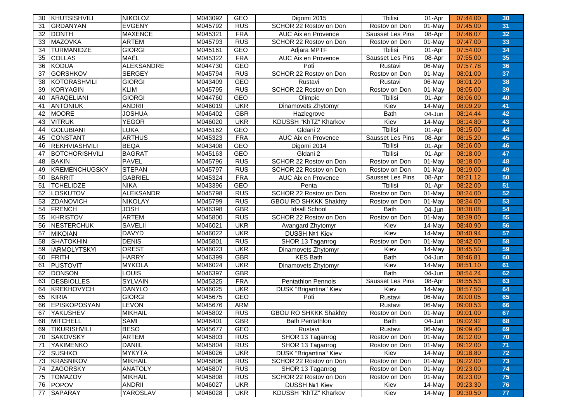| 30 | KHUTSISHVILI         | <b>NIKOLOZ</b>    | M043092 | GEO        | Digomi 2015                   | Tbilisi          | 01-Apr    | 07:44.00 | 30 |
|----|----------------------|-------------------|---------|------------|-------------------------------|------------------|-----------|----------|----|
| 31 | <b>GRDANYAN</b>      | <b>EVGENY</b>     | M045792 | <b>RUS</b> | SCHOR 22 Rostov on Don        | Rostov on Don    | $01$ -May | 07:45.00 | 31 |
| 32 | <b>DONTH</b>         | <b>MAXENCE</b>    | M045321 | <b>FRA</b> | <b>AUC Aix en Provence</b>    | Sausset Les Pins | 08-Apr    | 07:46.07 | 32 |
| 33 | MAZOVKA              | <b>ARTEM</b>      | M045793 | <b>RUS</b> | SCHOR 22 Rostov on Don        | Rostov on Don    | $01$ -May | 07:47.00 | 33 |
| 34 | <b>TURMANIDZE</b>    | <b>GIORGI</b>     | M045161 | GEO        | Adjara MPTF                   | Tbilisi          | 01-Apr    | 07:54.00 | 34 |
| 35 | <b>COLLAS</b>        | MAËL              | M045322 | <b>FRA</b> | AUC Aix en Provence           | Sausset Les Pins | 08-Apr    | 07:55.00 | 35 |
| 36 | KODUA                | <b>ALEKSANDRE</b> | M044730 | GEO        | Poti                          | Rustavi          | 06-May    | 07:57.78 | 36 |
| 37 | <b>GORSHKOV</b>      | <b>SERGEY</b>     | M045794 | <b>RUS</b> | SCHOR 22 Rostov on Don        | Rostov on Don    | $01$ -May | 08:01.00 | 37 |
| 38 | KOTORASHVILI         | <b>GIORGI</b>     | M043409 | <b>GEO</b> | Rustavi                       | Rustavi          | 06-May    | 08:01.20 | 38 |
| 39 | KORYAGIN             | <b>KLIM</b>       | M045795 | <b>RUS</b> | SCHOR 22 Rostov on Don        | Rostov on Don    | $01$ -May | 08:05.00 | 39 |
| 40 | ARAQELIANI           | <b>GIORGI</b>     | M044760 | GEO        | Olimpic                       | <b>Tbilisi</b>   | 01-Apr    | 08:06.00 | 40 |
| 41 | <b>ANTONIUK</b>      | <b>ANDRII</b>     | M046019 | <b>UKR</b> | Dinamovets Zhytomyr           | Kiev             | $14$ -May | 08:09.29 | 41 |
| 42 | MOORE                | <b>JOSHUA</b>     | M046402 | <b>GBR</b> | Hazlegrove                    | <b>Bath</b>      | 04-Jun    | 08:14.44 | 42 |
| 43 | <b>VITRUK</b>        | <b>YEGOR</b>      | M046020 | <b>UKR</b> | KDUSSH "KhTZ" Kharkov         | Kiev             | 14-May    | 08:14.80 | 43 |
| 44 | <b>GOLUBIANI</b>     | <b>LUKA</b>       | M045162 | <b>GEO</b> | Gldani 2                      | <b>T</b> bilisi  | 01-Apr    | 08:15.00 | 44 |
| 45 | CONSTANT             | <b>ARTHUS</b>     | M045323 | <b>FRA</b> | AUC Aix en Provence           | Sausset Les Pins | 08-Apr    | 08:15.20 | 45 |
| 46 | REKHVIASHVILI        | <b>BEQA</b>       | M043408 | GEO        | Digomi 2014                   | Tbilisi          | 01-Apr    | 08:16.00 | 46 |
| 47 | BOTCHORISHVILI       | <b>BAGRAT</b>     | M045163 | <b>GEO</b> | Gldani 2                      | Tbilisi          | 01-Apr    | 08:18.00 | 47 |
| 48 | <b>BAKIN</b>         | <b>PAVEL</b>      | M045796 | <b>RUS</b> | SCHOR 22 Rostov on Don        | Rostov on Don    | $01$ -May | 08:18.00 | 48 |
| 49 | <b>KREMENCHUGSKY</b> | <b>STEPAN</b>     | M045797 | <b>RUS</b> | SCHOR 22 Rostov on Don        | Rostov on Don    | 01-May    | 08:19.00 | 49 |
| 50 | BARRIT               | <b>GABRIEL</b>    | M045324 | <b>FRA</b> | AUC Aix en Provence           | Sausset Les Pins | 08-Apr    | 08:21.12 | 50 |
| 51 | <b>TCHELIDZE</b>     | <b>NIKA</b>       | M043396 | GEO        | Penta                         | Tbilisi          | 01-Apr    | 08:22.00 | 51 |
| 52 | <b>LOSKUTOV</b>      | <b>ALEKSANDR</b>  | M045798 | RUS        | SCHOR 22 Rostov on Don        | Rostov on Don    | 01-May    | 08:24.00 | 52 |
| 53 | <b>ZDANOVICH</b>     | <b>NIKOLAY</b>    | M045799 | <b>RUS</b> | GBOU RO SHKKK Shakhty         | Rostov on Don    | $01$ -May | 08:34.00 | 53 |
| 54 | FRENCH               | <b>JOSH</b>       | M046398 | <b>GBR</b> | <b>Idsall School</b>          | <b>Bath</b>      | 04-Jun    | 08:38.08 | 54 |
| 55 | KHRISTOV             | <b>ARTEM</b>      | M045800 | <b>RUS</b> | SCHOR 22 Rostov on Don        | Rostov on Don    | 01-May    | 08:39.00 | 55 |
| 56 | NESTERCHUK           | <b>SAVELII</b>    | M046021 | <b>UKR</b> | Avangard Zhytomyr             | Kiev             | 14-May    | 08:40.90 | 56 |
| 57 | MIKOIAN              | <b>DAVYD</b>      | M046022 | <b>UKR</b> | <b>DUSSH Nº1 Kiev</b>         | Kiev             | 14-May    | 08:40.94 | 57 |
| 58 | <b>SHATOKHIN</b>     | <b>DENIS</b>      | M045801 | <b>RUS</b> | SHOR 13 Taganrog              | Rostov on Don    | 01-May    | 08:42.00 | 58 |
| 59 | <b>IARMOLYTSKYI</b>  | <b>OREST</b>      | M046023 | <b>UKR</b> | Dinamovets Zhytomyr           | Kiev             | 14-May    | 08:45.50 | 59 |
| 60 | FRITH                | <b>HARRY</b>      | M046399 | <b>GBR</b> | <b>KES Bath</b>               | <b>Bath</b>      | 04-Jun    | 08:46.81 | 60 |
| 61 | PUSTOVIT             | <b>MYKOLA</b>     | M046024 | <b>UKR</b> | Dinamovets Zhytomyr           | Kiev             | 14-May    | 08:51.10 | 61 |
| 62 | <b>DONSON</b>        | LOUIS             | M046397 | <b>GBR</b> |                               | <b>Bath</b>      | 04-Jun    | 08:54.24 | 62 |
| 63 | <b>DESBIOLLES</b>    | <b>SYLVAIN</b>    | M045325 | <b>FRA</b> | Pentathlon Pennois            | Sausset Les Pins | 08-Apr    | 08:55.53 | 63 |
| 64 | KREKHOVYCH           | <b>DANYLO</b>     | M046025 | <b>UKR</b> | <b>DUSK "Brigantina" Kiev</b> | Kiev             | 14-May    | 08:57.50 | 64 |
| 65 | KIRIA                | <b>GIORGI</b>     | M045675 | <b>GEO</b> | Poti                          | Rustavi          | 06-May    | 09:00.05 | 65 |
| 66 | <b>EPISKOPOSYAN</b>  | <b>LEVON</b>      | M045676 | <b>ARM</b> |                               | Rustavi          | 06-May    | 09:00.53 | 66 |
| 67 | YAKUSHEV             | <b>MIKHAIL</b>    | M045802 | <b>RUS</b> | GBOU RO SHKKK Shakhty         | Rostov on Don    | 01-May    | 09:01.00 | 67 |
| 68 | <b>MITCHELL</b>      | <b>SAMI</b>       | M046401 | <b>GBR</b> | <b>Bath Pentathlon</b>        | <b>Bath</b>      | 04-Jun    | 09:02.92 | 68 |
| 69 | TIKURISHVILI         | <b>BESO</b>       | M045677 | GEO        | Rustavi                       | Rustavi          | 06-May    | 09:09.40 | 69 |
| 70 | <b>SAKOVSKY</b>      | <b>ARTEM</b>      | M045803 | <b>RUS</b> | SHOR 13 Taganrog              | Rostov on Don    | 01-May    | 09:12.00 | 70 |
| 71 | <b>YAKIMENKO</b>     | <b>DANIIL</b>     | M045804 | <b>RUS</b> | SHOR 13 Taganrog              | Rostov on Don    | 01-May    | 09:12.00 | 71 |
| 72 | <b>SUSHKO</b>        | <b>MYKYTA</b>     | M046026 | <b>UKR</b> | <b>DUSK "Brigantina" Kiev</b> | Kiev             | 14-May    | 09:18.80 | 72 |
| 73 | KRASNIKOV            | <b>MIKHAIL</b>    | M045806 | <b>RUS</b> | SCHOR 22 Rostov on Don        | Rostov on Don    | 01-May    | 09:22.00 | 73 |
| 74 | <b>ZAGORSKY</b>      | <b>ANATOLY</b>    | M045807 | <b>RUS</b> | SHOR 13 Taganrog              | Rostov on Don    | 01-May    | 09:23.00 | 74 |
| 75 | <b>TOMAZOV</b>       | <b>MIKHAIL</b>    | M045808 | <b>RUS</b> | SCHOR 22 Rostov on Don        | Rostov on Don    | 01-May    | 09:23.00 | 75 |
| 76 | POPOV                | <b>ANDRII</b>     | M046027 | <b>UKR</b> | DUSSH Nº1 Kiev                | Kiev             | 14-May    | 09:23.30 | 76 |
| 77 | SAPARAY              | YAROSLAV          | M046028 | <b>UKR</b> | KDUSSH "KhTZ" Kharkov         | Kiev             | 14-May    | 09:30.50 | 77 |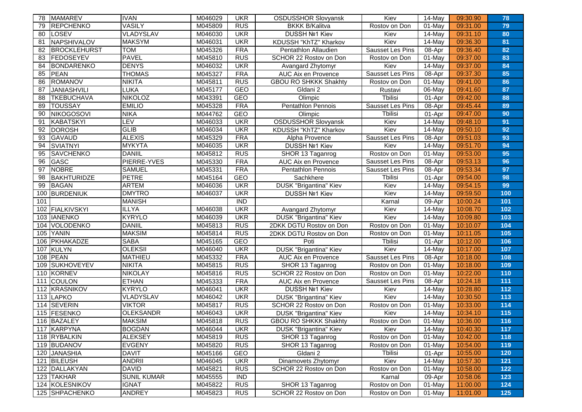| 78  | <b>MAMAREV</b>      | <b>IVAN</b>        | M046029 | <b>UKR</b>       | <b>OSDUSSHOR Slovyansk</b>    | Kiev                    | 14-May               | 09:30.90 | 78  |
|-----|---------------------|--------------------|---------|------------------|-------------------------------|-------------------------|----------------------|----------|-----|
| 79  | REPCHENKO           | <b>VASILY</b>      | M045809 | <b>RUS</b>       | <b>BKKK B/Kalitva</b>         | Rostov on Don           | 01-May               | 09:31.00 | 79  |
| 80  | LOSEV               | VLADYSLAV          | M046030 | <b>UKR</b>       | <b>DUSSH Nº1 Kiev</b>         | Kiev                    | 14-May               | 09:31.10 | 80  |
| 81  | NAPSHIVALOV         | <b>MAKSYM</b>      | M046031 | <b>UKR</b>       | KDUSSH "KhTZ" Kharkov         | Kiev                    | 14-May               | 09:36.30 | 81  |
| 82  | <b>BROCKLEHURST</b> | <b>TOM</b>         | M045326 | <b>FRA</b>       | Pentathlon Allaudien          | Sausset Les Pins        | 08-Apr               | 09:36.40 | 82  |
| 83  | FEDOSEYEV           | <b>PAVEL</b>       | M045810 | <b>RUS</b>       | SCHOR 22 Rostov on Don        | Rostov on Don           | 01-May               | 09:37.00 | 83  |
| 84  | <b>BONDARENKO</b>   | <b>DENYS</b>       | M046032 | <b>UKR</b>       | Avangard Zhytomyr             | Kiev                    | 14-May               | 09:37.00 | 84  |
| 85  | PEAN                | <b>THOMAS</b>      | M045327 | <b>FRA</b>       | AUC Aix en Provence           | Sausset Les Pins        | 08-Apr               | 09:37.30 | 85  |
| 86  | <b>ROMANOV</b>      | <b>NIKITA</b>      | M045811 | <b>RUS</b>       | <b>GBOU RO SHKKK Shakhty</b>  | Rostov on Don           | 01-May               | 09:41.00 | 86  |
| 87  | <b>JANIASHVILI</b>  | <b>LUKA</b>        | M045177 | GEO              | Gldani 2                      | Rustavi                 | 06-May               | 09:41.60 | 87  |
| 88  | <b>TKEBUCHAVA</b>   | <b>NIKOLOZ</b>     | M043391 | GEO              | Olimpic                       | Tbilisi                 | 01-Apr               | 09:42.00 | 88  |
| 89  | <b>TOUSSAY</b>      | <b>EMILIO</b>      | M045328 | <b>FRA</b>       | <b>Pentathlon Pennois</b>     | Sausset Les Pins        | 08-Apr               | 09:45.44 | 89  |
| 90  | NIKOGOSOVI          | <b>NIKA</b>        | M044762 | GEO              | Olimpic                       | <b>Tbilisi</b>          | 01-Apr               | 09:47.00 | 90  |
| 91  | KABATSKYI           | LEV                | M046033 | <b>UKR</b>       | <b>OSDUSSHOR Slovyansk</b>    | Kiev                    | $\overline{14}$ -May | 09:48.10 | 91  |
| 92  | <b>DOROSH</b>       | <b>GLIB</b>        | M046034 | <b>UKR</b>       | KDUSSH "KhTZ" Kharkov         | Kiev                    | 14-May               | 09:50.10 | 92  |
| 93  | <b>GAVAUD</b>       | <b>ALEXIS</b>      | M045329 | <b>FRA</b>       | Alpha Provence                | Sausset Les Pins        | 08-Apr               | 09:51.03 | 93  |
| 94  | <b>SVIATNYI</b>     | <b>MYKYTA</b>      | M046035 | <b>UKR</b>       | <b>DUSSH Nº1 Kiev</b>         | Kiev                    | 14-May               | 09:51.70 | 94  |
| 95  | <b>SAVCHENKO</b>    | <b>DANIIL</b>      | M045812 | <b>RUS</b>       | SHOR 13 Taganrog              | Rostov on Don           | 01-May               | 09:53.00 | 95  |
| 96  | GASC                | PIERRE-YVES        | M045330 | <b>FRA</b>       | AUC Aix en Provence           | Sausset Les Pins        | 08-Apr               | 09:53.13 | 96  |
| 97  | <b>NOBRE</b>        | <b>SAMUEL</b>      | M045331 | <b>FRA</b>       | Pentathlon Pennois            | Sausset Les Pins        | 08-Apr               | 09:53.34 | 97  |
| 98  | <b>BAKHTURIDZE</b>  | <b>PETRE</b>       | M045164 | <b>GEO</b>       | Sachkhere                     | Tbilisi                 | 01-Apr               | 09:54.00 | 98  |
| 99  | <b>BAGAN</b>        | <b>ARTEM</b>       | M046036 | <b>UKR</b>       | DUSK "Brigantina" Kiev        | Kiev                    | 14-May               | 09:54.15 | 99  |
| 100 | <b>BURDENIUK</b>    | <b>DMYTRO</b>      | M046037 | <b>UKR</b>       | DUSSH Nº1 Kiev                | Kiev                    | 14-May               | 09:59.50 | 100 |
| 101 |                     | <b>MANISH</b>      |         | $\overline{IND}$ |                               | Karnal                  | 09-Apr               | 10:00.24 | 101 |
| 102 | FIALKIVSKYI         | <b>ILLYA</b>       | M046038 | <b>UKR</b>       | Avangard Zhytomyr             | Kiev                    | 14-May               | 10:08.70 | 102 |
| 103 | <b>IANENKO</b>      | <b>KYRYLO</b>      | M046039 | <b>UKR</b>       | DUSK "Brigantina" Kiev        | Kiev                    | 14-May               | 10:09.80 | 103 |
| 104 | VOLODENKO           | <b>DANIIL</b>      | M045813 | <b>RUS</b>       | 2DKK DGTU Rostov on Don       | Rostov on Don           | 01-May               | 10:10.07 | 104 |
| 105 | <b>YANIN</b>        | <b>MAKSIM</b>      | M045814 | <b>RUS</b>       | 2DKK DGTU Rostov on Don       | Rostov on Don           | $01$ -May            | 10:11.05 | 105 |
| 106 | PKHAKADZE           | <b>SABA</b>        | M045165 | GEO              | Poti                          | <b>Tbilisi</b>          | 01-Apr               | 10:12.00 | 106 |
| 107 | KULYN               | <b>OLEKSII</b>     | M046040 | <b>UKR</b>       | <b>DUSK "Brigantina" Kiev</b> | Kiev                    | 14-May               | 10:17.00 | 107 |
| 108 | <b>PEAN</b>         | <b>MATHIEU</b>     | M045332 | FRA              | AUC Aix en Provence           | <b>Sausset Les Pins</b> | 08-Apr               | 10:18.00 | 108 |
| 109 | <b>SUKHOVEYEV</b>   | <b>NIKITA</b>      | M045815 | <b>RUS</b>       | SHOR 13 Taganrog              | Rostov on Don           | 01-May               | 10:18.00 | 109 |
| 110 | KORNEV              | <b>NIKOLAY</b>     | M045816 | <b>RUS</b>       | SCHOR 22 Rostov on Don        | Rostov on Don           | $01$ -May            | 10:22.00 | 110 |
| 111 | <b>COULON</b>       | <b>ETHAN</b>       | M045333 | <b>FRA</b>       | AUC Aix en Provence           | Sausset Les Pins        | $\overline{0}$ 8-Apr | 10:24.18 | 111 |
| 112 | KRASNIKOV           | <b>KYRYLO</b>      | M046041 | <b>UKR</b>       | DUSSH Nº1 Kiev                | Kiev                    | 14-May               | 10:28.80 | 112 |
| 113 | <b>LAPKO</b>        | VLADYSLAV          | M046042 | <b>UKR</b>       | DUSK "Brigantina" Kiev        | Kiev                    | 14-May               | 10:30.50 | 113 |
| 114 | <b>SEVERIN</b>      | <b>VIKTOR</b>      | M045817 | <b>RUS</b>       | SCHOR 22 Rostov on Don        | Rostov on Don           | 01-May               | 10:33.00 | 114 |
|     | 115 FESENKO         | <b>OLEKSANDR</b>   | M046043 | <b>UKR</b>       | DUSK "Brigantina" Kiev        | Kiev                    | 14-May               | 10:34.10 | 115 |
|     | 116 BAZALEY         | <b>MAKSIM</b>      | M045818 | <b>RUS</b>       | <b>GBOU RO SHKKK Shakhty</b>  | Rostov on Don           | 01-May               | 10:36.00 | 116 |
|     | 117 KARPYNA         | <b>BOGDAN</b>      | M046044 | <b>UKR</b>       | DUSK "Brigantina" Kiev        | Kiev                    | 14-May               | 10:40.30 | 117 |
|     | 118 RYBALKIN        | <b>ALEKSEY</b>     | M045819 | <b>RUS</b>       | SHOR 13 Taganrog              | Rostov on Don           | 01-May               | 10:42.00 | 118 |
|     | 119 BUDANOV         | <b>EVGENY</b>      | M045820 | <b>RUS</b>       | SHOR 13 Taganrog              | Rostov on Don           | 01-May               | 10:54.00 | 119 |
|     | 120 JANASHIA        | <b>DAVIT</b>       | M045166 | GEO              | Gldani 2                      | <b>Thilisi</b>          | 01-Apr               | 10:55.00 | 120 |
| 121 | BILEUSH             | <b>ANDRII</b>      | M046045 | <b>UKR</b>       | Dinamovets Zhytomyr           | Kiev                    | 14-May               | 10:57.30 | 121 |
|     | 122 DALLAKYAN       | <b>DAVID</b>       | M045821 | <b>RUS</b>       | SCHOR 22 Rostov on Don        | Rostov on Don           | 01-May               | 10:58.00 | 122 |
|     | 123 TAKHAR          | <b>SUNIL KUMAR</b> | M045555 | <b>IND</b>       |                               | Karnal                  | 09-Apr               | 10:58.06 | 123 |
|     | 124 KOLESNIKOV      | <b>IGNAT</b>       | M045822 | <b>RUS</b>       | SHOR 13 Taganrog              | Rostov on Don           | 01-May               | 11:00.00 | 124 |
|     | 125 SHPACHENKO      | <b>ANDREY</b>      | M045823 | <b>RUS</b>       | SCHOR 22 Rostov on Don        | Rostov on Don           | 01-May               | 11:01.00 | 125 |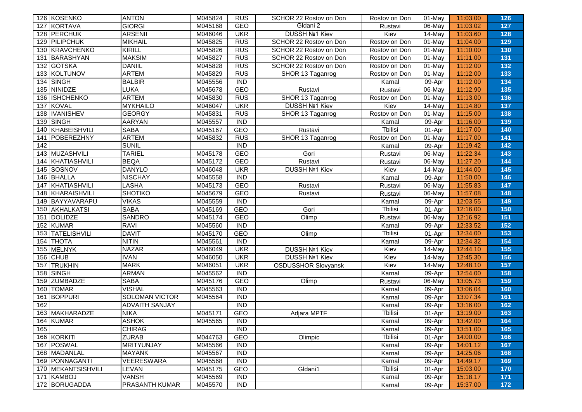| 126 KOSENKO                | <b>ANTON</b>          | M045824 | <b>RUS</b>       | SCHOR 22 Rostov on Don     | Rostov on Don   | 01-May    | 11:03.00 | 126 |
|----------------------------|-----------------------|---------|------------------|----------------------------|-----------------|-----------|----------|-----|
| <b>KORTAVA</b><br>127      | <b>GIORGI</b>         | M045168 | GEO              | Gldani 2                   | Rustavi         | 06-May    | 11:03.02 | 127 |
| PERCHUK<br>128             | <b>ARSENII</b>        | M046046 | <b>UKR</b>       | <b>DUSSH Nº1 Kiev</b>      | Kiev            | $14$ -May | 11:03.60 | 128 |
| 129 PILIPCHUK              | <b>MIKHAIL</b>        | M045825 | <b>RUS</b>       | SCHOR 22 Rostov on Don     | Rostov on Don   | $01$ -May | 11:04.00 | 129 |
| 130 KRAVCHENKO             | <b>KIRILL</b>         | M045826 | <b>RUS</b>       | SCHOR 22 Rostov on Don     | Rostov on Don   | $01$ -May | 11:10.00 | 130 |
| BARASHYAN<br>131           | <b>MAKSIM</b>         | M045827 | <b>RUS</b>       | SCHOR 22 Rostov on Don     | Rostov on Don   | $01$ -May | 11:11.00 | 131 |
| GOTSKA<br>132              | <b>DANIIL</b>         | M045828 | <b>RUS</b>       | SCHOR 22 Rostov on Don     | Rostov on Don   | 01-May    | 11:12.00 | 132 |
| KOLTUNOV<br>133            | <b>ARTEM</b>          | M045829 | <b>RUS</b>       | SHOR 13 Taganrog           | Rostov on Don   | 01-May    | 11:12.00 | 133 |
| SINGH<br>134               | <b>BALBIR</b>         | M045556 | $\overline{IND}$ |                            | Karnal          | 09-Apr    | 11:12.00 | 134 |
| NINIDZE<br>135             | LUKA                  | M045678 | GEO              | Rustavi                    | Rustavi         | 06-May    | 11:12.90 | 135 |
| <b>ISHCHENKO</b><br>136    | <b>ARTEM</b>          | M045830 | <b>RUS</b>       | SHOR 13 Taganrog           | Rostov on Don   | $01$ -May | 11:13.00 | 136 |
| <b>KOVAL</b><br>137        | <b>MYKHAILO</b>       | M046047 | <b>UKR</b>       | DUSSH Nº1 Kiev             | Kiev            | 14-May    | 11:14.80 | 137 |
| <b>IVANISHEV</b><br>138    | <b>GEORGY</b>         | M045831 | <b>RUS</b>       | SHOR 13 Taganrog           | Rostov on Don   | 01-May    | 11:15.00 | 138 |
| SINGH<br>139               | <b>AARYAN</b>         | M045557 | <b>IND</b>       |                            | Karnal          | 09-Apr    | 11:16.00 | 139 |
| KHABEISHVILI<br>140        | <b>SABA</b>           | M045167 | <b>GEO</b>       | Rustavi                    | <b>T</b> bilisi | 01-Apr    | 11:17.00 | 140 |
| POBEREZHNY<br>141          | <b>ARTEM</b>          | M045832 | <b>RUS</b>       | SHOR 13 Taganrog           | Rostov on Don   | $01$ -May | 11:17.00 | 141 |
| 142                        | <b>SUNIL</b>          |         | <b>IND</b>       |                            | Karnal          | 09-Apr    | 11:19.42 | 142 |
| MUZASHVILI<br>143          | <b>TARIEL</b>         | M045178 | GEO              | Gori                       | Rustavi         | 06-May    | 11:22.34 | 143 |
| KHATIASHVILI<br>144        | <b>BEQA</b>           | M045172 | <b>GEO</b>       | Rustavi                    | Rustavi         | 06-May    | 11:27.20 | 144 |
| SOSNOV<br>145              | <b>DANYLO</b>         | M046048 | <b>UKR</b>       | <b>DUSSH Nº1 Kiev</b>      | Kiev            | 14-May    | 11:44.00 | 145 |
| <b>BHALLA</b><br>146       | <b>NISCHAY</b>        | M045558 | <b>IND</b>       |                            | Karnal          | 09-Apr    | 11:50.00 | 146 |
| KHATIASHVILI<br>147        | LASHA                 | M045173 | GEO              | Rustavi                    | Rustavi         | 06-May    | 11:55.83 | 147 |
| KHARAISHVILI<br>148        | <b>SHOTIKO</b>        | M045679 | <b>GEO</b>       | Rustavi                    | Rustavi         | 06-May    | 11:57.08 | 148 |
| BAYYAVARAPU<br>149         | <b>VIKAS</b>          | M045559 | <b>IND</b>       |                            | Karnal          | 09-Apr    | 12:03.55 | 149 |
| AKHALKATSI<br>150          | SABA                  | M045169 | GEO              | Gori                       | <b>T</b> bilisi | 01-Apr    | 12:16.00 | 150 |
| <b>DOLIDZE</b><br>151      | <b>SANDRO</b>         | M045174 | <b>GEO</b>       | Olimp                      | Rustavi         | 06-May    | 12:16.92 | 151 |
| 152 KUMAR                  | <b>RAVI</b>           | M045560 | <b>IND</b>       |                            | Karnal          | 09-Apr    | 12:33.52 | 152 |
| <b>TATELISHVILI</b><br>153 | <b>DAVIT</b>          | M045170 | GEO              | Olimp                      | <b>Thilisi</b>  | 01-Apr    | 12:34.00 | 153 |
| <b>THOTA</b><br>154        | <b>NITIN</b>          | M045561 | $\overline{IND}$ |                            | Karnal          | 09-Apr    | 12:34.32 | 154 |
| MELNYK<br>155              | <b>NAZAR</b>          | M046049 | <b>UKR</b>       | <b>DUSSH Nº1 Kiev</b>      | Kiev            | 14-May    | 12:44.10 | 155 |
| 156<br><b>CHUB</b>         | <b>IVAN</b>           | M046050 | <b>UKR</b>       | <b>DUSSH Nº1 Kiev</b>      | Kiev            | 14-May    | 12:45.30 | 156 |
| 157<br><b>TRUKHIN</b>      | <b>MARK</b>           | M046051 | <b>UKR</b>       | <b>OSDUSSHOR Slovyansk</b> | Kiev            | 14-May    | 12:48.10 | 157 |
| SINGH<br>158               | <b>ARMAN</b>          | M045562 | <b>IND</b>       |                            | Karnal          | 09-Apr    | 12:54.00 | 158 |
| 159<br><b>ZUMBADZE</b>     | <b>SABA</b>           | M045176 | GEO              | Olimp                      | Rustavi         | 06-May    | 13:05.73 | 159 |
| <b>TOMAR</b><br>160        | <b>VISHAL</b>         | M045563 | $\overline{IND}$ |                            | Karnal          | 09-Apr    | 13:06.04 | 160 |
| <b>BOPPURI</b><br>161      | <b>SOLOMAN VICTOR</b> | M045564 | <b>IND</b>       |                            | Karnal          | 09-Apr    | 13:07.34 | 161 |
| 162                        | <b>ADVAITH SANJAY</b> |         | <b>IND</b>       |                            | Karnal          | 09-Apr    | 13:16.00 | 162 |
| 163 MAKHARADZE             | <b>NIKA</b>           | M045171 | <b>GEO</b>       | Adjara MPTF                | <b>T</b> bilisi | 01-Apr    | 13:19.00 | 163 |
| 164 KUMAR                  | <b>ASHOK</b>          | M045565 | <b>IND</b>       |                            | Karnal          | 09-Apr    | 13:42.00 | 164 |
| 165                        | <b>CHIRAG</b>         |         | <b>IND</b>       |                            | Karnal          | 09-Apr    | 13:51.00 | 165 |
| 166 KORKITI                | <b>ZURAB</b>          | M044763 | <b>GEO</b>       | Olimpic                    | <b>Tbilisi</b>  | 01-Apr    | 14:00.00 | 166 |
| 167 POSWAL                 | <b>MRITYUNJAY</b>     | M045566 | <b>IND</b>       |                            | Karnal          | 09-Apr    | 14:01.12 | 167 |
| 168 MADANLAL               | <b>MAYANK</b>         | M045567 | <b>IND</b>       |                            | Karnal          | 09-Apr    | 14:25.06 | 168 |
| 169 PONNAGANTI             | VEERESWARA            | M045568 | <b>IND</b>       |                            | Karnal          | 09-Apr    | 14:49.17 | 169 |
| 170 MEKANTSISHVILI         | LEVAN                 | M045175 | GEO              | Gldani1                    | <b>Thilisi</b>  | 01-Apr    | 15:03.00 | 170 |
| KAMBOJ<br>171              | <b>VANSH</b>          | M045569 | <b>IND</b>       |                            | Karnal          | 09-Apr    | 15:18.17 | 171 |
| 172 BORUGADDA              | <b>PRASANTH KUMAR</b> | M045570 | <b>IND</b>       |                            | Karnal          | 09-Apr    | 15:37.00 | 172 |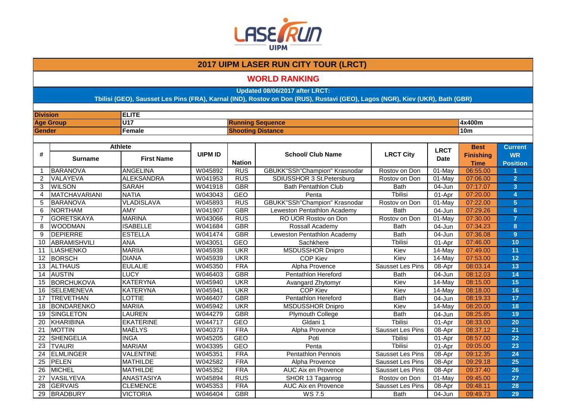

#### **WORLD RANKING**

**Updated 08/06/2017 after LRCT:**

| <b>Division</b> |                      | <b>ELITE</b>      |                |                          |                                      |                         |             |                                 |                              |  |
|-----------------|----------------------|-------------------|----------------|--------------------------|--------------------------------------|-------------------------|-------------|---------------------------------|------------------------------|--|
|                 | <b>Age Group</b>     | <b>U17</b>        |                |                          | <b>Running Sequence</b>              |                         |             | 4x400m                          |                              |  |
| <b>Gender</b>   |                      | Female            |                | <b>Shooting Distance</b> |                                      |                         |             | 10 <sub>m</sub>                 |                              |  |
|                 |                      |                   |                |                          |                                      |                         |             |                                 |                              |  |
|                 |                      | <b>Athlete</b>    |                |                          |                                      |                         | <b>LRCT</b> | <b>Best</b>                     | <b>Current</b>               |  |
| #               | <b>Surname</b>       | <b>First Name</b> | <b>UIPM ID</b> | <b>Nation</b>            | <b>School/ Club Name</b>             | <b>LRCT City</b>        | <b>Date</b> | <b>Finishing</b><br><b>Time</b> | <b>WR</b><br><b>Position</b> |  |
| 1               | BARANOVA             | <b>ANGELINA</b>   | W045892        | <b>RUS</b>               | <b>GBUKK"SSh"Champion" Krasnodar</b> | Rostov on Don           | 01-May      | 06:55.00                        |                              |  |
| $\overline{2}$  | <b>VALAYEVA</b>      | <b>ALEKSANDRA</b> | W041953        | <b>RUS</b>               | SDIUSSHOR 3 St.Petersburg            | Rostov on Don           | 01-May      | 07:06.00                        | $\overline{2}$               |  |
| 3               | <b>WILSON</b>        | <b>SARAH</b>      | W041918        | <b>GBR</b>               | <b>Bath Pentathlon Club</b>          | <b>Bath</b>             | 04-Jun      | 07:17.07                        | $\overline{3}$               |  |
| 4               | <b>MATCHAVARIANI</b> | <b>NATIA</b>      | W043043        | <b>GEO</b>               | Penta                                | <b>Thilisi</b>          | 01-Apr      | 07:20.00                        | 4                            |  |
| 5               | BARANOVA             | <b>VLADISLAVA</b> | W045893        | <b>RUS</b>               | <b>GBUKK"SSh"Champion" Krasnodar</b> | Rostov on Don           | 01-May      | 07:22.00                        | 5                            |  |
| 6               | NORTHAM              | <b>AMY</b>        | W041907        | <b>GBR</b>               | Leweston Pentathlon Academy          | <b>Bath</b>             | 04-Jun      | 07:29.26                        | $6\phantom{a}$               |  |
| $\overline{7}$  | GORETSKAYA           | <b>MARINA</b>     | W043066        | <b>RUS</b>               | RO UOR Rostov on Don                 | Rostov on Don           | 01-May      | 07:30.00                        | $\overline{7}$               |  |
| 8               | <b>WOODMAN</b>       | <b>ISABELLE</b>   | W041684        | <b>GBR</b>               | Rossall Academy                      | <b>Bath</b>             | 04-Jun      | 07:34.23                        | 8                            |  |
| 9               | <b>DEPIERRE</b>      | <b>ESTELLA</b>    | W041474        | <b>GBR</b>               | Leweston Pentathlon Academy          | <b>Bath</b>             | 04-Jun      | 07:36.08                        | 9                            |  |
| 10              | <b>ABRAMISHVILI</b>  | <b>ANA</b>        | W043051        | <b>GEO</b>               | Sachkhere                            | <b>T</b> bilisi         | 01-Apr      | 07:46.00                        | 10                           |  |
| 11              | <b>LIASHENKO</b>     | <b>MARIIA</b>     | W045938        | <b>UKR</b>               | <b>MSDUSSHOR Dnipro</b>              | Kiev                    | 14-May      | 07:49.00                        | 11                           |  |
| 12              | <b>BORSCH</b>        | <b>DIANA</b>      | W045939        | <b>UKR</b>               | <b>COP Kiev</b>                      | Kiev                    | 14-May      | 07:53.00                        | 12                           |  |
| 13              | <b>ALTHAUS</b>       | <b>EULALIE</b>    | W045350        | <b>FRA</b>               | <b>Alpha Provence</b>                | Sausset Les Pins        | 08-Apr      | 08:03.14                        | 13                           |  |
| 14              | <b>AUSTIN</b>        | LUCY              | W046403        | <b>GBR</b>               | <b>Pentathlon Hereford</b>           | <b>Bath</b>             | 04-Jun      | 08:12.03                        | 14                           |  |
| 15              | BORCHUKOVA           | <b>KATERYNA</b>   | W045940        | <b>UKR</b>               | Avangard Zhytomyr                    | Kiev                    | 14-May      | 08:15.00                        | 15                           |  |
| 16              | <b>SELEMENEVA</b>    | <b>KATERYNA</b>   | W045941        | <b>UKR</b>               | <b>COP Kiev</b>                      | Kiev                    | 14-May      | 08:18.00                        | 16                           |  |
| 17              | <b>TREVETHAN</b>     | LOTTIE            | W046407        | <b>GBR</b>               | Pentathlon Hereford                  | <b>Bath</b>             | 04-Jun      | 08:19.33                        | 17                           |  |
| 18              | BONDARENKO           | <b>MARIIA</b>     | W045942        | <b>UKR</b>               | <b>MSDUSSHOR Dnipro</b>              | Kiev                    | 14-May      | 08:20.00                        | 18                           |  |
| 19              | <b>SINGLETON</b>     | <b>LAUREN</b>     | W044279        | <b>GBR</b>               | <b>Plymouth College</b>              | <b>Bath</b>             | 04-Jun      | 08:25.85                        | 19                           |  |
| 20              | KHARIBINA            | <b>EKATERINE</b>  | W044717        | <b>GEO</b>               | Gldani 1                             | <b>Thilisi</b>          | 01-Apr      | 08:33.00                        | 20                           |  |
| 21              | <b>MOTTIN</b>        | MAËLYS            | W040373        | <b>FRA</b>               | Alpha Provence                       | Sausset Les Pins        | 08-Apr      | 08:37.12                        | 21                           |  |
| 22              | SHENGELIA            | <b>INGA</b>       | W045205        | <b>GEO</b>               | Poti                                 | <b>T</b> bilisi         | 01-Apr      | 08:57.00                        | 22                           |  |
| 23              | <b>TVAURI</b>        | <b>MARIAM</b>     | W043395        | <b>GEO</b>               | Penta                                | <b>Thilisi</b>          | 01-Apr      | 09:05.00                        | 23                           |  |
| 24              | <b>ELMLINGER</b>     | VALENTINE         | W045351        | <b>FRA</b>               | <b>Pentathlon Pennois</b>            | Sausset Les Pins        | $08 - Apr$  | 09:12.35                        | 24                           |  |
| $\overline{25}$ | PELEN                | <b>MATHILDE</b>   | W042582        | <b>FRA</b>               | Alpha Provence                       | Sausset Les Pins        | 08-Apr      | 09:29.18                        | 25                           |  |
| 26              | <b>MICHEL</b>        | <b>MATHILDE</b>   | W045352        | <b>FRA</b>               | AUC Aix en Provence                  | <b>Sausset Les Pins</b> | 08-Apr      | 09:37.40                        | 26                           |  |
| 27              | VASILYEVA            | ANASTASIYA        | W045894        | <b>RUS</b>               | SHOR 13 Taganrog                     | Rostov on Don           | 01-May      | 09:45.00                        | $\overline{27}$              |  |
| 28              | <b>GERVAIS</b>       | <b>CLEMENCE</b>   | W045353        | <b>FRA</b>               | <b>AUC Aix en Provence</b>           | Sausset Les Pins        | 08-Apr      | 09:48.11                        | 28                           |  |
| 29              | <b>BRADBURY</b>      | <b>VICTORIA</b>   | W046404        | <b>GBR</b>               | <b>WS 7.5</b>                        | <b>Bath</b>             | 04-Jun      | 09:49.73                        | 29                           |  |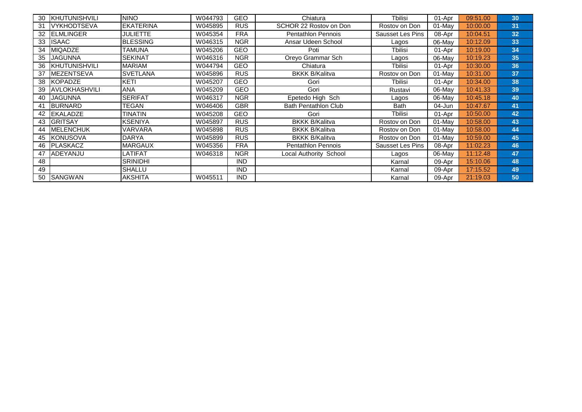| 30 | KHUTUNISHVILI         | <b>NINO</b>      | W044793 | <b>GEO</b> | Chiatura                    | <b>T</b> bilisi         | 01-Apr    | 09:51.00 | 30 |
|----|-----------------------|------------------|---------|------------|-----------------------------|-------------------------|-----------|----------|----|
| 31 | <b>IVYKHODTSEVA</b>   | <b>EKATERINA</b> | W045895 | <b>RUS</b> | SCHOR 22 Rostov on Don      | Rostov on Don           | $01$ -May | 10:00.00 | 31 |
| 32 | <b>IELMLINGER</b>     | JULIETTE         | W045354 | <b>FRA</b> | <b>Pentathlon Pennois</b>   | Sausset Les Pins        | 08-Apr    | 10:04.51 | 32 |
| 33 | <b>ISAAC</b>          | <b>BLESSING</b>  | W046315 | <b>NGR</b> | Ansar Udeen School          | Lagos                   | $06$ -May | 10:12.09 | 33 |
| 34 | <b>IMIQADZE</b>       | <b>TAMUNA</b>    | W045206 | <b>GEO</b> | Poti                        | Tbilisi                 | 01-Apr    | 10:19.00 | 34 |
| 35 | <b>JAGUNNA</b>        | <b>SEKINAT</b>   | W046316 | <b>NGR</b> | Oreyo Grammar Sch           | Lagos                   | 06-May    | 10:19.23 | 35 |
| 36 | <b>IKHUTUNISHVILI</b> | <b>MARIAM</b>    | W044794 | <b>GEO</b> | Chiatura                    | Tbilisi                 | 01-Apr    | 10:30.00 | 36 |
| 37 | <b>MEZENTSEVA</b>     | <b>SVETLANA</b>  | W045896 | <b>RUS</b> | <b>BKKK B/Kalitva</b>       | Rostov on Don           | $01$ -May | 10:31.00 | 37 |
| 38 | <b>KOPADZE</b>        | KETI             | W045207 | <b>GEO</b> | Gori                        | Tbilisi                 | 01-Apr    | 10:34.00 | 38 |
| 39 | IAVLOKHASHVILI        | <b>ANA</b>       | W045209 | GEO        | Gori                        | Rustavi                 | 06-May    | 10:41.33 | 39 |
| 40 | <b>IJAGUNNA</b>       | <b>SERIFAT</b>   | W046317 | <b>NGR</b> | Epetedo High Sch            | Lagos                   | 06-May    | 10:45.18 | 40 |
| 41 | <b>BURNARD</b>        | TEGAN            | W046406 | <b>GBR</b> | <b>Bath Pentathlon Club</b> | <b>Bath</b>             | 04-Jun    | 10:47.67 | 41 |
| 42 | <b>IEKALADZE</b>      | TINATIN          | W045208 | <b>GEO</b> | Gori                        | Tbilisi                 | 01-Apr    | 10:50.00 | 42 |
| 43 | <b>GRITSAY</b>        | <b>KSENIYA</b>   | W045897 | <b>RUS</b> | <b>BKKK B/Kalitva</b>       | Rostov on Don           | $01$ -May | 10:58.00 | 43 |
| 44 | <b>MELENCHUK</b>      | <b>VARVARA</b>   | W045898 | <b>RUS</b> | <b>BKKK B/Kalitva</b>       | Rostov on Don           | $01-Mav$  | 10:58.00 | 44 |
| 45 | <b>IKONUSOVA</b>      | <b>DARYA</b>     | W045899 | <b>RUS</b> | <b>BKKK B/Kalitva</b>       | Rostov on Don           | $01$ -May | 10:59.00 | 45 |
| 46 | <b>IPLASKACZ</b>      | <b>MARGAUX</b>   | W045356 | <b>FRA</b> | <b>Pentathlon Pennois</b>   | <b>Sausset Les Pins</b> | 08-Apr    | 11:02.23 | 46 |
| 47 | <b>IADEYANJU</b>      | LATIFAT          | W046318 | <b>NGR</b> | Local Authority School      | Lagos                   | 06-May    | 11:12.48 | 47 |
| 48 |                       | <b>SRINIDHI</b>  |         | <b>IND</b> |                             | Karnal                  | 09-Apr    | 15:10.06 | 48 |
| 49 |                       | <b>SHALLU</b>    |         | <b>IND</b> |                             | Karnal                  | 09-Apr    | 17:15.52 | 49 |
| 50 | <b>ISANGWAN</b>       | <b>AKSHITA</b>   | W045511 | <b>IND</b> |                             | Karnal                  | 09-Apr    | 21:19.03 | 50 |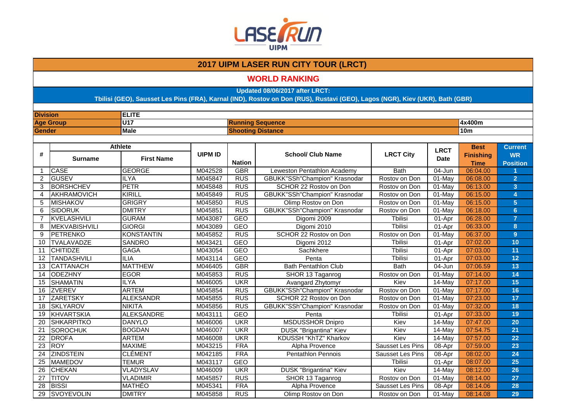

#### **WORLD RANKING**

**Updated 08/06/2017 after LRCT:**

| <b>Division</b> |                      | <b>ELITE</b>      |                |                          |                                      |                         |             |                  |                         |  |
|-----------------|----------------------|-------------------|----------------|--------------------------|--------------------------------------|-------------------------|-------------|------------------|-------------------------|--|
|                 | <b>Age Group</b>     | <b>U17</b>        |                |                          | <b>Running Sequence</b>              |                         |             | 4x400m           |                         |  |
| <b>Gender</b>   |                      | <b>Male</b>       |                | <b>Shooting Distance</b> |                                      |                         |             | 10 <sub>m</sub>  |                         |  |
|                 |                      |                   |                |                          |                                      |                         |             |                  |                         |  |
|                 |                      | <b>Athlete</b>    |                |                          |                                      |                         | <b>LRCT</b> | <b>Best</b>      | <b>Current</b>          |  |
| #               | <b>Surname</b>       | <b>First Name</b> | <b>UIPM ID</b> |                          | <b>School/ Club Name</b>             | <b>LRCT City</b>        | <b>Date</b> | <b>Finishing</b> | <b>WR</b>               |  |
|                 |                      |                   |                | <b>Nation</b>            |                                      |                         |             | <b>Time</b>      | <b>Position</b>         |  |
| $\mathbf{1}$    | <b>ICASE</b>         | <b>GEORGE</b>     | M042528        | <b>GBR</b>               | Leweston Pentathlon Academy          | <b>Bath</b>             | 04-Jun      | 06:04.00         |                         |  |
| $\overline{2}$  | GUSEV                | <b>ILYA</b>       | M045847        | <b>RUS</b>               | <b>GBUKK"SSh"Champion" Krasnodar</b> | Rostov on Don           | 01-May      | 06:08.00         | $\overline{2}$          |  |
| 3               | BORSHCHEV            | <b>PETR</b>       | M045848        | <b>RUS</b>               | SCHOR 22 Rostov on Don               | Rostov on Don           | 01-May      | 06:13.00         | $\overline{\mathbf{3}}$ |  |
| 4               | AKHRAMOVICH          | <b>KIRILL</b>     | M045849        | <b>RUS</b>               | <b>GBUKK"SSh"Champion" Krasnodar</b> | Rostov on Don           | 01-May      | 06:15.00         | 4                       |  |
| 5               | <b>MISHAKOV</b>      | <b>GRIGRY</b>     | M045850        | <b>RUS</b>               | Olimp Rostov on Don                  | Rostov on Don           | 01-May      | 06:15.00         | $5\overline{)}$         |  |
| 6               | <b>SIDORUK</b>       | <b>DMITRY</b>     | M045851        | <b>RUS</b>               | <b>GBUKK"SSh"Champion" Krasnodar</b> | Rostov on Don           | 01-May      | 06:18.00         | $6\phantom{a}$          |  |
| $\overline{7}$  | KVELASHVILI          | <b>GURAM</b>      | M043087        | <b>GEO</b>               | Digomi 2009                          | <b>Thilisi</b>          | 01-Apr      | 06:28.00         | $\overline{7}$          |  |
| 8               | <b>MEKVABISHVILI</b> | <b>GIORGI</b>     | M043089        | <b>GEO</b>               | Digomi 2010                          | <b>Thilisi</b>          | 01-Apr      | 06:33.00         | 8                       |  |
| 9               | PETRENKO             | <b>KONSTANTIN</b> | M045852        | <b>RUS</b>               | SCHOR 22 Rostov on Don               | Rostov on Don           | 01-May      | 06:37.00         | 9                       |  |
| 10              | <b>TVALAVADZE</b>    | <b>SANDRO</b>     | M043421        | GEO                      | Digomi 2012                          | Tbilisi                 | 01-Apr      | 07:02.00         | 10                      |  |
| 11              | <b>CHITIDZE</b>      | <b>GAGA</b>       | M043054        | <b>GEO</b>               | Sachkhere                            | <b>T</b> bilisi         | 01-Apr      | 07:03.00         | 11                      |  |
| 12              | <b>TANDASHVILI</b>   | <b>ILIA</b>       | M043114        | <b>GEO</b>               | Penta                                | <b>Tbilisi</b>          | 01-Apr      | 07:03.00         | 12                      |  |
| 13              | <b>CATTANACH</b>     | <b>MATTHEW</b>    | M046405        | <b>GBR</b>               | <b>Bath Pentathlon Club</b>          | <b>Bath</b>             | 04-Jun      | 07:06.59         | 13                      |  |
| 14              | <b>ODEZHNY</b>       | <b>EGOR</b>       | M045853        | <b>RUS</b>               | SHOR 13 Taganrog                     | Rostov on Don           | 01-May      | 07:14.00         | 14                      |  |
| 15              | SHAMATIN             | <b>ILYA</b>       | M046005        | <b>UKR</b>               | Avangard Zhytomyr                    | Kiev                    | 14-May      | 07:17.00         | 15                      |  |
| 16              | <b>ZVEREV</b>        | <b>ARTEM</b>      | M045854        | <b>RUS</b>               | GBUKK"SSh"Champion" Krasnodar        | Rostov on Don           | 01-May      | 07:17.00         | 16                      |  |
| 17              | <b>ZARETSKY</b>      | <b>ALEKSANDR</b>  | M045855        | <b>RUS</b>               | SCHOR 22 Rostov on Don               | Rostov on Don           | 01-May      | 07:23.00         | 17                      |  |
| 18              | <b>SKLYAROV</b>      | <b>NIKITA</b>     | M045856        | <b>RUS</b>               | <b>GBUKK"SSh"Champion" Krasnodar</b> | Rostov on Don           | 01-May      | 07:32.00         | 18                      |  |
| 19              | KHVARTSKIA           | <b>ALEKSANDRE</b> | M043111        | <b>GEO</b>               | Penta                                | <b>Tbilisi</b>          | 01-Apr      | 07:33.00         | 19                      |  |
| 20              | <b>SHKARPITKO</b>    | <b>DANYLO</b>     | M046006        | <b>UKR</b>               | <b>MSDUSSHOR Dnipro</b>              | Kiev                    | 14-May      | 07:47.00         | 20                      |  |
| 21              | <b>SOROCHUK</b>      | <b>BOGDAN</b>     | M046007        | <b>UKR</b>               | <b>DUSK "Brigantina" Kiev</b>        | Kiev                    | 14-May      | 07:54.75         | 21                      |  |
| 22              | <b>DROFA</b>         | <b>ARTEM</b>      | M046008        | <b>UKR</b>               | KDUSSH "KhTZ" Kharkov                | Kiev                    | 14-May      | 07:57.00         | $\overline{22}$         |  |
| $\overline{23}$ | <b>ROY</b>           | <b>MAXIME</b>     | M043215        | <b>FRA</b>               | Alpha Provence                       | Sausset Les Pins        | 08-Apr      | 07:59.00         | 23                      |  |
| 24              | <b>ZINDSTEIN</b>     | <b>CLÉMENT</b>    | M042185        | <b>FRA</b>               | <b>Pentathlon Pennois</b>            | <b>Sausset Les Pins</b> | $08-Apr$    | 08:02.00         | 24                      |  |
| $\overline{25}$ | <b>MAMEDOV</b>       | <b>TEMUR</b>      | M043117        | <b>GEO</b>               |                                      | <b>Thilisi</b>          | 01-Apr      | 08:07.00         | 25                      |  |
| 26              | <b>CHEKAN</b>        | VLADYSLAV         | M046009        | <b>UKR</b>               | DUSK "Brigantina" Kiev               | Kiev                    | 14-May      | 08:12.00         | 26                      |  |
| 27              | <b>TITOV</b>         | <b>VLADIMIR</b>   | M045857        | <b>RUS</b>               | SHOR 13 Taganrog                     | Rostov on Don           | 01-May      | 08:14.00         | $\overline{27}$         |  |
| 28              | <b>BISSI</b>         | <b>MATHÉO</b>     | M045341        | <b>FRA</b>               | Alpha Provence                       | Sausset Les Pins        | 08-Apr      | 08:14.06         | 28                      |  |
| 29              | <b>SVOYEVOLIN</b>    | <b>DMITRY</b>     | M045858        | <b>RUS</b>               | Olimp Rostov on Don                  | Rostov on Don           | 01-May      | 08:14.08         | 29                      |  |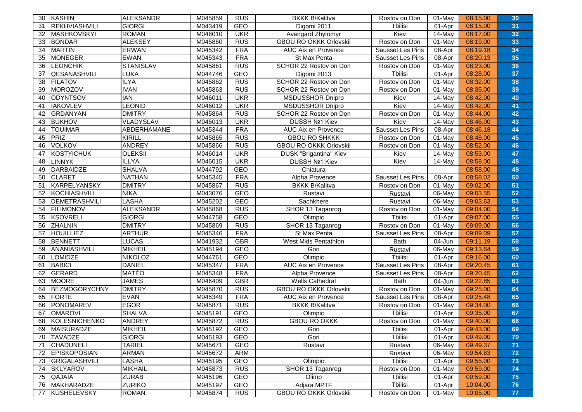| 30              | KASHIN               | ALEKSANDR        | M045859 | <b>RUS</b> | <b>BKKK B/Kalitva</b>         | Rostov on Don    | 01-May    | 08:15.00 | 30 |
|-----------------|----------------------|------------------|---------|------------|-------------------------------|------------------|-----------|----------|----|
| 31              | <b>REKHVIASHVILI</b> | <b>GIORGI</b>    | M043419 | GEO        | Digomi 2011                   | Tbilisi          | 01-Apr    | 08:15.00 | 31 |
| 32              | MASHKOVSKYI          | <b>ROMAN</b>     | M046010 | <b>UKR</b> | Avangard Zhytomyr             | Kiev             | 14-May    | 08:17.00 | 32 |
| 33              | <b>BONDAR</b>        | <b>ALEKSEY</b>   | M045860 | <b>RUS</b> | <b>GBOU RO OKKK Orlovskii</b> | Rostov on Don    | 01-May    | 08:19.00 | 33 |
| $\overline{34}$ | <b>MARTIN</b>        | <b>ERWAN</b>     | M045342 | <b>FRA</b> | <b>AUC Aix en Provence</b>    | Sausset Les Pins | 08-Apr    | 08:19.18 | 34 |
| 35              | <b>MONEGER</b>       | <b>EWAN</b>      | M045343 | <b>FRA</b> | St Max Penta                  | Sausset Les Pins | 08-Apr    | 08:20.13 | 35 |
| 36              | <b>LEONCHIK</b>      | <b>STANISLAV</b> | M045861 | <b>RUS</b> | SCHOR 22 Rostov on Don        | Rostov on Don    | 01-May    | 08:23.00 | 36 |
| 37              | QESANASHVILI         | LUKA             | M044746 | <b>GEO</b> | Digomi 2013                   | Tbilisi          | 01-Apr    | 08:28.00 | 37 |
| 38              | <b>FILATOV</b>       | <b>ILYA</b>      | M045862 | <b>RUS</b> | SCHOR 22 Rostov on Don        | Rostov on Don    | 01-May    | 08:32.00 | 38 |
| 39              | <b>MOROZOV</b>       | <b>IVAN</b>      | M045863 | <b>RUS</b> | SCHOR 22 Rostov on Don        | Rostov on Don    | 01-May    | 08:35.00 | 39 |
| 40              | <b>ODYNTSOV</b>      | <b>IAN</b>       | M046011 | <b>UKR</b> | <b>MSDUSSHOR Dnipro</b>       | Kiev             | 14-May    | 08:42.00 | 40 |
| 41              | <b>IAKOVLEV</b>      | LEONID           | M046012 | <b>UKR</b> | MSDUSSHOR Dnipro              | Kiev             | 14-May    | 08:42.00 | 41 |
| 42              | GRDANYAN             | <b>DMITRY</b>    | M045864 | <b>RUS</b> | SCHOR 22 Rostov on Don        | Rostov on Don    | 01-May    | 08:44.00 | 42 |
| 43              | <b>BUKHOV</b>        | VLADYSLAV        | M046013 | <b>UKR</b> | DUSSH Nº1 Kiev                | Kiev             | 14-May    | 08:46.00 | 43 |
| 44              | <b>TOUIMAR</b>       | ABDERHAMANE      | M045344 | <b>FRA</b> | AUC Aix en Provence           | Sausset Les Pins | 08-Apr    | 08:46.18 | 44 |
| 45              | <b>PRIZ</b>          | KIRILL           | M045865 | <b>RUS</b> | <b>GBOU RO SHKKK</b>          | Rostov on Don    | $01$ -May | 08:48.00 | 45 |
| 46              | <b>VOLKOV</b>        | <b>ANDREY</b>    | M045866 | <b>RUS</b> | <b>GBOU RO OKKK Orlovskii</b> | Rostov on Don    | 01-May    | 08:52.00 | 46 |
| 47              | <b>KOSTYICHUK</b>    | <b>OLEKSII</b>   | M046014 | <b>UKR</b> | <b>DUSK "Brigantina" Kiev</b> | Kiev             | 14-May    | 08:53.00 | 47 |
| 48              | <b>LINNYK</b>        | <b>ILLYA</b>     | M046015 | <b>UKR</b> | DUSSH Nº1 Kiev                | Kiev             | 14-May    | 08:58.00 | 48 |
| 49              | <b>DARBAIDZE</b>     | <b>SHALVA</b>    | M044792 | GEO        | Chiatura                      |                  |           | 08:58.00 | 49 |
| 50              | <b>CLARET</b>        | <b>NATHAN</b>    | M045345 | <b>FRA</b> | Alpha Provence                | Sausset Les Pins | 08-Apr    | 08:58.02 | 50 |
| 51              | <b>KARPELYANSKY</b>  | <b>DMITRY</b>    | M045867 | <b>RUS</b> | <b>BKKK B/Kalitva</b>         | Rostov on Don    | 01-May    | 09:02.00 | 51 |
| 52              | <b>KOCHIASHVILI</b>  | <b>NIKA</b>      | M043076 | <b>GEO</b> | Rustavi                       | Rustavi          | 06-May    | 09:03.55 | 52 |
| 53              | DEMETRASHVILI        | <b>LASHA</b>     | M045202 | <b>GEO</b> | Sachkhere                     | Rustavi          | 06-May    | 09:03.63 | 53 |
| 54              | <b>FILIMONOV</b>     | <b>ALEKSANDR</b> | M045868 | <b>RUS</b> | SHOR 13 Taganrog              | Rostov on Don    | 01-May    | 09:04.00 | 54 |
| 55              | <b>KSOVRELI</b>      | <b>GIORGI</b>    | M044758 | GEO        | Olimpic                       | Tbilisi          | 01-Apr    | 09:07.00 | 55 |
| 56              | <b>ZHALNIN</b>       | <b>DMITRY</b>    | M045869 | <b>RUS</b> | SHOR 13 Taganrog              | Rostov on Don    | 01-May    | 09:09.00 | 56 |
| 57              | <b>HOUILLIEZ</b>     | <b>ARTHUR</b>    | M045346 | <b>FRA</b> | St Max Penta                  | Sausset Les Pins | 08-Apr    | 09:09.09 | 57 |
| 58              | <b>BENNETT</b>       | <b>LUCAS</b>     | M041932 | <b>GBR</b> | West Mids Pentathlon          | <b>Bath</b>      | 04-Jun    | 09:11.19 | 58 |
| 59              | ANANIASHVILI         | <b>MIKHEIL</b>   | M045194 | <b>GEO</b> | Gori                          | Rustavi          | 06-May    | 09:13.64 | 59 |
| 60              | <b>LOMIDZE</b>       | <b>NIKOLOZ</b>   | M044761 | GEO        | Olimpic                       | Tbilisi          | 01-Apr    | 09:16.00 | 60 |
| 61              | <b>BABICI</b>        | <b>DANIEL</b>    | M045347 | <b>FRA</b> | <b>AUC</b> Aix en Provence    | Sausset Les Pins | 08-Apr    | 09:20.45 | 61 |
| 62              | <b>GERARD</b>        | <b>MATÉO</b>     | M045348 | <b>FRA</b> | Alpha Provence                | Sausset Les Pins | 08-Apr    | 09:20.45 | 62 |
| 63              | <b>MOORE</b>         | <b>JAMES</b>     | M046409 | <b>GBR</b> | Wells Cathedral               | <b>Bath</b>      | 04-Jun    | 09:22.85 | 63 |
| 64              | <b>BEZMOGORYCHNY</b> | <b>DMITRY</b>    | M045870 | <b>RUS</b> | <b>GBOU RO OKKK Orlovskii</b> | Rostov on Don    | 01-May    | 09:25.00 | 64 |
| 65              | <b>FORTE</b>         | <b>EVAN</b>      | M045349 | <b>FRA</b> | AUC Aix en Provence           | Sausset Les Pins | 08-Apr    | 09:25.48 | 65 |
| 66              | <b>PONOMAREV</b>     | <b>EGOR</b>      | M045871 | <b>RUS</b> | <b>BKKK B/Kalitva</b>         | Rostov on Don    | 01-May    | 09:34.00 | 66 |
| 67              | <b>OMAROVI</b>       | <b>SHALVA</b>    | M045191 | <b>GEO</b> | Olimpic                       | Tbilisi          | 01-Apr    | 09:35.00 | 67 |
| 68              | <b>KOLESNICHENKO</b> | <b>ANDREY</b>    | M045872 | <b>RUS</b> | <b>GBOU RO OKKK</b>           | Rostov on Don    | 01-May    | 09:40.00 | 68 |
| 69              | MAISURADZE           | MIKHEIL          | M045192 | GEO        | Gori                          | Tbilisi          | 01-Apr    | 09:43.00 | 69 |
| 70              | <b>TAVADZE</b>       | <b>GIORGI</b>    | M045193 | GEO        | Gori                          | Tbilisi          | 01-Apr    | 09:49.00 | 70 |
| 71              | <b>CHADUNELI</b>     | <b>TARIEL</b>    | M045671 | GEO        | Rustavi                       | Rustavi          | 06-May    | 09:49.37 | 71 |
| 72              | <b>EPISKOPOSIAN</b>  | <b>ARMAN</b>     | M045672 | <b>ARM</b> |                               | Rustavi          | 06-May    | 09:54.63 | 72 |
| 73              | GRIGALASHVILI        | LASHA            | M045195 | GEO        | Olimpic                       | Tbilisi          | 01-Apr    | 09:55.00 | 73 |
| 74              | <b>SKLYAROV</b>      | MIKHAIL          | M045873 | <b>RUS</b> | SHOR 13 Taganrog              | Rostov on Don    | 01-May    | 09:59.00 | 74 |
| 75              | <b>QAJAIA</b>        | <b>ZURAB</b>     | M045196 | GEO        | Olimp                         | Tbilisi          | 01-Apr    | 09:59.00 | 75 |
| 76              | MAKHARADZE           | <b>ZURIKO</b>    | M045197 | GEO        | Adjara MPTF                   | Tbilisi          | 01-Apr    | 10:04.00 | 76 |
| 77              | KUSHELEVSKY          | <b>ROMAN</b>     | M045874 | RUS        | <b>GBOU RO OKKK Orlovskii</b> | Rostov on Don    | 01-May    | 10:05.00 | 77 |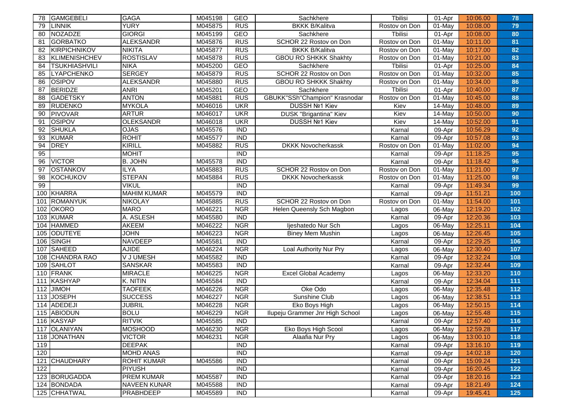| <b>GAMGEBELI</b><br>78     | <b>GAGA</b>         | M045198 | GEO              | Sachkhere                       | Tbilisi       | 01-Apr | 10:06.00 | 78  |
|----------------------------|---------------------|---------|------------------|---------------------------------|---------------|--------|----------|-----|
| <b>LINNIK</b><br>79        | <b>YURY</b>         | M045875 | <b>RUS</b>       | <b>BKKK B/Kalitva</b>           | Rostov on Don | 01-May | 10:08.00 | 79  |
| <b>NOZADZE</b><br>80       | <b>GIORGI</b>       | M045199 | GEO              | Sachkhere                       | Tbilisi       | 01-Apr | 10:08.00 | 80  |
| <b>GORBATKO</b><br>81      | <b>ALEKSANDR</b>    | M045876 | <b>RUS</b>       | SCHOR 22 Rostov on Don          | Rostov on Don | 01-May | 10:11.00 | 81  |
| <b>KIRPICHNIKOV</b><br>82  | <b>NIKITA</b>       | M045877 | <b>RUS</b>       | <b>BKKK B/Kalitva</b>           | Rostov on Don | 01-May | 10:17.00 | 82  |
| <b>KLIMENISHCHEV</b><br>83 | <b>ROSTISLAV</b>    | M045878 | <b>RUS</b>       | <b>GBOU RO SHKKK Shakhty</b>    | Rostov on Don | 01-May | 10:21.00 | 83  |
| <b>TSUKHIASHVILI</b><br>84 | <b>NIKA</b>         | M045200 | GEO              | Sachkhere                       | Tbilisi       | 01-Apr | 10:25.00 | 84  |
| <b>LYAPCHENKO</b><br>85    | <b>SERGEY</b>       | M045879 | <b>RUS</b>       | SCHOR 22 Rostov on Don          | Rostov on Don | 01-May | 10:32.00 | 85  |
| <b>OSIPOV</b><br>86        | <b>ALEKSANDR</b>    | M045880 | <b>RUS</b>       | <b>GBOU RO SHKKK Shakhty</b>    | Rostov on Don | 01-May | 10:34.00 | 86  |
| <b>BERIDZE</b><br>87       | <b>ANRI</b>         | M045201 | GEO              | Sachkhere                       | Tbilisi       | 01-Apr | 10:40.00 | 87  |
| <b>GADETSKY</b><br>88      | <b>ANTON</b>        | M045881 | RUS              | GBUKK"SSh"Champion" Krasnodar   | Rostov on Don | 01-May | 10:45.00 | 88  |
| 89<br><b>RUDENKO</b>       | <b>MYKOLA</b>       | M046016 | <b>UKR</b>       | DUSSH Nº1 Kiev                  | Kiev          | 14-May | 10:48.00 | 89  |
| 90<br><b>PIVOVAR</b>       | <b>ARTUR</b>        | M046017 | <b>UKR</b>       | <b>DUSK "Brigantina" Kiev</b>   | Kiev          | 14-May | 10:50.00 | 90  |
| <b>OSIPOV</b><br>91        | <b>OLEKSANDR</b>    | M046018 | <b>UKR</b>       | DUSSH Nº1 Kiev                  | Kiev          | 14-May | 10:52.00 | 91  |
| <b>SHUKLA</b><br>92        | <b>OJAS</b>         | M045576 | <b>IND</b>       |                                 | Karnal        | 09-Apr | 10:56.29 | 92  |
| <b>KUMAR</b><br>93         | <b>ROHIT</b>        | M045577 | <b>IND</b>       |                                 | Karnal        | 09-Apr | 10:57.08 | 93  |
| <b>DREY</b><br>94          | <b>KIRILL</b>       | M045882 | RUS              | <b>DKKK Novocherkassk</b>       | Rostov on Don | 01-May | 11:02.00 | 94  |
| 95                         | <b>MOHIT</b>        |         | <b>IND</b>       |                                 | Karnal        | 09-Apr | 11:18.25 | 95  |
| <b>VICTOR</b><br>96        | <b>B. JOHN</b>      | M045578 | $\overline{IND}$ |                                 | Karnal        | 09-Apr | 11:18.42 | 96  |
| <b>OSTANKOV</b><br>97      | <b>ILYA</b>         | M045883 | <b>RUS</b>       | SCHOR 22 Rostov on Don          | Rostov on Don | 01-May | 11:21.00 | 97  |
| 98<br><b>KOCHUKOV</b>      | <b>STEPAN</b>       | M045884 | <b>RUS</b>       | <b>DKKK Novocherkassk</b>       | Rostov on Don | 01-May | 11:25.00 | 98  |
| 99                         | <b>VIKUL</b>        |         | <b>IND</b>       |                                 | Karnal        | 09-Apr | 11:49.34 | 99  |
| <b>KHARRA</b><br>100       | <b>MAHIM KUMAR</b>  | M045579 | $\overline{IND}$ |                                 | Karnal        | 09-Apr | 11:51.21 | 100 |
| <b>ROMANYUK</b><br>101     | <b>NIKOLAY</b>      | M045885 | <b>RUS</b>       | SCHOR 22 Rostov on Don          | Rostov on Don | 01-May | 11:54.00 | 101 |
| <b>OKORO</b><br>102        | <b>MARO</b>         | M046221 | <b>NGR</b>       | Helen Queensly Sch Magbon       | Lagos         | 06-May | 12:19.20 | 102 |
| <b>KUMAR</b><br>103        | A. ASLESH           | M045580 | <b>IND</b>       |                                 | Karnal        | 09-Apr | 12:20.36 | 103 |
| <b>HAMMED</b><br>104       | <b>AKEEM</b>        | M046222 | <b>NGR</b>       | ljeshatedo Nur Sch              | Lagos         | 06-May | 12:25.11 | 104 |
| <b>ODUTEYE</b><br>105      | <b>JOHN</b>         | M046223 | <b>NGR</b>       | <b>Biney Mem Mushin</b>         | Lagos         | 06-May | 12:26.45 | 105 |
| SINGH<br>106               | <b>NAVDEEP</b>      | M045581 | <b>IND</b>       |                                 | Karnal        | 09-Apr | 12:29.25 | 106 |
| <b>SAHEED</b><br>107       | <b>AJIDE</b>        | M046224 | <b>NGR</b>       | Loal Authority Nur Pry          | Lagos         | 06-May | 12:30.40 | 107 |
| <b>CHANDRA RAO</b><br>108  | V J UMESH           | M045582 | $\overline{IND}$ |                                 | Karnal        | 09-Apr | 12:32.24 | 108 |
| <b>SAHLOT</b><br>109       | <b>SANSKAR</b>      | M045583 | <b>IND</b>       |                                 | Karnal        | 09-Apr | 12:32.44 | 109 |
| 110<br>FRANK               | <b>MIRACLE</b>      | M046225 | <b>NGR</b>       | <b>Excel Global Academy</b>     | Lagos         | 06-May | 12:33.20 | 110 |
| <b>KASHYAP</b><br>111      | K. NITIN            | M045584 | <b>IND</b>       |                                 | Karnal        | 09-Apr | 12:34.04 | 111 |
| 112<br><b>JIMOH</b>        | <b>TAOFEEK</b>      | M046226 | <b>NGR</b>       | Oke Odo                         | Lagos         | 06-May | 12:35.48 | 112 |
| <b>JOSEPH</b><br>113       | <b>SUCCESS</b>      | M046227 | <b>NGR</b>       | Sunshine Club                   | Lagos         | 06-May | 12:38.51 | 113 |
| ADEDEJI<br>114             | <b>JUBRIL</b>       | M046228 | <b>NGR</b>       | Eko Boys High                   | Lagos         | 06-May | 12:50.15 | 114 |
| ABIODUN<br>115             | <b>BOLU</b>         | M046229 | <b>NGR</b>       | Ilupeju Grammer Jnr High School | Lagos         | 06-May | 12:55.48 | 115 |
| 116 KASYAP                 | <b>RITVIK</b>       | M045585 | $\overline{IND}$ |                                 | Karnal        | 09-Apr | 12:57.40 | 116 |
| 117 OLANIYAN               | <b>MOSHOOD</b>      | M046230 | <b>NGR</b>       | Eko Boys High Scool             | Lagos         | 06-May | 12:59.28 | 117 |
| <b>JONATHAN</b><br>118     | <b>VICTOR</b>       | M046231 | <b>NGR</b>       | Alaafia Nur Pry                 | Lagos         | 06-May | 13:00.10 | 118 |
| 119                        | <b>DEEPAK</b>       |         | <b>IND</b>       |                                 | Karnal        | 09-Apr | 13:16.10 | 119 |
| 120                        | <b>MOHD ANAS</b>    |         | $\overline{IND}$ |                                 | Karnal        | 09-Apr | 14:02.18 | 120 |
| <b>CHAUDHARY</b><br>121    | <b>ROHIT KUMAR</b>  | M045586 | <b>IND</b>       |                                 | Karnal        | 09-Apr | 15:09.24 | 121 |
| 122                        | <b>PIYUSH</b>       |         | <b>IND</b>       |                                 | Karnal        | 09-Apr | 16:20.45 | 122 |
| 123 BORUGADDA              | <b>PREM KUMAR</b>   | M045587 | <b>IND</b>       |                                 | Karnal        | 09-Apr | 18:20.16 | 123 |
| 124 BONDADA                | <b>NAVEEN KUNAR</b> | M045588 | <b>IND</b>       |                                 | Karnal        | 09-Apr | 18:21.49 | 124 |
| 125 CHHATWAL               | PRABHDEEP           | M045589 | <b>IND</b>       |                                 | Karnal        | 09-Apr | 19:45.41 | 125 |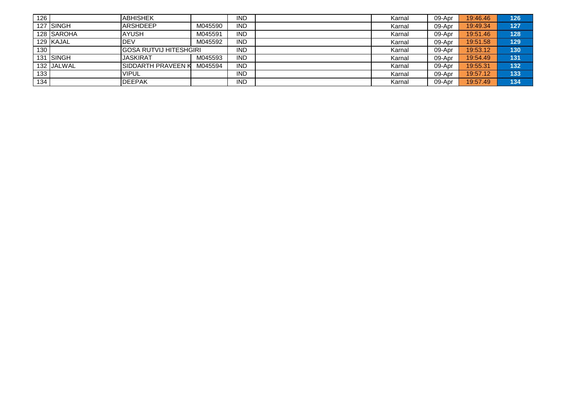| 126              |            | <b>ABHISHEK</b>                |          | <b>IND</b> | Karnal | 09-Apr | 19:46.46 | 126 |
|------------------|------------|--------------------------------|----------|------------|--------|--------|----------|-----|
|                  | 127 ISINGH | <b>ARSHDEEP</b>                | M045590  | <b>IND</b> | Karnal | 09-Apr | 19:49.34 | 127 |
|                  | 128 SAROHA | <b>AYUSH</b>                   | VI045591 | <b>IND</b> | Karnal | 09-Apr | 19:51.46 | 128 |
|                  | 129 KAJAL  | IDEV                           | VI045592 | <b>IND</b> | Karnal | 09-Apr | 19:51.58 | 129 |
| 130 <sub>1</sub> |            | <b>IGOSA RUTVIJ HITESHGIRI</b> |          | <b>IND</b> | Karnal | 09-Apr | 19:53.12 | 130 |
|                  | 131 SINGH  | <b>IJASKIRAT</b>               | VI045593 | <b>IND</b> | Karnal | 09-Apr | 19:54.49 | 131 |
|                  | 132 JALWAL | <b>ISIDDARTH PRAVEEN K</b>     | M045594  | <b>IND</b> | Karnal | 09-Apr | 19:55.31 | 132 |
| 133              |            | <b>VIPUL</b>                   |          | <b>IND</b> | Karnal | 09-Apr | 19:57.12 | 133 |
| 134              |            | <b>IDEEPAK</b>                 |          | <b>IND</b> | Karnal | 09-Apr | 19:57.49 | 134 |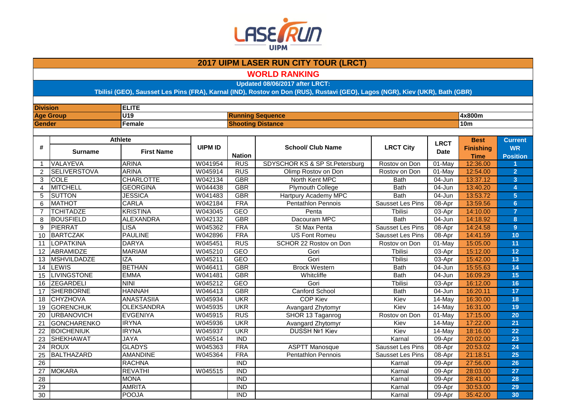

**WORLD RANKING**

**Updated 08/06/2017 after LRCT:**

| <b>Division</b> |                     | <b>ELITE</b>      |                |                  |                                |                         |             |                  |                         |
|-----------------|---------------------|-------------------|----------------|------------------|--------------------------------|-------------------------|-------------|------------------|-------------------------|
|                 | <b>Age Group</b>    | U19               |                |                  | <b>Running Sequence</b>        |                         |             | 4x800m           |                         |
| Gender          |                     | <b>Female</b>     |                |                  | <b>Shooting Distance</b>       |                         |             | 10 <sub>m</sub>  |                         |
|                 |                     |                   |                |                  |                                |                         |             |                  |                         |
|                 |                     | <b>Athlete</b>    |                |                  |                                |                         | <b>LRCT</b> | <b>Best</b>      | <b>Current</b>          |
| #               | <b>Surname</b>      | <b>First Name</b> | <b>UIPM ID</b> |                  | <b>School/ Club Name</b>       | <b>LRCT City</b>        | <b>Date</b> | <b>Finishing</b> | <b>WR</b>               |
|                 |                     |                   |                | <b>Nation</b>    |                                |                         |             | <b>Time</b>      | <b>Position</b>         |
| $\mathbf{1}$    | VALAYEVA            | <b>ARINA</b>      | W041954        | <b>RUS</b>       | SDYSCHOR KS & SP St.Petersburg | Rostov on Don           | 01-May      | 12:36.00         |                         |
| $\overline{2}$  | <b>SELIVERSTOVA</b> | <b>ARINA</b>      | W045914        | <b>RUS</b>       | Olimp Rostov on Don            | Rostov on Don           | 01-May      | 12:54.00         | $\overline{2}$          |
| 3               | <b>COLE</b>         | <b>CHARLOTTE</b>  | W042134        | <b>GBR</b>       | North Kent MPC                 | <b>Bath</b>             | 04-Jun      | 13:37.12         | $\overline{3}$          |
| $\overline{4}$  | <b>MITCHELL</b>     | <b>GEORGINA</b>   | W044438        | <b>GBR</b>       | <b>Plymouth College</b>        | <b>Bath</b>             | 04-Jun      | 13:40.20         | $\overline{4}$          |
| 5               | <b>SUTTON</b>       | <b>JESSICA</b>    | W041483        | <b>GBR</b>       | Hartpury Academy MPC           | <b>Bath</b>             | $04 - Jun$  | 13:53.72         | $\overline{5}$          |
| 6               | <b>MATHOT</b>       | CARLA             | W042184        | <b>FRA</b>       | Pentathlon Pennois             | Sausset Les Pins        | 08-Apr      | 13:59.56         | $6\phantom{1}$          |
| $\overline{7}$  | <b>TCHITADZE</b>    | <b>KRISTINA</b>   | W043045        | <b>GEO</b>       | Penta                          | <b>Thilisi</b>          | 03-Apr      | 14:10.00         | $\overline{7}$          |
| 8               | <b>BOUSFIELD</b>    | <b>ALEXANDRA</b>  | W042132        | <b>GBR</b>       | Dacouram MPC                   | <b>Bath</b>             | 04-Jun      | 14:18.92         | $\overline{\mathbf{8}}$ |
| 9               | <b>PIERRAT</b>      | <b>LISA</b>       | W045362        | <b>FRA</b>       | St Max Penta                   | Sausset Les Pins        | 08-Apr      | 14:24.58         | $\overline{9}$          |
| 10              | <b>BARTCZAK</b>     | <b>PAULINE</b>    | W042896        | <b>FRA</b>       | <b>US Font Romeu</b>           | Sausset Les Pins        | 08-Apr      | 14:41.59         | 10                      |
| 11              | LOPATKINA           | <b>DARYA</b>      | W045451        | <b>RUS</b>       | SCHOR 22 Rostov on Don         | Rostov on Don           | 01-May      | 15:05.00         | 11                      |
| 12              | ABRAMIDZE           | <b>MARIAM</b>     | W045210        | <b>GEO</b>       | Gori                           | Tbilisi                 | 03-Apr      | 15:12.00         | 12                      |
| 13              | <b>MSHVILDADZE</b>  | <b>IZA</b>        | W045211        | <b>GEO</b>       | Gori                           | Tbilisi                 | 03-Apr      | 15:42.00         | 13                      |
| 14              | LEWIS               | <b>BETHAN</b>     | W046411        | <b>GBR</b>       | <b>Brock Western</b>           | <b>Bath</b>             | 04-Jun      | 15:55.63         | 14                      |
| 15              | <b>LIVINGSTONE</b>  | <b>EMMA</b>       | W041481        | <b>GBR</b>       | Whitcliffe                     | <b>Bath</b>             | 04-Jun      | 16:09.29         | 15                      |
| 16              | ZEGARDELI           | <b>NINI</b>       | W045212        | <b>GEO</b>       | Gori                           | <b>Thilisi</b>          | 03-Apr      | 16:12.00         | 16                      |
| 17              | <b>SHERBORNE</b>    | <b>HANNAH</b>     | W046413        | <b>GBR</b>       | <b>Canford School</b>          | <b>Bath</b>             | 04-Jun      | 16:20.11         | 17                      |
| 18              | <b>CHYZHOVA</b>     | <b>ANASTASIIA</b> | W045934        | <b>UKR</b>       | <b>COP Kiev</b>                | Kiev                    | $14$ -May   | 16:30.00         | 18                      |
| 19              | <b>GORENCHUK</b>    | <b>OLEKSANDRA</b> | W045935        | <b>UKR</b>       | Avangard Zhytomyr              | Kiev                    | 14-May      | 16:31.00         | 19                      |
| 20              | <b>URBANOVICH</b>   | <b>EVGENIYA</b>   | W045915        | <b>RUS</b>       | SHOR 13 Taganrog               | Rostov on Don           | 01-May      | 17:15.00         | 20                      |
| 21              | <b>GONCHARENKO</b>  | <b>IRYNA</b>      | W045936        | <b>UKR</b>       | Avangard Zhytomyr              | Kiev                    | 14-May      | 17:22.00         | 21                      |
| 22              | <b>BOICHENIUK</b>   | <b>IRYNA</b>      | W045937        | <b>UKR</b>       | DUSSH Nº1 Kiev                 | Kiev                    | 14-May      | 18:16.00         | 22                      |
| 23              | <b>SHEKHAWAT</b>    | <b>JAYA</b>       | W045514        | $\overline{IND}$ |                                | Karnal                  | 09-Apr      | 20:02.00         | 23                      |
| $\overline{24}$ | <b>ROUX</b>         | <b>GLADYS</b>     | W045363        | <b>FRA</b>       | <b>ASPTT Manosque</b>          | Sausset Les Pins        | 08-Apr      | 20:53.02         | 24                      |
| 25              | <b>BALTHAZARD</b>   | <b>AMANDINE</b>   | W045364        | <b>FRA</b>       | <b>Pentathlon Pennois</b>      | <b>Sausset Les Pins</b> | 08-Apr      | 21:18.51         | 25                      |
| 26              |                     | <b>RACHNA</b>     |                | <b>IND</b>       |                                | Karnal                  | 09-Apr      | 27:56.00         | 26                      |
| 27              | <b>MOKARA</b>       | <b>REVATHI</b>    | W045515        | <b>IND</b>       |                                | Karnal                  | 09-Apr      | 28:03.00         | 27                      |
| 28              |                     | <b>MONA</b>       |                | <b>IND</b>       |                                | Karnal                  | 09-Apr      | 28:41.00         | 28                      |
| 29              |                     | <b>AMRITA</b>     |                | $\overline{IND}$ |                                | Karnal                  | 09-Apr      | 30:53.00         | 29                      |
| 30              |                     | <b>POOJA</b>      |                | <b>IND</b>       |                                | Karnal                  | 09-Apr      | 35:42.00         | 30                      |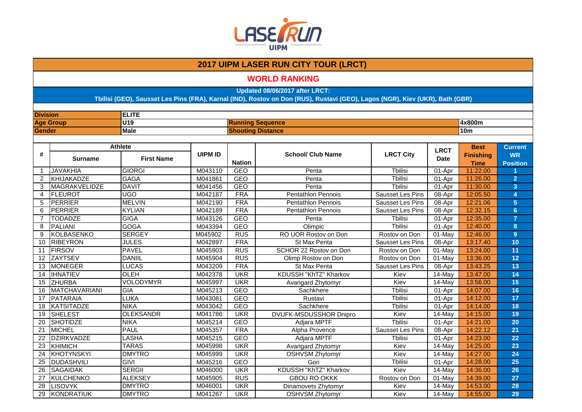

### **WORLD RANKING**

**Updated 08/06/2017 after LRCT:**

| <b>Division</b> |                   | <b>ELITE</b>      |                |                          |                               |                         |                      |                  |                 |
|-----------------|-------------------|-------------------|----------------|--------------------------|-------------------------------|-------------------------|----------------------|------------------|-----------------|
|                 | <b>Age Group</b>  | U <sub>19</sub>   |                |                          | <b>Running Sequence</b>       |                         |                      | 4x800m           |                 |
| <b>Gender</b>   |                   | <b>Male</b>       |                | <b>Shooting Distance</b> |                               |                         |                      | 10 <sub>m</sub>  |                 |
|                 |                   |                   |                |                          |                               |                         |                      |                  |                 |
|                 |                   | <b>Athlete</b>    |                |                          |                               |                         | <b>LRCT</b>          | <b>Best</b>      | <b>Current</b>  |
| #               | <b>Surname</b>    | <b>First Name</b> | <b>UIPM ID</b> |                          | <b>School/ Club Name</b>      | <b>LRCT City</b>        | <b>Date</b>          | <b>Finishing</b> | <b>WR</b>       |
|                 |                   |                   |                | <b>Nation</b>            |                               |                         |                      | <b>Time</b>      | <b>Position</b> |
| $\mathbf{1}$    | <b>JAVAKHIA</b>   | <b>GIORGI</b>     | M043110        | <b>GEO</b>               | Penta                         | <b>T</b> bilisi         | $01-Apr$             | 11:22.00         |                 |
| $\overline{2}$  | KHIJAKADZE        | <b>GAGA</b>       | M041861        | <b>GEO</b>               | Penta                         | <b>T</b> bilisi         | 01-Apr               | 11:26.00         | $\overline{2}$  |
| 3               | MAGRAKVELIDZE     | <b>DAVIT</b>      | M041456        | <b>GEO</b>               | Penta                         | <b>Thilisi</b>          | 01-Apr               | 11:30.00         | $\overline{3}$  |
| 4               | FLEUROT           | UGO               | M042187        | <b>FRA</b>               | Pentathlon Pennois            | Sausset Les Pins        | 08-Apr               | 12:05.50         | 4               |
| 5               | PERRIER           | <b>MELVIN</b>     | M042190        | <b>FRA</b>               | <b>Pentathlon Pennois</b>     | <b>Sausset Les Pins</b> | 08-Apr               | 12:21.06         | 5               |
| 6               | PERRIER           | <b>KYLIAN</b>     | M042189        | <b>FRA</b>               | <b>Pentathlon Pennois</b>     | Sausset Les Pins        | $08-Apr$             | 12:32.15         | $6\phantom{a}$  |
| $\overline{7}$  | <b>TODADZE</b>    | <b>GIGA</b>       | M043126        | <b>GEO</b>               | Penta                         | Tbilisi                 | $01-Apr$             | 12:35.00         | $\overline{7}$  |
| 8               | PALIANI           | <b>GOGA</b>       | M043394        | <b>GEO</b>               | Olimpic                       | <b>T</b> bilisi         | 01-Apr               | 12:40.00         | 8               |
| 9               | <b>KOLBASENKO</b> | <b>SERGEY</b>     | M045902        | <b>RUS</b>               | RO UOR Rostov on Don          | Rostov on Don           | $01-Mav$             | 12:46.00         | 9 <sup>°</sup>  |
| 10              | <b>RIBEYRON</b>   | <b>JULES</b>      | M042897        | <b>FRA</b>               | St Max Penta                  | Sausset Les Pins        | 08-Apr               | 13:17.40         | 10              |
| 11              | <b>FIRSOV</b>     | <b>PAVEL</b>      | M045903        | RUS                      | SCHOR 22 Rostov on Don        | Rostov on Don           | 01-May               | 13:24.00         | 11              |
| 12              | <b>ZAYTSEV</b>    | <b>DANIIL</b>     | M045904        | <b>RUS</b>               | Olimp Rostov on Don           | Rostov on Don           | $01-Mav$             | 13:36.00         | 12              |
| 13              | <b>MONEGER</b>    | LUCAS             | M043209        | <b>FRA</b>               | St Max Penta                  | Sausset Les Pins        | 08-Apr               | 13:43.25         | 13              |
| 14              | <b>IHNATIEV</b>   | OLEH              | M042378        | <b>UKR</b>               | KDUSSH "KhTZ" Kharkov         | Kiev                    | 14-May               | 13:47.00         | 14              |
| 15              | <b>ZHURBA</b>     | <b>VOLODYMYR</b>  | M045997        | <b>UKR</b>               | Avangard Zhytomyr             | Kiev                    | 14-May               | 13:56.00         | 15              |
| 16              | MATCHAVARIANI     | GIA               | M045213        | <b>GEO</b>               | Sachkhere                     | <b>T</b> bilisi         | 01-Apr               | 14:07.00         | 16              |
| 17              | PATARAIA          | LUKA              | M043081        | <b>GEO</b>               | Rustavi                       | <b>T</b> bilisi         | 01-Apr               | 14:12.00         | 17              |
| 18              | KATSITADZE        | <b>NIKA</b>       | M043042        | <b>GEO</b>               | Sachkhere                     | Tbilisi                 | 01-Apr               | 14:14.00         | 18              |
| 19              | <b>SHELEST</b>    | <b>OLEKSANDR</b>  | M041786        | <b>UKR</b>               | <b>DVUFK-MSDUSSHOR Dnipro</b> | Kiev                    | 14-May               | 14:15.00         | 19              |
| 20              | <b>SHOTIDZE</b>   | <b>NIKA</b>       | M045214        | <b>GEO</b>               | Adjara MPTF                   | <b>Thilisi</b>          | 01-Apr               | 14:21.00         | 20              |
| 21              | <b>MICHEL</b>     | <b>PAUL</b>       | M045357        | <b>FRA</b>               | Alpha Provence                | Sausset Les Pins        | 08-Apr               | 14:22.12         | 21              |
| 22              | DZIRKVADZE        | LASHA             | M045215        | <b>GEO</b>               | Adjara MPTF                   | <b>T</b> bilisi         | 01-Apr               | 14:23.00         | 22              |
| 23              | KHIMICH           | <b>TARAS</b>      | M045998        | <b>UKR</b>               | Avangard Zhytomyr             | Kiev                    | $\overline{14}$ -May | 14:25.00         | 23              |
| 24              | KHOTYNSKYI        | <b>DMYTRO</b>     | M045999        | <b>UKR</b>               | <b>OSHVSM Zhytomyr</b>        | Kiev                    | 14-May               | 14:27.00         | 24              |
| 25              | <b>DUDASHVILI</b> | <b>GIVI</b>       | M045216        | <b>GEO</b>               | Gori                          | <b>T</b> bilisi         | 01-Apr               | 14:28.00         | 25              |
| 26              | <b>SAGAIDAK</b>   | <b>SERGII</b>     | M046000        | <b>UKR</b>               | KDUSSH "KhTZ" Kharkov         | Kiev                    | 14-May               | 14:36.00         | 26              |
| 27              | <b>KULCHENKO</b>  | <b>ALEKSEY</b>    | M045905        | <b>RUS</b>               | <b>GBOU RO OKKK</b>           | Rostov on Don           | $01$ -May            | 14:39.00         | $\overline{27}$ |
| 28              | <b>LISOVYK</b>    | <b>DMYTRO</b>     | M046001        | <b>UKR</b>               | Dinamovets Zhytomyr           | Kiev                    | 14-May               | 14:53.00         | 28              |
| 29              | KONDRATIUK        | <b>DMYTRO</b>     | M041267        | <b>UKR</b>               | <b>OSHVSM Zhytomyr</b>        | Kiev                    | 14-May               | 14:55.00         | 29              |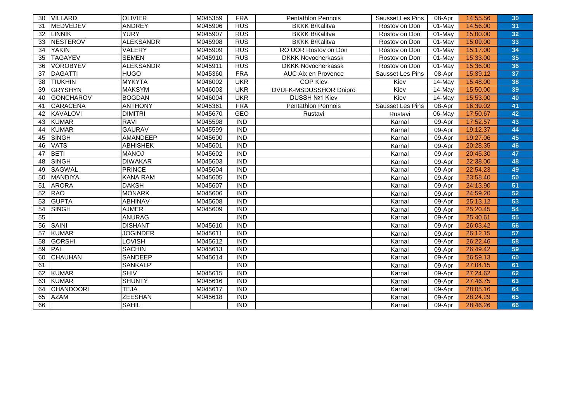| 30 | <b>VILLARD</b>   | <b>OLIVIER</b>   | M045359 | <b>FRA</b>       | <b>Pentathlon Pennois</b>     | Sausset Les Pins | 08-Apr | 14:55.56 | 30 |
|----|------------------|------------------|---------|------------------|-------------------------------|------------------|--------|----------|----|
| 31 | <b>MEDVEDEV</b>  | <b>ANDREY</b>    | M045906 | <b>RUS</b>       | <b>BKKK B/Kalitva</b>         | Rostov on Don    | 01-May | 14:56.00 | 31 |
| 32 | <b>ILINNIK</b>   | <b>YURY</b>      | M045907 | <b>RUS</b>       | <b>BKKK B/Kalitva</b>         | Rostov on Don    | 01-May | 15:00.00 | 32 |
| 33 | <b>NESTEROV</b>  | <b>ALEKSANDR</b> | M045908 | RUS              | <b>BKKK B/Kalitva</b>         | Rostov on Don    | 01-May | 15:09.00 | 33 |
| 34 | <b>YAKIN</b>     | VALERY           | M045909 | RUS              | RO UOR Rostov on Don          | Rostov on Don    | 01-May | 15:17.00 | 34 |
| 35 | <b>TAGAYEV</b>   | <b>SEMEN</b>     | M045910 | <b>RUS</b>       | <b>DKKK Novocherkassk</b>     | Rostov on Don    | 01-May | 15:33.00 | 35 |
| 36 | <b>VOROBYEV</b>  | <b>ALEKSANDR</b> | M045911 | <b>RUS</b>       | <b>DKKK Novocherkassk</b>     | Rostov on Don    | 01-May | 15:36.00 | 36 |
| 37 | <b>DAGATTI</b>   | <b>HUGO</b>      | M045360 | <b>FRA</b>       | AUC Aix en Provence           | Sausset Les Pins | 08-Apr | 15:39.12 | 37 |
| 38 | <b>TIUKHIN</b>   | <b>MYKYTA</b>    | M046002 | <b>UKR</b>       | <b>COP Kiev</b>               | Kiev             | 14-May | 15:48.00 | 38 |
| 39 | <b>GRYSHYN</b>   | <b>MAKSYM</b>    | M046003 | <b>UKR</b>       | <b>DVUFK-MSDUSSHOR Dnipro</b> | Kiev             | 14-May | 15:50.00 | 39 |
| 40 | <b>GONCHAROV</b> | <b>BOGDAN</b>    | M046004 | <b>UKR</b>       | DUSSH Nº1 Kiev                | Kiev             | 14-May | 15:53.00 | 40 |
| 41 | <b>CARACENA</b>  | <b>ANTHONY</b>   | M045361 | <b>FRA</b>       | <b>Pentathlon Pennois</b>     | Sausset Les Pins | 08-Apr | 16:39.02 | 41 |
| 42 | <b>KAVALOVI</b>  | <b>DIMITRI</b>   | M045670 | <b>GEO</b>       | Rustavi                       | Rustavi          | 06-May | 17:50.67 | 42 |
| 43 | <b>KUMAR</b>     | <b>RAVI</b>      | M045598 | <b>IND</b>       |                               | Karnal           | 09-Apr | 17:52.57 | 43 |
| 44 | <b>KUMAR</b>     | <b>GAURAV</b>    | M045599 | <b>IND</b>       |                               | Karnal           | 09-Apr | 19:12.37 | 44 |
| 45 | <b>SINGH</b>     | <b>AMANDEEP</b>  | M045600 | <b>IND</b>       |                               | Karnal           | 09-Apr | 19:27.06 | 45 |
| 46 | <b>VATS</b>      | <b>ABHISHEK</b>  | M045601 | <b>IND</b>       |                               | Karnal           | 09-Apr | 20:28.35 | 46 |
| 47 | <b>BETI</b>      | <b>MANOJ</b>     | M045602 | <b>IND</b>       |                               | Karnal           | 09-Apr | 20:45.30 | 47 |
| 48 | <b>SINGH</b>     | <b>DIWAKAR</b>   | M045603 | <b>IND</b>       |                               | Karnal           | 09-Apr | 22:38.00 | 48 |
| 49 | <b>SAGWAL</b>    | <b>PRINCE</b>    | M045604 | <b>IND</b>       |                               | Karnal           | 09-Apr | 22:54.23 | 49 |
| 50 | <b>MANDIYA</b>   | <b>KANA RAM</b>  | M045605 | <b>IND</b>       |                               | Karnal           | 09-Apr | 23:58.40 | 50 |
| 51 | <b>ARORA</b>     | <b>DAKSH</b>     | M045607 | <b>IND</b>       |                               | Karnal           | 09-Apr | 24:13.90 | 51 |
| 52 | <b>RAO</b>       | <b>MONARK</b>    | M045606 | <b>IND</b>       |                               | Karnal           | 09-Apr | 24:59.20 | 52 |
| 53 | <b>GUPTA</b>     | <b>ABHINAV</b>   | M045608 | <b>IND</b>       |                               | Karnal           | 09-Apr | 25:13.12 | 53 |
| 54 | <b>SINGH</b>     | <b>AJMER</b>     | M045609 | $\overline{IND}$ |                               | Karnal           | 09-Apr | 25:20.45 | 54 |
| 55 |                  | <b>ANURAG</b>    |         | $\overline{IND}$ |                               | Karnal           | 09-Apr | 25:40.61 | 55 |
| 56 | <b>SAINI</b>     | <b>DISHANT</b>   | M045610 | $\overline{IND}$ |                               | Karnal           | 09-Apr | 26:03.42 | 56 |
| 57 | <b>KUMAR</b>     | <b>JOGINDER</b>  | M045611 | <b>IND</b>       |                               | Karnal           | 09-Apr | 26:12.15 | 57 |
| 58 | <b>GORSHI</b>    | <b>LOVISH</b>    | M045612 | $\overline{IND}$ |                               | Karnal           | 09-Apr | 26:22.46 | 58 |
| 59 | <b>PAL</b>       | <b>SACHIN</b>    | M045613 | $\overline{IND}$ |                               | Karnal           | 09-Apr | 26:49.42 | 59 |
| 60 | <b>CHAUHAN</b>   | <b>SANDEEP</b>   | M045614 | <b>IND</b>       |                               | Karnal           | 09-Apr | 26:59.13 | 60 |
| 61 |                  | <b>SANKALP</b>   |         | <b>IND</b>       |                               | Karnal           | 09-Apr | 27:04.15 | 61 |
| 62 | <b>KUMAR</b>     | <b>SHIV</b>      | M045615 | <b>IND</b>       |                               | Karnal           | 09-Apr | 27:24.62 | 62 |
| 63 | <b>KUMAR</b>     | <b>SHUNTY</b>    | M045616 | <b>IND</b>       |                               | Karnal           | 09-Apr | 27:46.75 | 63 |
| 64 | <b>CHANDOORI</b> | <b>TEJA</b>      | M045617 | <b>IND</b>       |                               | Karnal           | 09-Apr | 28:05.16 | 64 |
| 65 | <b>AZAM</b>      | <b>ZEESHAN</b>   | M045618 | <b>IND</b>       |                               | Karnal           | 09-Apr | 28:24.29 | 65 |
| 66 |                  | <b>SAHIL</b>     |         | <b>IND</b>       |                               | Karnal           | 09-Apr | 28:46.26 | 66 |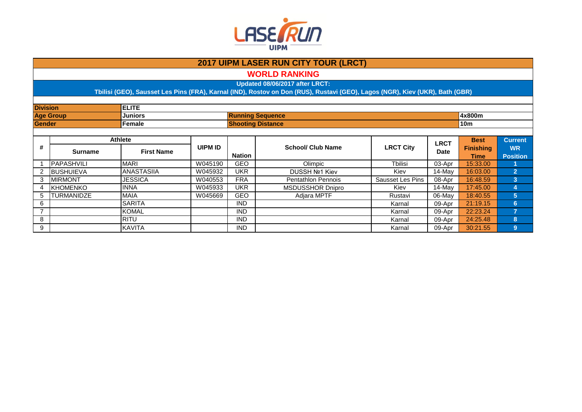

**WORLD RANKING**

**Updated 08/06/2017 after LRCT:**

| <b>Division</b> |                   | <b>ELITE</b>      |                |               |                           |                  |             |                  |                 |
|-----------------|-------------------|-------------------|----------------|---------------|---------------------------|------------------|-------------|------------------|-----------------|
|                 | <b>Age Group</b>  | <b>Juniors</b>    |                |               | <b>Running Sequence</b>   |                  |             | 4x800m           |                 |
| Gender          |                   | Female            |                |               | <b>Shooting Distance</b>  |                  |             | <b>10m</b>       |                 |
|                 | <b>Athlete</b>    |                   |                |               |                           |                  |             |                  |                 |
|                 |                   |                   |                |               |                           |                  | <b>LRCT</b> | <b>Best</b>      | <b>Current</b>  |
| #               | <b>Surname</b>    | <b>First Name</b> | <b>UIPM ID</b> |               | <b>School/ Club Name</b>  | <b>LRCT City</b> | Date        | <b>Finishing</b> | <b>WR</b>       |
|                 |                   |                   |                | <b>Nation</b> |                           |                  |             | Time             | <b>Position</b> |
|                 | <b>PAPASHVILI</b> | <b>MARI</b>       | W045190        | GEO           | Olimpic                   | <b>Thilisi</b>   | 03-Apr      | 15:33.00         |                 |
|                 | <b>BUSHUIEVA</b>  | <b>ANASTASIIA</b> | W045932        | <b>UKR</b>    | <b>DUSSH Nº1 Kiev</b>     | Kiev             | 14-May      | 16:03.00         | $\overline{2}$  |
| 3               | <b>IMIRMONT</b>   | <b>JESSICA</b>    | W040553        | <b>FRA</b>    | <b>Pentathlon Pennois</b> | Sausset Les Pins | 08-Apr      | 16:48.59         | $\overline{3}$  |
| 4               | <b>IKHOMENKO</b>  | <b>IINNA</b>      | W045933        | <b>UKR</b>    | MSDUSSHOR Dnipro          | Kiev             | 14-May      | 17:45.00         | 4               |
| 5               | TURMANIDZE        | <b>MAIA</b>       | W045669        | GEO           | Adjara MPTF               | Rustavi          | 06-May      | 18:40.55         | $5\phantom{.0}$ |
| 6               |                   | <b>SARITA</b>     |                | <b>IND</b>    |                           | Karnal           | 09-Apr      | 21:19.15         | 6               |
| $\overline{7}$  |                   | <b>KOMAL</b>      |                | <b>IND</b>    |                           | Karnal           | 09-Apr      | 22:23.24         | 7               |
| 8               |                   | RITU              |                | <b>IND</b>    |                           | Karnal           | 09-Apr      | 24:25.48         | 8               |
| 9               |                   | KAVITA            |                | <b>IND</b>    |                           | Karnal           | 09-Apr      | 30:21.55         | 9               |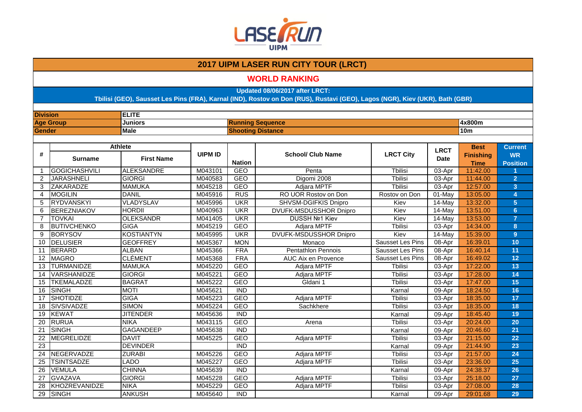

### **WORLD RANKING**

**Updated 08/06/2017 after LRCT:**

| <b>Division</b> |                    | <b>ELITE</b>      |                |                          |                           |                         |             |                                 |                              |
|-----------------|--------------------|-------------------|----------------|--------------------------|---------------------------|-------------------------|-------------|---------------------------------|------------------------------|
|                 | <b>Age Group</b>   | Juniors           |                |                          | <b>Running Sequence</b>   |                         |             | 4x800m                          |                              |
| <b>Gender</b>   |                    | <b>Male</b>       |                | <b>Shooting Distance</b> |                           |                         |             | <b>10m</b>                      |                              |
|                 |                    |                   |                |                          |                           |                         |             |                                 |                              |
|                 |                    | <b>Athlete</b>    |                |                          |                           |                         | <b>LRCT</b> | <b>Best</b>                     | <b>Current</b>               |
| #               | <b>Surname</b>     | <b>First Name</b> | <b>UIPM ID</b> | <b>Nation</b>            | <b>School/ Club Name</b>  | <b>LRCT City</b>        | <b>Date</b> | <b>Finishing</b><br><b>Time</b> | <b>WR</b><br><b>Position</b> |
| 1               | GOGICHASHVILI      | <b>ALEKSANDRE</b> | M043101        | GEO                      | Penta                     | <b>T</b> bilisi         | 03-Apr      | 11:42.00                        |                              |
| 2               | <b>JARASHNELI</b>  | <b>GIORGI</b>     | M040583        | <b>GEO</b>               | Digomi 2008               | <b>T</b> bilisi         | 03-Apr      | 11:44.00                        | $\overline{2}$               |
| 3               | ZAKARADZE          | <b>MAMUKA</b>     | M045218        | <b>GEO</b>               | Adjara MPTF               | <b>Thilisi</b>          | $03-Apr$    | 12:57.00                        | $\overline{3}$               |
| 4               | <b>MOGILIN</b>     | <b>DANIL</b>      | M045916        | <b>RUS</b>               | RO UOR Rostov on Don      | Rostov on Don           | 01-May      | 13:05.00                        | 4                            |
| 5               | RYDVANSKYI         | VLADYSLAV         | M045996        | <b>UKR</b>               | SHVSM-DGIFKIS Dnipro      | Kiev                    | 14-May      | 13:32.00                        | 5                            |
| 6               | BEREZNIAKOV        | <b>HORDII</b>     | M040963        | <b>UKR</b>               | DVUFK-MSDUSSHOR Dnipro    | Kiev                    | 14-May      | 13:51.00                        | $6\phantom{1}$               |
| $\overline{7}$  | <b>TOVKAI</b>      | <b>OLEKSANDR</b>  | M041405        | <b>UKR</b>               | DUSSH Nº1 Kiev            | Kiev                    | 14-May      | 13:53.00                        | $\overline{7}$               |
| 8               | <b>BUTIVCHENKO</b> | <b>GIGA</b>       | M045219        | <b>GEO</b>               | Adjara MPTF               | <b>T</b> bilisi         | 03-Apr      | 14:34.00                        | 8                            |
| 9               | <b>BORYSOV</b>     | <b>KOSTIANTYN</b> | M045995        | <b>UKR</b>               | DVUFK-MSDUSSHOR Dnipro    | Kiev                    | 14-May      | 15:39.00                        | 9                            |
| 10              | DELUSIER           | <b>GEOFFREY</b>   | M045367        | <b>MON</b>               | Monaco                    | Sausset Les Pins        | 08-Apr      | 16:39.01                        | 10                           |
| 11              | BERARD             | <b>ALBAN</b>      | M045366        | <b>FRA</b>               | <b>Pentathlon Pennois</b> | <b>Sausset Les Pins</b> | 08-Apr      | 16:40.14                        | 11                           |
| 12              | <b>MAGRO</b>       | <b>CLÉMENT</b>    | M045368        | <b>FRA</b>               | AUC Aix en Provence       | Sausset Les Pins        | 08-Apr      | 16:49.02                        | 12                           |
| 13              | <b>TURMANIDZE</b>  | <b>MAMUKA</b>     | M045220        | <b>GEO</b>               | Adjara MPTF               | <b>T</b> bilisi         | 03-Apr      | 17:22.00                        | 13                           |
| 14              | VARSHANIDZE        | <b>GIORGI</b>     | M045221        | <b>GEO</b>               | Adjara MPTF               | <b>T</b> bilisi         | 03-Apr      | 17:28.00                        | 14                           |
| 15              | <b>TKEMALADZE</b>  | <b>BAGRAT</b>     | M045222        | <b>GEO</b>               | Gldani 1                  | <b>Tbilisi</b>          | 03-Apr      | 17:47.00                        | 15                           |
| 16              | SINGH              | <b>MOTI</b>       | M045621        | <b>IND</b>               |                           | Karnal                  | 09-Apr      | 18:24.50                        | 16                           |
| 17              | <b>SHOTIDZE</b>    | <b>GIGA</b>       | M045223        | <b>GEO</b>               | Adjara MPTF               | <b>T</b> bilisi         | 03-Apr      | 18:35.00                        | 17                           |
| 18              | <b>SIVSIVADZE</b>  | <b>SIMON</b>      | M045224        | <b>GEO</b>               | Sachkhere                 | <b>T</b> bilisi         | 03-Apr      | 18:35.00                        | 18                           |
| 19              | KEWAT              | <b>JITENDER</b>   | M045636        | $\overline{IND}$         |                           | Karnal                  | 09-Apr      | 18:45.40                        | 19                           |
| 20              | <b>RURUA</b>       | <b>NIKA</b>       | M043115        | <b>GEO</b>               | Arena                     | <b>Tbilisi</b>          | 03-Apr      | 20:24.00                        | 20                           |
| 21              | SINGH              | <b>GAGANDEEP</b>  | M045638        | <b>IND</b>               |                           | Karnal                  | 09-Apr      | 20:46.60                        | 21                           |
| 22              | <b>MEGRELIDZE</b>  | <b>DAVIT</b>      | M045225        | <b>GEO</b>               | Adjara MPTF               | Tbilisi                 | 03-Apr      | 21:15.00                        | 22                           |
| 23              |                    | <b>DEVINDER</b>   |                | $\overline{IND}$         |                           | Karnal                  | 09-Apr      | 21:44.90                        | 23                           |
| $\overline{24}$ | NEGERVADZE         | <b>ZURABI</b>     | M045226        | <b>GEO</b>               | Adjara MPTF               | Tbilisi                 | 03-Apr      | 21:57.00                        | 24                           |
| 25              | <b>TSINTSADZE</b>  | <b>LADO</b>       | M045227        | <b>GEO</b>               | Adjara MPTF               | <b>T</b> bilisi         | $03-Apr$    | 23:36.00                        | 25                           |
| 26              | <b>VEMULA</b>      | <b>CHINNA</b>     | M045639        | <b>IND</b>               |                           | Karnal                  | 09-Apr      | 24:38.37                        | 26                           |
| 27              | <b>GVAZAVA</b>     | <b>GIORGI</b>     | M045228        | <b>GEO</b>               | Adjara MPTF               | <b>T</b> bilisi         | 03-Apr      | 25:18.00                        | 27                           |
| 28              | KHOZREVANIDZE      | <b>NIKA</b>       | M045229        | <b>GEO</b>               | Adjara MPTF               | <b>Thilisi</b>          | 03-Apr      | 27:08.00                        | 28                           |
| 29              | SINGH              | <b>ANKUSH</b>     | M045640        | $\overline{IND}$         |                           | Karnal                  | 09-Apr      | 29:01.68                        | 29                           |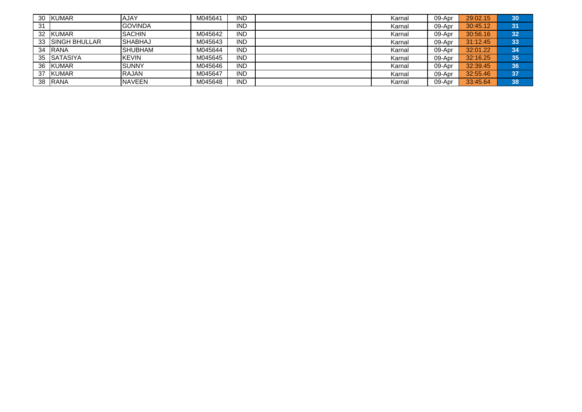| 30 | <b>KUMAR</b>          | AJAY             | M045641 | IND        | Karnal | 09-Apr | 29:02.15 | 30              |
|----|-----------------------|------------------|---------|------------|--------|--------|----------|-----------------|
| 31 |                       | <b>I</b> GOVINDA |         | IND        | Karnal | 09-Apr | 30:45.12 | 31              |
| 32 | <b>IKUMAR</b>         | <b>SACHIN</b>    | M045642 | IND        | Karnal | 09-Apr | 30:56.16 | 32              |
| 33 | <b>ISINGH BHULLAR</b> | ISHABHAJ         | M045643 | IND        | Karnal | 09-Apr | 31:12.45 | 33              |
| 34 | <b>IRANA</b>          | <b>I</b> SHUBHAM | M045644 | IND        | Karnal | 09-Apr | 32:01.22 | 34              |
| 35 | <b>ISATASIYA</b>      | <b>KEVIN</b>     | M045645 | IND        | Karnal | 09-Apr | 32:16.25 | 35 <sub>l</sub> |
| 36 | <b>IKUMAR</b>         | ISUNNY           | M045646 | <b>IND</b> | Karnal | 09-Apr | 32:39.45 | 36              |
| 37 | <b>KUMAR</b>          | <b>IRAJAN</b>    | M045647 | IND        | Karnal | 09-Apr | 32:55.46 | 37              |
| 38 | <b>IRANA</b>          | <b>NAVEEN</b>    | M045648 | IND        | Karnal | 09-Apr | 33:45.64 | 38              |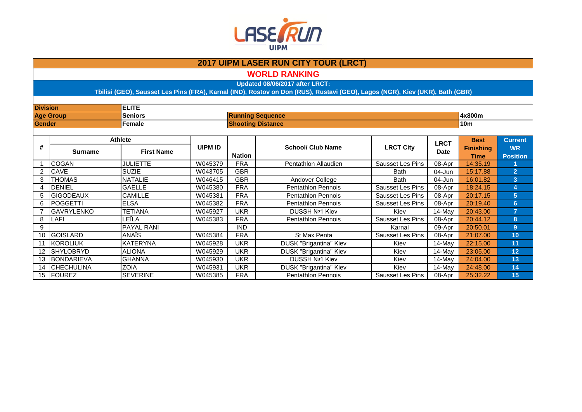

**WORLD RANKING**

**Updated 08/06/2017 after LRCT:**

| <b>Division</b> |                    | <b>ELITE</b>      |                |               |                           |                  |             |                  |                 |  |
|-----------------|--------------------|-------------------|----------------|---------------|---------------------------|------------------|-------------|------------------|-----------------|--|
|                 | <b>Age Group</b>   | <b>Seniors</b>    |                |               | <b>Running Sequence</b>   |                  |             | 4x800m           |                 |  |
| Gender          |                    | Female            |                |               | <b>Shooting Distance</b>  |                  |             | 10 <sub>m</sub>  |                 |  |
|                 |                    |                   |                |               |                           |                  |             |                  |                 |  |
|                 |                    | <b>Athlete</b>    |                |               |                           |                  | <b>LRCT</b> | <b>Best</b>      | <b>Current</b>  |  |
| #               | <b>Surname</b>     | <b>First Name</b> | <b>UIPM ID</b> |               | <b>School/ Club Name</b>  | <b>LRCT City</b> | <b>Date</b> | <b>Finishing</b> | <b>WR</b>       |  |
|                 |                    |                   |                | <b>Nation</b> |                           |                  |             | Time             | <b>Position</b> |  |
|                 | <b>COGAN</b>       | <b>JULIETTE</b>   | W045379        | <b>FRA</b>    | Pentathlon Allaudien      | Sausset Les Pins | 08-Apr      | 14:35.19         |                 |  |
| $\overline{2}$  | <b>CAVE</b>        | <b>SUZIE</b>      | W043705        | <b>GBR</b>    |                           | <b>Bath</b>      | 04-Jun      | 15:17.88         | $\overline{2}$  |  |
| 3               | <b>THOMAS</b>      | <b>NATALIE</b>    | W046415        | <b>GBR</b>    | Andover College           | <b>Bath</b>      | 04-Jun      | 16:01.82         | 3               |  |
| 4               | <b>DENIEL</b>      | GAËLLE            | W045380        | <b>FRA</b>    | <b>Pentathlon Pennois</b> | Sausset Les Pins | 08-Apr      | 18:24.15         | 4               |  |
| 5               | <b>GIGODEAUX</b>   | <b>CAMILLE</b>    | W045381        | <b>FRA</b>    | <b>Pentathlon Pennois</b> | Sausset Les Pins | 08-Apr      | 20:17.15         | $5\phantom{.0}$ |  |
| 6               | <b>POGGETTI</b>    | <b>ELSA</b>       | W045382        | <b>FRA</b>    | <b>Pentathlon Pennois</b> | Sausset Les Pins | 08-Apr      | 20:19.40         | 6               |  |
|                 | <b>GAVRYLENKO</b>  | <b>TETIANA</b>    | W045927        | <b>UKR</b>    | <b>DUSSH Nº1 Kiev</b>     | Kiev             | 14-May      | 20:43.00         | $\overline{7}$  |  |
| 8               | <b>LAFI</b>        | LEÎLA             | W045383        | <b>FRA</b>    | <b>Pentathlon Pennois</b> | Sausset Les Pins | 08-Apr      | 20:44.12         | 8               |  |
| 9               |                    | <b>PAYAL RANI</b> |                | IND.          |                           | Karnal           | 09-Apr      | 20:50.01         | 9               |  |
| 10              | <b>GOISLARD</b>    | <b>ANAIS</b>      | W045384        | <b>FRA</b>    | St Max Penta              | Sausset Les Pins | 08-Apr      | 21:07.00         | 10              |  |
| 11              | KOROLIUK           | <b>KATERYNA</b>   | W045928        | UKR           | DUSK "Brigantina" Kiev    | Kiev             | 14-May      | 22:15.00         | 11              |  |
| 12              | SHYLOBRYD          | <b>ALIONA</b>     | W045929        | <b>UKR</b>    | DUSK "Brigantina" Kiev    | Kiev             | 14-May      | 23:05.00         | 12              |  |
| 13              | BONDARIEVA         | <b>GHANNA</b>     | W045930        | UKR           | <b>DUSSH Nº1 Kiev</b>     | Kiev             | 14-May      | 24:04.00         | 13              |  |
| 14              | <b>ICHECHULINA</b> | <b>ZOIA</b>       | W045931        | <b>UKR</b>    | DUSK "Brigantina" Kiev    | Kiev             | 14-May      | 24:48.00         | 14              |  |
|                 | 15   FOUREZ        | <b>SEVERINE</b>   | W045385        | <b>FRA</b>    | <b>Pentathlon Pennois</b> | Sausset Les Pins | 08-Apr      | 25:32.22         | 15              |  |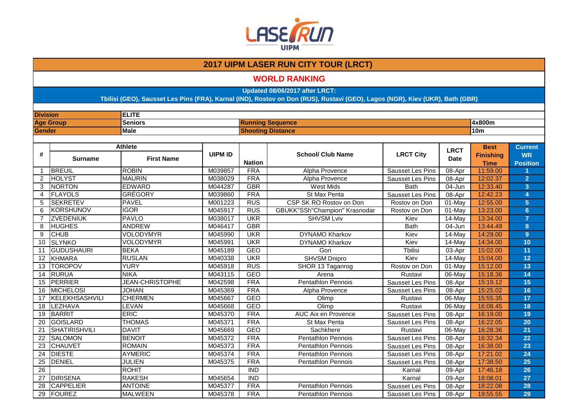

#### **WORLD RANKING**

**Updated 08/06/2017 after LRCT:**

| <b>Division</b> |                  | <b>ELITE</b>           |                |                          |                                      |                         |             |                  |                 |
|-----------------|------------------|------------------------|----------------|--------------------------|--------------------------------------|-------------------------|-------------|------------------|-----------------|
|                 | <b>Age Group</b> | <b>Seniors</b>         |                | <b>Running Sequence</b>  |                                      |                         |             | 4x800m           |                 |
| <b>Gender</b>   |                  | Male                   |                | <b>Shooting Distance</b> |                                      |                         |             | <b>10m</b>       |                 |
|                 |                  |                        |                |                          |                                      |                         |             |                  |                 |
|                 |                  | <b>Athlete</b>         |                |                          |                                      |                         | <b>LRCT</b> | <b>Best</b>      | <b>Current</b>  |
| #               | <b>Surname</b>   | <b>First Name</b>      | <b>UIPM ID</b> |                          | <b>School/ Club Name</b>             | <b>LRCT City</b>        | <b>Date</b> | <b>Finishing</b> | <b>WR</b>       |
|                 |                  |                        |                | <b>Nation</b>            |                                      |                         |             | <b>Time</b>      | <b>Position</b> |
| $\mathbf{1}$    | BREUIL           | <b>ROBIN</b>           | M039857        | <b>FRA</b>               | <b>Alpha Provence</b>                | Sausset Les Pins        | 08-Apr      | 11:59.00         |                 |
| $\overline{2}$  | <b>HOLYST</b>    | <b>MAURIN</b>          | M038029        | <b>FRA</b>               | <b>Alpha Provence</b>                | Sausset Les Pins        | 08-Apr      | 12:02.37         | $\overline{2}$  |
| 3               | NORTON           | <b>EDWARD</b>          | M044287        | <b>GBR</b>               | <b>West Mids</b>                     | <b>Bath</b>             | 04-Jun      | 12:33.40         | 3               |
| 4               | <b>FLAYOLS</b>   | <b>GRÉGORY</b>         | M039860        | <b>FRA</b>               | St Max Penta                         | <b>Sausset Les Pins</b> | 08-Apr      | 12:42.23         | 4               |
| 5               | <b>SEKRETEV</b>  | <b>PAVEL</b>           | M001223        | <b>RUS</b>               | CSP SK RO Rostov on Don              | Rostov on Don           | 01-May      | 12:55.00         | $\overline{5}$  |
| 6               | KORSHUNOV        | <b>IGOR</b>            | M045917        | <b>RUS</b>               | <b>GBUKK"SSh"Champion" Krasnodar</b> | Rostov on Don           | 01-May      | 13:23.00         | 6 <sup>1</sup>  |
| $\overline{7}$  | <b>ZVEDENIUK</b> | <b>PAVLO</b>           | M038017        | <b>UKR</b>               | <b>SHVSM Lviv</b>                    | Kiev                    | 14-May      | 13:34.00         | $\overline{7}$  |
| 8               | <b>HUGHES</b>    | <b>ANDREW</b>          | M046417        | <b>GBR</b>               |                                      | <b>Bath</b>             | $04 - Jun$  | 13:44.49         | 8               |
| 9               | <b>CHUB</b>      | <b>VOLODYMYR</b>       | M045990        | <b>UKR</b>               | <b>DYNAMO Kharkov</b>                | Kiev                    | 14-May      | 14:29.00         | $\overline{9}$  |
| 10              | <b>SLYNKO</b>    | VOLODYMYR              | M045991        | <b>UKR</b>               | <b>DYNAMO Kharkov</b>                | Kiev                    | 14-May      | 14:34.00         | 10              |
| 11              | GUDUSHAURI       | <b>BEKA</b>            | M045189        | GEO                      | Gori                                 | <b>Thilisi</b>          | 03-Apr      | 15:02.00         | 11              |
|                 | 12 KHMARA        | <b>RUSLAN</b>          | M040338        | <b>UKR</b>               | SHVSM Dnipro                         | Kiev                    | 14-May      | 15:04.00         | 12              |
| 13              | <b>TOROPOV</b>   | <b>YURY</b>            | M045918        | <b>RUS</b>               | SHOR 13 Taganrog                     | Rostov on Don           | 01-May      | 15:12.00         | 13              |
| 14              | RURUA            | <b>NIKA</b>            | M043115        | <b>GEO</b>               | Arena                                | Rustavi                 | 06-May      | 15:18.36         | 14              |
| 15              | PERRIER          | <b>JEAN-CHRISTOPHE</b> | M042598        | <b>FRA</b>               | Pentathlon Pennois                   | Sausset Les Pins        | 08-Apr      | 15:19.12         | 15              |
| 16              | MICHELOSI        | <b>JOHAN</b>           | M045369        | <b>FRA</b>               | Alpha Provence                       | Sausset Les Pins        | 08-Apr      | 15:25.02         | 16              |
| 17              | KELEKHSASHVILI   | <b>CHERMEN</b>         | M045667        | <b>GEO</b>               | Olimp                                | Rustavi                 | 06-May      | 15:55.35         | 17              |
| 18              | LEZHAVA          | LEVAN                  | M045668        | <b>GEO</b>               | Olimp                                | Rustavi                 | 06-May      | 16:08.45         | 18              |
| 19              | BARRIT           | <b>ERIC</b>            | M045370        | <b>FRA</b>               | AUC Aix en Provence                  | Sausset Les Pins        | 08-Apr      | 16:19.00         | 19              |
| $\overline{20}$ | GOISLARD         | <b>THOMAS</b>          | M045371        | <b>FRA</b>               | St Max Penta                         | Sausset Les Pins        | 08-Apr      | 16:22.05         | 20              |
| $\overline{21}$ | SHATIRISHVILI    | <b>DAVIT</b>           | M045669        | <b>GEO</b>               | Sachkhere                            | Rustavi                 | 06-May      | 16:28.36         | 21              |
| 22              | <b>SALOMON</b>   | <b>BENOIT</b>          | M045372        | <b>FRA</b>               | Pentathlon Pennois                   | Sausset Les Pins        | 08-Apr      | 16:32.34         | 22              |
| 23              | <b>CHAUVET</b>   | <b>ROMAIN</b>          | M045373        | <b>FRA</b>               | <b>Pentathlon Pennois</b>            | Sausset Les Pins        | 08-Apr      | 16:38.00         | 23              |
| 24              | <b>DIESTE</b>    | <b>AYMERIC</b>         | M045374        | <b>FRA</b>               | <b>Pentathlon Pennois</b>            | Sausset Les Pins        | 08-Apr      | 17:21.02         | 24              |
| 25              | DENIEL           | <b>JULIEN</b>          | M045375        | <b>FRA</b>               | <b>Pentathlon Pennois</b>            | Sausset Les Pins        | 08-Apr      | 17:38.50         | 25              |
| 26              |                  | <b>ROHIT</b>           |                | <b>IND</b>               |                                      | Karnal                  | 09-Apr      | 17:46.18         | 26              |
| 27              | <b>DIRISENA</b>  | <b>RAKESH</b>          | M045654        | <b>IND</b>               |                                      | Karnal                  | 09-Apr      | 18:08.01         | 27              |
| $\overline{28}$ | <b>CAPPELIER</b> | <b>ANTOINE</b>         | M045377        | <b>FRA</b>               | <b>Pentathlon Pennois</b>            | Sausset Les Pins        | 08-Apr      | 18:22.08         | 28              |
| $\overline{29}$ | FOUREZ           | <b>MALWEEN</b>         | M045378        | <b>FRA</b>               | <b>Pentathlon Pennois</b>            | Sausset Les Pins        | 08-Apr      | 19:55.55         | 29              |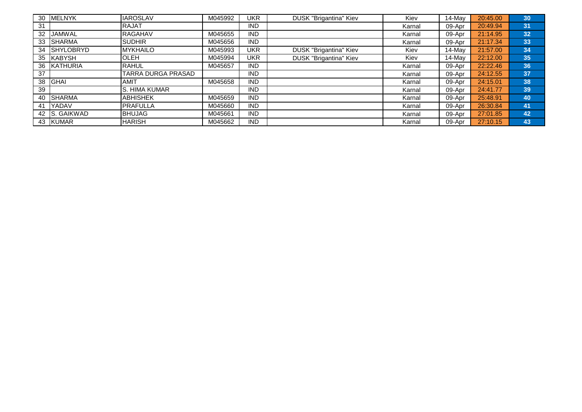| 30 | <b>MELNYK</b> | <b>IAROSLAV</b>           | M045992 | UKR        | <b>DUSK "Brigantina" Kiev</b> | Kiev   | 14-May    | 20:45.00 | 30 |
|----|---------------|---------------------------|---------|------------|-------------------------------|--------|-----------|----------|----|
| 31 |               | <b>IRAJAT</b>             |         | <b>IND</b> |                               | Karnal | 09-Apr    | 20:49.94 | 31 |
|    | 32 JAMWAL     | <b>RAGAHAV</b>            | M045655 | <b>IND</b> |                               | Karnal | 09-Apr    | 21:14.95 | 32 |
|    | 33 SHARMA     | <b>SUDHIR</b>             | M045656 | <b>IND</b> |                               | Karnal | 09-Apr    | 21:17.34 | 33 |
|    | 34 SHYLOBRYD  | <b>MYKHAILO</b>           | M045993 | UKR        | <b>DUSK "Brigantina" Kiev</b> | Kiev   | $14$ -May | 21:57.00 | 34 |
|    | 35 KABYSH     | <b>OLEH</b>               | M045994 | UKR        | DUSK "Brigantina" Kiev        | Kiev   | 14-May    | 22:12.00 | 35 |
|    | 36 KATHURIA   | RAHUL                     | M045657 | <b>IND</b> |                               | Karnal | 09-Apr    | 22:22.46 | 36 |
| 37 |               | <b>TARRA DURGA PRASAD</b> |         | <b>IND</b> |                               | Karnal | 09-Apr    | 24:12.55 | 37 |
| 38 | GHAI          | <b>AMIT</b>               | M045658 | <b>IND</b> |                               | Karnal | 09-Apr    | 24:15.01 | 38 |
| 39 |               | IS. HIMA KUMAR            |         | <b>IND</b> |                               | Karnal | 09-Apr    | 24:41.77 | 39 |
|    | 40 SHARMA     | <b>ABHISHEK</b>           | M045659 | <b>IND</b> |                               | Karnal | 09-Apr    | 25:48.91 | 40 |
|    | 41 YADAV      | <b>IPRAFULLA</b>          | M045660 | <b>IND</b> |                               | Karnal | 09-Apr    | 26:30.84 | 41 |
|    | 42 S. GAIKWAD | <b>BHUJAG</b>             | M045661 | <b>IND</b> |                               | Karnal | 09-Apr    | 27:01.85 | 42 |
|    | 43 KUMAR      | <b>HARISH</b>             | M045662 | <b>IND</b> |                               | Karnal | 09-Apr    | 27:10.15 | 43 |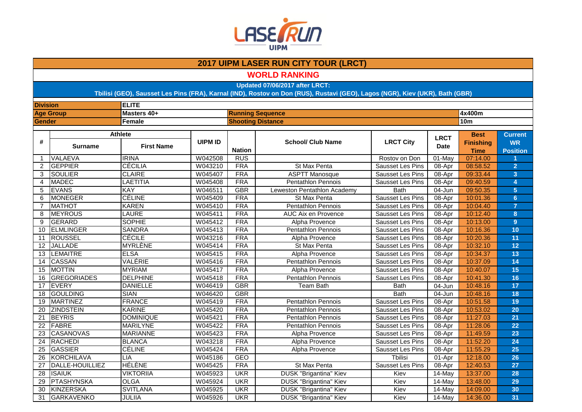

**WORLD RANKING**

**Updated 07/06/2017 after LRCT:**

| <b>Division</b> |                        | <b>ELITE</b>      |                |               |                               |                         |                 |                                 |                              |
|-----------------|------------------------|-------------------|----------------|---------------|-------------------------------|-------------------------|-----------------|---------------------------------|------------------------------|
|                 | <b>Age Group</b>       | Masters 40+       |                |               | <b>Running Sequence</b>       |                         | 4x400m          |                                 |                              |
| Gender          |                        | <b>Female</b>     |                |               | <b>Shooting Distance</b>      |                         | 10 <sub>m</sub> |                                 |                              |
|                 |                        | <b>Athlete</b>    |                |               |                               |                         | <b>LRCT</b>     | <b>Best</b>                     | <b>Current</b>               |
| #               | <b>Surname</b>         | <b>First Name</b> | <b>UIPM ID</b> | <b>Nation</b> | <b>School/ Club Name</b>      | <b>LRCT City</b>        | <b>Date</b>     | <b>Finishing</b><br><b>Time</b> | <b>WR</b><br><b>Position</b> |
| $\mathbf{1}$    | <b>VALAEVA</b>         | <b>IRINA</b>      | W042508        | <b>RUS</b>    |                               | Rostov on Don           | 01-May          | 07:14.00                        |                              |
| $\overline{2}$  | <b>GEPPIER</b>         | <b>CÉCILIA</b>    | W043210        | <b>FRA</b>    | St Max Penta                  | Sausset Les Pins        | 08-Apr          | 08:58.52                        | $\overline{2}$               |
| 3               | <b>SOULIER</b>         | <b>CLAIRE</b>     | W045407        | <b>FRA</b>    | <b>ASPTT Manosque</b>         | Sausset Les Pins        | 08-Apr          | 09:33.44                        | $\overline{3}$               |
| 4               | <b>MADEC</b>           | LAETITIA          | W045408        | <b>FRA</b>    | <b>Pentathlon Pennois</b>     | Sausset Les Pins        | 08-Apr          | 09:40.59                        | $\overline{4}$               |
| 5               | <b>EVANS</b>           | <b>KAY</b>        | W046511        | <b>GBR</b>    | Leweston Pentathlon Academy   | <b>Bath</b>             | 04-Jun          | 09:50.35                        | $\overline{5}$               |
| 6               | <b>MONEGER</b>         | <b>CÉLINE</b>     | W045409        | <b>FRA</b>    | St Max Penta                  | Sausset Les Pins        | 08-Apr          | 10:01.36                        | $6\phantom{1}$               |
| $\overline{7}$  | <b>MATHOT</b>          | <b>KAREN</b>      | W045410        | <b>FRA</b>    | Pentathlon Pennois            | Sausset Les Pins        | 08-Apr          | 10:04.40                        | $\overline{7}$               |
| 8               | <b>MEYROUS</b>         | <b>LAURE</b>      | W045411        | <b>FRA</b>    | <b>AUC Aix en Provence</b>    | Sausset Les Pins        | 08-Apr          | 10:12.40                        | 8                            |
| 9               | GERARD                 | <b>SOPHIE</b>     | W045412        | <b>FRA</b>    | <b>Alpha Provence</b>         | Sausset Les Pins        | 08-Apr          | 10:13.00                        | $\overline{9}$               |
| 10              | <b>ELMLINGER</b>       | <b>SANDRA</b>     | W045413        | <b>FRA</b>    | <b>Pentathlon Pennois</b>     | Sausset Les Pins        | 08-Apr          | 10:16.36                        | 10                           |
| 11              | <b>ROUSSEL</b>         | <b>CÉCILE</b>     | W043216        | <b>FRA</b>    | Alpha Provence                | Sausset Les Pins        | 08-Apr          | 10:20.36                        | 11                           |
| 12              | <b>JALLADE</b>         | <b>MYRLÈNE</b>    | W045414        | <b>FRA</b>    | St Max Penta                  | Sausset Les Pins        | 08-Apr          | 10:32.10                        | 12                           |
| 13              | <b>LEMAITRE</b>        | <b>ELSA</b>       | W045415        | <b>FRA</b>    | Alpha Provence                | <b>Sausset Les Pins</b> | 08-Apr          | 10:34.37                        | 13                           |
| 14              | CASSAN                 | VALÉRIE           | W045416        | <b>FRA</b>    | <b>Pentathlon Pennois</b>     | Sausset Les Pins        | 08-Apr          | 10:37.09                        | 14                           |
| 15              | <b>MOTTIN</b>          | <b>MYRIAM</b>     | W045417        | <b>FRA</b>    | Alpha Provence                | Sausset Les Pins        | 08-Apr          | 10:40.07                        | 15                           |
| 16              | <b>GREGORIADES</b>     | <b>DELPHINE</b>   | W045418        | <b>FRA</b>    | Pentathlon Pennois            | Sausset Les Pins        | 08-Apr          | 10:41.30                        | 16                           |
| 17              | <b>EVERY</b>           | <b>DANIELLE</b>   | W046419        | <b>GBR</b>    | <b>Team Bath</b>              | <b>Bath</b>             | 04-Jun          | 10:48.16                        | 17                           |
| 18              | <b>GOULDING</b>        | <b>SIAN</b>       | W046420        | <b>GBR</b>    |                               | <b>Bath</b>             | 04-Jun          | 10:48.16                        | 18                           |
| 19              | <b>MARTINEZ</b>        | <b>FRANCE</b>     | W045419        | <b>FRA</b>    | <b>Pentathlon Pennois</b>     | <b>Sausset Les Pins</b> | 08-Apr          | 10:51.58                        | 19                           |
| 20              | <b>ZINDSTEIN</b>       | <b>KARINE</b>     | W045420        | <b>FRA</b>    | <b>Pentathlon Pennois</b>     | <b>Sausset Les Pins</b> | 08-Apr          | 10:53.02                        | 20                           |
| $\overline{21}$ | <b>BEYRIS</b>          | <b>DOMINIQUE</b>  | W045421        | <b>FRA</b>    | <b>Pentathlon Pennois</b>     | <b>Sausset Les Pins</b> | 08-Apr          | 11:27.03                        | 21                           |
| 22              | <b>FABRE</b>           | <b>MARILYNE</b>   | W045422        | <b>FRA</b>    | <b>Pentathlon Pennois</b>     | <b>Sausset Les Pins</b> | 08-Apr          | 11:28.06                        | 22                           |
| 23              | <b>CASANOVAS</b>       | <b>MARIANNE</b>   | W045423        | <b>FRA</b>    | Alpha Provence                | Sausset Les Pins        | 08-Apr          | 11:49.59                        | 23                           |
| $\overline{24}$ | RACHEDI                | <b>BLANCA</b>     | W043218        | <b>FRA</b>    | Alpha Provence                | Sausset Les Pins        | 08-Apr          | 11:52.20                        | 24                           |
| $\overline{25}$ | <b>GASSIER</b>         | <b>CÉLINE</b>     | W045424        | <b>FRA</b>    | Alpha Provence                | Sausset Les Pins        | 08-Apr          | 11:55.29                        | 25                           |
| 26              | <b>KORCHILAVA</b>      | <b>LIA</b>        | W045186        | <b>GEO</b>    |                               | Tbilisi                 | 01-Apr          | 12:18.00                        | 26                           |
| 27              | <b>DALLE-HOUILLIEZ</b> | <b>HÉLÈNE</b>     | W045425        | <b>FRA</b>    | St Max Penta                  | Sausset Les Pins        | $08-Apr$        | 12:40.53                        | 27                           |
| 28              | <b>ISAIUK</b>          | <b>VIKTORIIA</b>  | W045923        | <b>UKR</b>    | <b>DUSK "Brigantina" Kiev</b> | Kiev                    | $14$ -May       | 13:37.00                        | 28                           |
| 29              | <b>PTASHYNSKA</b>      | <b>OLGA</b>       | W045924        | <b>UKR</b>    | <b>DUSK "Brigantina" Kiev</b> | Kiev                    | $14$ -May       | 13:48.00                        | 29                           |
| 30              | <b>KINZERSKA</b>       | <b>SVITLANA</b>   | W045925        | <b>UKR</b>    | <b>DUSK "Brigantina" Kiev</b> | Kiev                    | 14-May          | 14:09.00                        | 30                           |
| 31              | GARKAVENKO             | JULIIA            | W045926        | <b>UKR</b>    | DUSK "Brigantina" Kiev        | Kiev                    | 14-May          | 14:36.00                        | 31                           |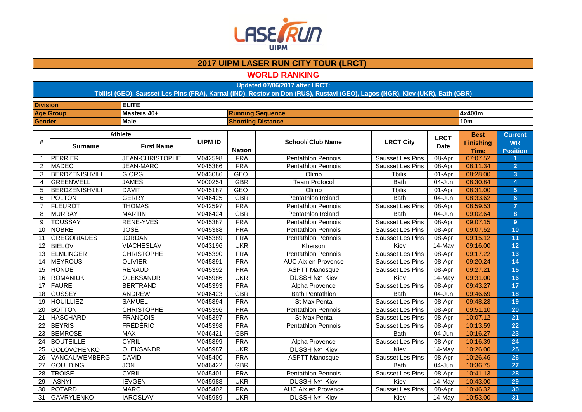

**WORLD RANKING**

**Updated 07/06/2017 after LRCT:**

| <b>Division</b> |                       | <b>ELITE</b>           |                |                          |                           |                         |                            |                                 |                              |  |
|-----------------|-----------------------|------------------------|----------------|--------------------------|---------------------------|-------------------------|----------------------------|---------------------------------|------------------------------|--|
|                 | <b>Age Group</b>      | Masters 40+            |                |                          | <b>Running Sequence</b>   |                         |                            | 4x400m                          |                              |  |
| Gender          |                       | <b>Male</b>            |                | <b>Shooting Distance</b> |                           |                         | <b>10m</b>                 |                                 |                              |  |
|                 |                       | <b>Athlete</b>         |                |                          |                           |                         |                            | <b>Best</b>                     | <b>Current</b>               |  |
| #               | <b>Surname</b>        | <b>First Name</b>      | <b>UIPM ID</b> | <b>Nation</b>            | <b>School/ Club Name</b>  | <b>LRCT City</b>        | <b>LRCT</b><br><b>Date</b> | <b>Finishing</b><br><b>Time</b> | <b>WR</b><br><b>Position</b> |  |
| $\mathbf{1}$    | PERRIER               | <b>JEAN-CHRISTOPHE</b> | M042598        | <b>FRA</b>               | <b>Pentathlon Pennois</b> | Sausset Les Pins        | 08-Apr                     | 07:07.52                        |                              |  |
| 2               | <b>MADEC</b>          | <b>JEAN-MARC</b>       | M045386        | <b>FRA</b>               | <b>Pentathlon Pennois</b> | Sausset Les Pins        | 08-Apr                     | 08:11.34                        | $\overline{2}$               |  |
| 3               | BERDZENISHVILI        | <b>GIORGI</b>          | M043086        | <b>GEO</b>               | Olimp                     | <b>Tbilisi</b>          | 01-Apr                     | 08:28.00                        | $\overline{3}$               |  |
| 4               | <b>GREENWELL</b>      | <b>JAMES</b>           | M000254        | <b>GBR</b>               | <b>Team Protocol</b>      | <b>Bath</b>             | 04-Jun                     | 08:30.84                        | $\overline{4}$               |  |
| 5               | <b>BERDZENISHVILI</b> | <b>DAVIT</b>           | M045187        | <b>GEO</b>               | Olimp                     | <b>Tbilisi</b>          | 01-Apr                     | 08:31.00                        | $5\phantom{1}$               |  |
| 6               | <b>POLTON</b>         | <b>GERRY</b>           | M046425        | <b>GBR</b>               | Pentathlon Ireland        | <b>Bath</b>             | 04-Jun                     | 08:33.62                        | $6\phantom{1}$               |  |
| 7               | FLEUROT               | <b>THOMAS</b>          | M042597        | <b>FRA</b>               | <b>Pentathlon Pennois</b> | Sausset Les Pins        | 08-Apr                     | 08:59.53                        | $\overline{7}$               |  |
| 8               | <b>MURRAY</b>         | <b>MARTIN</b>          | M046424        | <b>GBR</b>               | Pentathlon Ireland        | <b>Bath</b>             | 04-Jun                     | 09:02.64                        | 8                            |  |
| 9               | <b>TOUSSAY</b>        | RENÉ-YVES              | M045387        | <b>FRA</b>               | <b>Pentathlon Pennois</b> | Sausset Les Pins        | 08-Apr                     | 09:07.15                        | 9                            |  |
| 10              | <b>NOBRE</b>          | <b>JOSÉ</b>            | M045388        | <b>FRA</b>               | <b>Pentathlon Pennois</b> | Sausset Les Pins        | 08-Apr                     | 09:07.52                        | 10                           |  |
| 11              | <b>GREGORIADES</b>    | <b>JORDAN</b>          | M045389        | <b>FRA</b>               | <b>Pentathlon Pennois</b> | Sausset Les Pins        | 08-Apr                     | 09:15.12                        | 11                           |  |
| 12              | <b>BIELOV</b>         | <b>VIACHESLAV</b>      | M043196        | <b>UKR</b>               | Kherson                   | Kiev                    | 14-May                     | 09:16.00                        | 12                           |  |
| 13              | <b>ELMLINGER</b>      | <b>CHRISTOPHE</b>      | M045390        | <b>FRA</b>               | Pentathlon Pennois        | Sausset Les Pins        | 08-Apr                     | 09:17.22                        | 13                           |  |
| 14              | <b>MEYROUS</b>        | <b>OLIVIER</b>         | M045391        | <b>FRA</b>               | AUC Aix en Provence       | <b>Sausset Les Pins</b> | 08-Apr                     | 09:20.24                        | 14                           |  |
| 15              | <b>HONDE</b>          | <b>RENAUD</b>          | M045392        | <b>FRA</b>               | <b>ASPTT Manosque</b>     | Sausset Les Pins        | 08-Apr                     | 09:27.21                        | 15                           |  |
| 16              | <b>ROMANIUK</b>       | <b>OLEKSANDR</b>       | M045986        | <b>UKR</b>               | DUSSH Nº1 Kiev            | Kiev                    | $14$ -May                  | 09:31.00                        | 16                           |  |
| 17              | <b>FAURE</b>          | <b>BERTRAND</b>        | M045393        | <b>FRA</b>               | Alpha Provence            | Sausset Les Pins        | 08-Apr                     | 09:43.27                        | 17                           |  |
| 18              | <b>GUSSEY</b>         | <b>ANDREW</b>          | M046423        | <b>GBR</b>               | <b>Bath Pentathlon</b>    | <b>Bath</b>             | 04-Jun                     | 09:46.69                        | 18                           |  |
| 19              | <b>HOUILLIEZ</b>      | <b>SAMUEL</b>          | M045394        | <b>FRA</b>               | St Max Penta              | <b>Sausset Les Pins</b> | 08-Apr                     | 09:48.23                        | 19                           |  |
| 20              | <b>BOTTON</b>         | <b>CHRISTOPHE</b>      | M045396        | <b>FRA</b>               | <b>Pentathlon Pennois</b> | <b>Sausset Les Pins</b> | 08-Apr                     | 09:51.10                        | 20                           |  |
| $\overline{21}$ | <b>HASCHARD</b>       | <b>FRANÇOIS</b>        | M045397        | <b>FRA</b>               | St Max Penta              | Sausset Les Pins        | $08-Apr$                   | 10:07.12                        | 21                           |  |
| $\overline{22}$ | <b>BEYRIS</b>         | <b>FRÉDÉRIC</b>        | M045398        | <b>FRA</b>               | <b>Pentathlon Pennois</b> | Sausset Les Pins        | 08-Apr                     | 10:13.59                        | 22                           |  |
| $\overline{23}$ | <b>BEMROSE</b>        | <b>MAX</b>             | M046421        | <b>GBR</b>               |                           | <b>Bath</b>             | 04-Jun                     | 10:16.27                        | 23                           |  |
| 24              | <b>BOUTEILLE</b>      | <b>CYRIL</b>           | M045399        | <b>FRA</b>               | Alpha Provence            | Sausset Les Pins        | 08-Apr                     | 10:16.39                        | 24                           |  |
| 25              | <b>GOLOVCHENKO</b>    | <b>OLEKSANDR</b>       | M045987        | <b>UKR</b>               | <b>DUSSH Nº1 Kiev</b>     | Kiev                    | $14$ -May                  | 10:26.00                        | 25                           |  |
| 26              | VANCAUWEMBERG         | <b>DAVID</b>           | M045400        | <b>FRA</b>               | <b>ASPTT Manosque</b>     | Sausset Les Pins        | 08-Apr                     | 10:26.46                        | 26                           |  |
| 27              | <b>GOULDING</b>       | <b>JON</b>             | M046422        | <b>GBR</b>               |                           | <b>Bath</b>             | 04-Jun                     | 10:36.75                        | 27                           |  |
| 28              | <b>TROISE</b>         | <b>CYRIL</b>           | M045401        | <b>FRA</b>               | <b>Pentathlon Pennois</b> | Sausset Les Pins        | 08-Apr                     | 10:41.13                        | 28                           |  |
| 29              | <b>IASNYI</b>         | <b>IEVGEN</b>          | M045988        | <b>UKR</b>               | DUSSH Nº1 Kiev            | Kiev                    | $14$ -May                  | 10:43.00                        | 29                           |  |
| 30              | <b>POTARD</b>         | <b>MARC</b>            | M045402        | <b>FRA</b>               | AUC Aix en Provence       | Sausset Les Pins        | 08-Apr                     | 10:46.32                        | 30                           |  |
| 31              | <b>GAVRYLENKO</b>     | <b>IAROSLAV</b>        | M045989        | <b>UKR</b>               | DUSSH Nº1 Kiev            | Kiev                    | 14-May                     | 10:53.00                        | 31                           |  |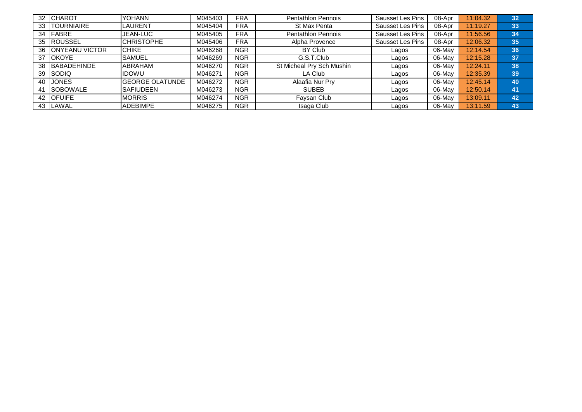| 32 | <b>ICHAROT</b>         | <b>YOHANN</b>           | M045403 | <b>FRA</b> | <b>Pentathlon Pennois</b> | Sausset Les Pins | 08-Apr    | 11:04.32 | 32 |
|----|------------------------|-------------------------|---------|------------|---------------------------|------------------|-----------|----------|----|
| 33 | <b>ITOURNIAIRE</b>     | <b>ILAURENT</b>         | M045404 | <b>FRA</b> | St Max Penta              | Sausset Les Pins | 08-Apr    | 11:19.27 | 33 |
| 34 | <b>IFABRE</b>          | JEAN-LUC                | M045405 | <b>FRA</b> | <b>Pentathlon Pennois</b> | Sausset Les Pins | 08-Apr    | 11:56.56 | 34 |
| 35 | <b>ROUSSEL</b>         | <b>ICHRISTOPHE</b>      | M045406 | <b>FRA</b> | Alpha Provence            | Sausset Les Pins | 08-Apr    | 12:06.32 | 35 |
| 36 | <b>IONYEANU VICTOR</b> | <b>ICHIKE</b>           | M046268 | <b>NGR</b> | BY Club                   | Lagos            | 06-May    | 12:14.54 | 36 |
| 37 | <b>OKOYE</b>           | <b>SAMUEL</b>           | M046269 | <b>NGR</b> | G.S.T.Club                | Lagos            | 06-May    | 12:15.28 | 37 |
| 38 | <b>BABADEHINDE</b>     | <b>ABRAHAM</b>          | M046270 | <b>NGR</b> | St Micheal Pry Sch Mushin | Lagos            | $06$ -May | 12:24.11 | 38 |
| 39 | <b>I</b> SODIQ         | <b>IIDOWU</b>           | M046271 | <b>NGR</b> | LA Club                   | Lagos            | 06-May    | 12:35.39 | 39 |
| 40 | <b>JONES</b>           | <b>IGEORGE OLATUNDE</b> | M046272 | <b>NGR</b> | Alaafia Nur Pry           | Lagos            | 06-May    | 12:45.14 | 40 |
| 41 | <b>SOBOWALE</b>        | <b>SAFIUDEEN</b>        | M046273 | <b>NGR</b> | <b>SUBEB</b>              | Lagos            | 06-May    | 12:50.14 | 41 |
| 42 | <b>IOFUIFE</b>         | <b>IMORRIS</b>          | M046274 | <b>NGR</b> | Faysan Club               | Lagos            | 06-May    | 13:09.11 | 42 |
| 43 | <b>LAWAL</b>           | <b>ADEBIMPE</b>         | M046275 | <b>NGR</b> | Isaga Club                | Lagos            | 06-May    | 13:11.59 | 43 |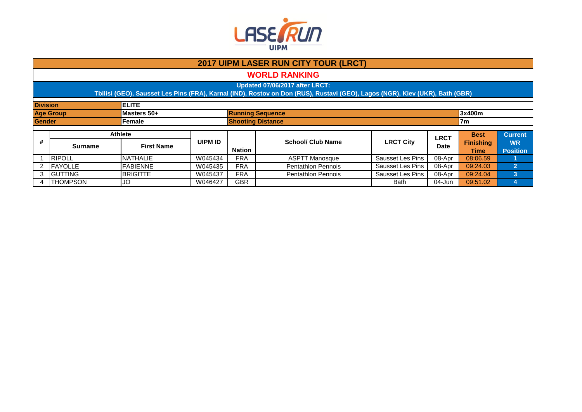

|                                 | <b>2017 UIPM LASER RUN CITY TOUR (LRCT)</b>                                                                                                                    |                   |                |                                            |                           |                  |             |                                 |                              |  |  |  |  |
|---------------------------------|----------------------------------------------------------------------------------------------------------------------------------------------------------------|-------------------|----------------|--------------------------------------------|---------------------------|------------------|-------------|---------------------------------|------------------------------|--|--|--|--|
|                                 | <b>WORLD RANKING</b>                                                                                                                                           |                   |                |                                            |                           |                  |             |                                 |                              |  |  |  |  |
|                                 | Updated 07/06/2017 after LRCT:<br>Tbilisi (GEO), Sausset Les Pins (FRA), Karnal (IND), Rostov on Don (RUS), Rustavi (GEO), Lagos (NGR), Kiev (UKR), Bath (GBR) |                   |                |                                            |                           |                  |             |                                 |                              |  |  |  |  |
|                                 | <b>Division</b><br><b>IELITE</b>                                                                                                                               |                   |                |                                            |                           |                  |             |                                 |                              |  |  |  |  |
| <b>Age Group</b><br>Masters 50+ |                                                                                                                                                                |                   |                | <b>Running Sequence</b><br>3x400m          |                           |                  |             |                                 |                              |  |  |  |  |
| <b>Gender</b>                   |                                                                                                                                                                | Female            |                | <b>Shooting Distance</b><br>7 <sub>m</sub> |                           |                  |             |                                 |                              |  |  |  |  |
|                                 | <b>Athlete</b>                                                                                                                                                 |                   |                |                                            |                           |                  | <b>LRCT</b> | <b>Best</b>                     | <b>Current</b>               |  |  |  |  |
| #                               | <b>Surname</b>                                                                                                                                                 | <b>First Name</b> | <b>UIPM ID</b> | <b>Nation</b>                              | <b>School/ Club Name</b>  | <b>LRCT City</b> | <b>Date</b> | <b>Finishing</b><br><b>Time</b> | <b>WR</b><br><b>Position</b> |  |  |  |  |
|                                 | <b>RIPOLL</b>                                                                                                                                                  | NATHALIE          | W045434        | <b>FRA</b>                                 | <b>ASPTT Manosque</b>     | Sausset Les Pins | 08-Apr      | 08:06.59                        |                              |  |  |  |  |
|                                 | FAYOLLE                                                                                                                                                        | <b>FABIENNE</b>   | W045435        | <b>FRA</b>                                 | <b>Pentathlon Pennois</b> | Sausset Les Pins | 08-Apr      | 09:24.03                        | $\overline{2}$               |  |  |  |  |
| 3                               | <b>GUTTING</b>                                                                                                                                                 | <b>BRIGITTE</b>   | W045437        | <b>FRA</b>                                 | <b>Pentathlon Pennois</b> | Sausset Les Pins | 08-Apr      | 09:24.04                        | 3                            |  |  |  |  |
|                                 | <b>THOMPSON</b>                                                                                                                                                | JO                | W046427        | <b>GBR</b>                                 |                           | Bath             | 04-Jun      | 09:51.02                        |                              |  |  |  |  |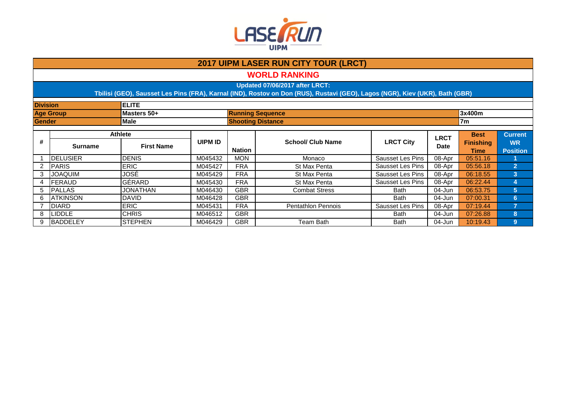

| <b>2017 UIPM LASER RUN CITY TOUR (LRCT)</b> |                                                                                                                                                                |                   |         |                          |                           |                  |             |             |                 |  |  |  |  |
|---------------------------------------------|----------------------------------------------------------------------------------------------------------------------------------------------------------------|-------------------|---------|--------------------------|---------------------------|------------------|-------------|-------------|-----------------|--|--|--|--|
|                                             | <b>WORLD RANKING</b>                                                                                                                                           |                   |         |                          |                           |                  |             |             |                 |  |  |  |  |
|                                             | Updated 07/06/2017 after LRCT:<br>Tbilisi (GEO), Sausset Les Pins (FRA), Karnal (IND), Rostov on Don (RUS), Rustavi (GEO), Lagos (NGR), Kiev (UKR), Bath (GBR) |                   |         |                          |                           |                  |             |             |                 |  |  |  |  |
|                                             | <b>ELITE</b><br><b>Division</b>                                                                                                                                |                   |         |                          |                           |                  |             |             |                 |  |  |  |  |
|                                             | <b>Age Group</b>                                                                                                                                               | Masters 50+       |         |                          | <b>Running Sequence</b>   |                  |             | 3x400m      |                 |  |  |  |  |
| <b>Male</b><br><b>Gender</b>                |                                                                                                                                                                |                   |         |                          | <b>Shooting Distance</b>  |                  |             | 7m          |                 |  |  |  |  |
|                                             |                                                                                                                                                                | Athlete           |         |                          |                           |                  | <b>LRCT</b> | <b>Best</b> | <b>Current</b>  |  |  |  |  |
| #                                           |                                                                                                                                                                | <b>UIPM ID</b>    |         | <b>School/ Club Name</b> | <b>LRCT City</b>          | <b>Finishing</b> |             | <b>WR</b>   |                 |  |  |  |  |
|                                             | <b>Surname</b>                                                                                                                                                 | <b>First Name</b> |         | <b>Nation</b>            |                           |                  | <b>Date</b> | Time        | <b>Position</b> |  |  |  |  |
|                                             | <b>IDELUSIER</b>                                                                                                                                               | <b>DENIS</b>      | M045432 | <b>MON</b>               | Monaco                    | Sausset Les Pins | 08-Apr      | 05:51.16    |                 |  |  |  |  |
| 2                                           | <b>IPARIS</b>                                                                                                                                                  | <b>ERIC</b>       | M045427 | <b>FRA</b>               | St Max Penta              | Sausset Les Pins | 08-Apr      | 05:56.18    | $\overline{2}$  |  |  |  |  |
| 3                                           | <b>JOAQUIM</b>                                                                                                                                                 | JOSÉ              | M045429 | <b>FRA</b>               | St Max Penta              | Sausset Les Pins | 08-Apr      | 06:18.55    | 3               |  |  |  |  |
| 4                                           | FERAUD                                                                                                                                                         | GÉRARD            | M045430 | <b>FRA</b>               | St Max Penta              | Sausset Les Pins | 08-Apr      | 06:22.44    | 4               |  |  |  |  |
| 5                                           | <b>IPALLAS</b>                                                                                                                                                 | JONATHAN          | M046430 | <b>GBR</b>               | <b>Combat Stress</b>      | <b>Bath</b>      | 04-Jun      | 06:53.75    | 5 <sup>5</sup>  |  |  |  |  |
| 6                                           | <b>ATKINSON</b>                                                                                                                                                | <b>DAVID</b>      | M046428 | <b>GBR</b>               |                           | Bath             | 04-Jun      | 07:00.31    | 6               |  |  |  |  |
|                                             | <b>DIARD</b>                                                                                                                                                   | <b>ERIC</b>       | M045431 | <b>FRA</b>               | <b>Pentathlon Pennois</b> | Sausset Les Pins | 08-Apr      | 07:19.44    | 7               |  |  |  |  |
| 8                                           | <b>LIDDLE</b>                                                                                                                                                  | <b>CHRIS</b>      | M046512 | <b>GBR</b>               |                           | Bath             | 04-Jun      | 07:26.88    | 8               |  |  |  |  |
| 9                                           | <b>BADDELEY</b>                                                                                                                                                | ISTEPHEN          | M046429 | <b>GBR</b>               | Team Bath                 | <b>Bath</b>      | 04-Jun      | 10:19.43    | $9\phantom{.}$  |  |  |  |  |